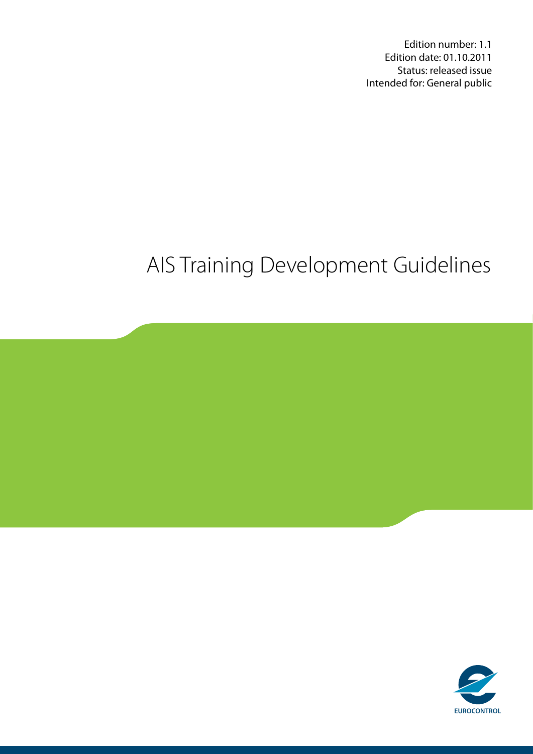Edition number: 1.1 Edition date: 01.10.2011 Status: released issue Intended for: General public

# AIS Training Development Guidelines

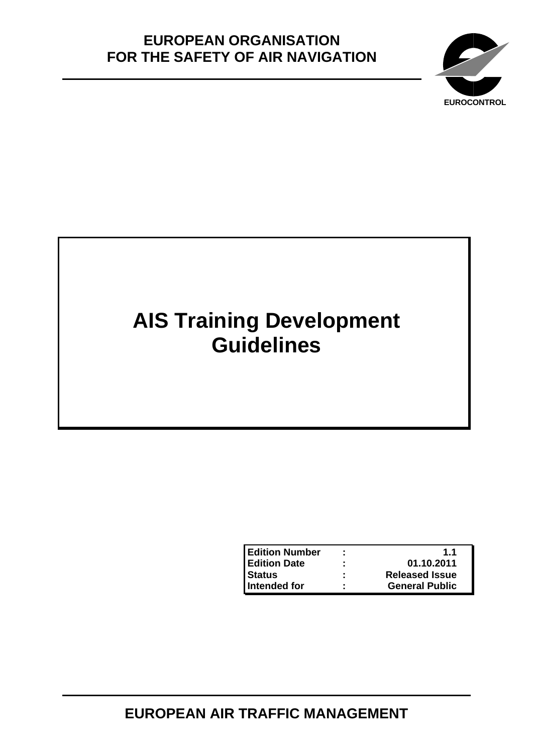## **EUROPEAN ORGANISATION FOR THE SAFETY OF AIR NAVIGATION**



## **AIS Training Development Guidelines**

| <b>Edition Number</b> |                | 1.1                   |
|-----------------------|----------------|-----------------------|
| <b>Edition Date</b>   |                | 01.10.2011            |
| <b>Status</b>         | $\blacksquare$ | <b>Released Issue</b> |
| Intended for          | ٠              | <b>General Public</b> |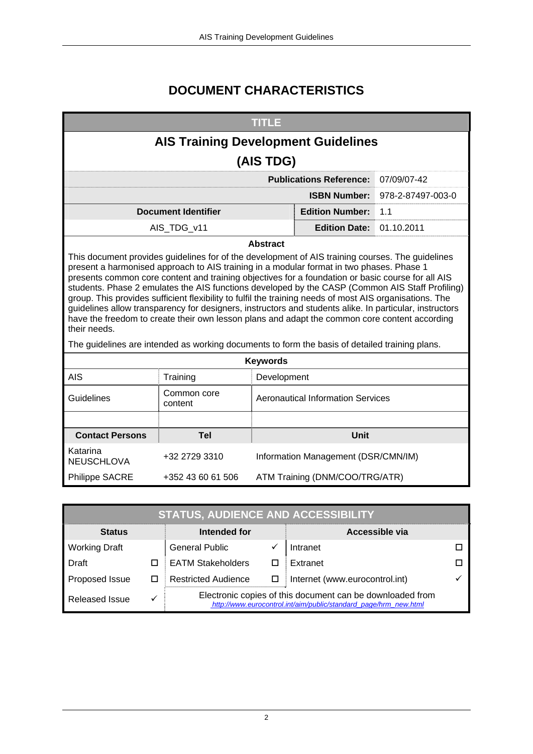## **DOCUMENT CHARACTERISTICS**

| <b>TITLE</b>                                                                                                                                                                                                                                                                                                                                                                                                                                                                                                                                                                                                                                                                                                                                |                                                                                                |                 |                                          |                   |
|---------------------------------------------------------------------------------------------------------------------------------------------------------------------------------------------------------------------------------------------------------------------------------------------------------------------------------------------------------------------------------------------------------------------------------------------------------------------------------------------------------------------------------------------------------------------------------------------------------------------------------------------------------------------------------------------------------------------------------------------|------------------------------------------------------------------------------------------------|-----------------|------------------------------------------|-------------------|
| <b>AIS Training Development Guidelines</b>                                                                                                                                                                                                                                                                                                                                                                                                                                                                                                                                                                                                                                                                                                  |                                                                                                |                 |                                          |                   |
|                                                                                                                                                                                                                                                                                                                                                                                                                                                                                                                                                                                                                                                                                                                                             |                                                                                                | (AIS TDG)       |                                          |                   |
|                                                                                                                                                                                                                                                                                                                                                                                                                                                                                                                                                                                                                                                                                                                                             |                                                                                                |                 | <b>Publications Reference:</b>           | 07/09/07-42       |
|                                                                                                                                                                                                                                                                                                                                                                                                                                                                                                                                                                                                                                                                                                                                             |                                                                                                |                 | <b>ISBN Number:</b>                      | 978-2-87497-003-0 |
|                                                                                                                                                                                                                                                                                                                                                                                                                                                                                                                                                                                                                                                                                                                                             | <b>Document Identifier</b>                                                                     |                 | <b>Edition Number:</b>                   | 1.1               |
|                                                                                                                                                                                                                                                                                                                                                                                                                                                                                                                                                                                                                                                                                                                                             | AIS_TDG_v11                                                                                    |                 | <b>Edition Date:</b>                     | 01.10.2011        |
|                                                                                                                                                                                                                                                                                                                                                                                                                                                                                                                                                                                                                                                                                                                                             |                                                                                                | <b>Abstract</b> |                                          |                   |
| This document provides guidelines for of the development of AIS training courses. The guidelines<br>present a harmonised approach to AIS training in a modular format in two phases. Phase 1<br>presents common core content and training objectives for a foundation or basic course for all AIS<br>students. Phase 2 emulates the AIS functions developed by the CASP (Common AIS Staff Profiling)<br>group. This provides sufficient flexibility to fulfil the training needs of most AIS organisations. The<br>guidelines allow transparency for designers, instructors and students alike. In particular, instructors<br>have the freedom to create their own lesson plans and adapt the common core content according<br>their needs. |                                                                                                |                 |                                          |                   |
|                                                                                                                                                                                                                                                                                                                                                                                                                                                                                                                                                                                                                                                                                                                                             | The guidelines are intended as working documents to form the basis of detailed training plans. | <b>Keywords</b> |                                          |                   |
| <b>AIS</b>                                                                                                                                                                                                                                                                                                                                                                                                                                                                                                                                                                                                                                                                                                                                  | Training                                                                                       | Development     |                                          |                   |
| Guidelines                                                                                                                                                                                                                                                                                                                                                                                                                                                                                                                                                                                                                                                                                                                                  | Common core<br>content                                                                         |                 | <b>Aeronautical Information Services</b> |                   |
|                                                                                                                                                                                                                                                                                                                                                                                                                                                                                                                                                                                                                                                                                                                                             |                                                                                                |                 |                                          |                   |
| <b>Contact Persons</b>                                                                                                                                                                                                                                                                                                                                                                                                                                                                                                                                                                                                                                                                                                                      | <b>Tel</b>                                                                                     |                 | <b>Unit</b>                              |                   |
| Katarina<br><b>NEUSCHLOVA</b>                                                                                                                                                                                                                                                                                                                                                                                                                                                                                                                                                                                                                                                                                                               | +32 2729 3310                                                                                  |                 | Information Management (DSR/CMN/IM)      |                   |
| <b>Philippe SACRE</b>                                                                                                                                                                                                                                                                                                                                                                                                                                                                                                                                                                                                                                                                                                                       | +352 43 60 61 506                                                                              |                 | ATM Training (DNM/COO/TRG/ATR)           |                   |

| <b>STATUS, AUDIENCE AND ACCESSIBILITY</b>       |   |                                                                                                                               |  |                                |  |  |
|-------------------------------------------------|---|-------------------------------------------------------------------------------------------------------------------------------|--|--------------------------------|--|--|
| Accessible via<br>Intended for<br><b>Status</b> |   |                                                                                                                               |  |                                |  |  |
| <b>Working Draft</b>                            |   | <b>General Public</b>                                                                                                         |  | Intranet                       |  |  |
| Draft                                           |   | <b>EATM Stakeholders</b>                                                                                                      |  | Extranet                       |  |  |
| Proposed Issue                                  | ш | <b>Restricted Audience</b>                                                                                                    |  | Internet (www.eurocontrol.int) |  |  |
| <b>Released Issue</b>                           | ✓ | Electronic copies of this document can be downloaded from<br>http://www.eurocontrol.int/aim/public/standard_page/hrm_new.html |  |                                |  |  |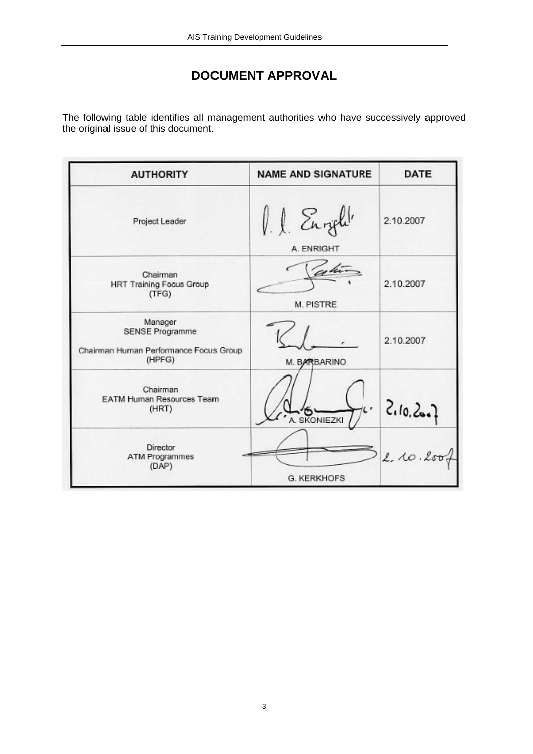## **DOCUMENT APPROVAL**

The following table identifies all management authorities who have successively approved the original issue of this document.

| <b>AUTHORITY</b>                                                                      | <b>NAME AND SIGNATURE</b> | <b>DATE</b> |
|---------------------------------------------------------------------------------------|---------------------------|-------------|
| Project Leader                                                                        | 1. l. Engel<br>A. ENRIGHT | 2.10.2007   |
| Chairman<br><b>HRT Training Focus Group</b><br>(TFG)                                  | M. PISTRE                 | 2.10.2007   |
| Manager<br><b>SENSE Programme</b><br>Chairman Human Performance Focus Group<br>(HPFG) | M. BARBARINO              | 2.10.2007   |
| Chairman<br>EATM Human Resources Team<br>(HRT)                                        | A. SKONIEZKI              | 2.10.2      |
| Director<br><b>ATM Programmes</b><br>(DAP)                                            | <b>G. KERKHOFS</b>        | 2.10.200    |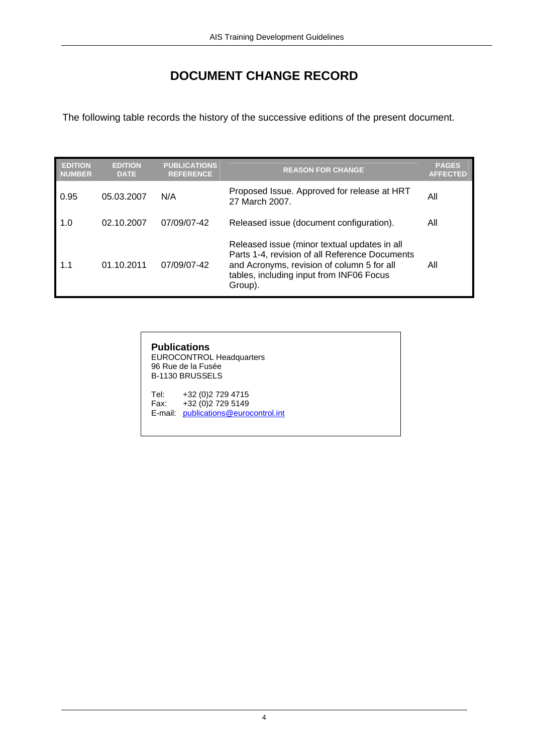### **DOCUMENT CHANGE RECORD**

The following table records the history of the successive editions of the present document.

| <b>EDITION</b><br><b>NUMBER</b> | <b>EDITION</b><br><b>DATE</b> | <b>PUBLICATIONS</b><br><b>REFERENCE</b> | <b>REASON FOR CHANGE</b>                                                                                                                                                                            | <b>PAGES</b><br><b>AFFECTED</b> |
|---------------------------------|-------------------------------|-----------------------------------------|-----------------------------------------------------------------------------------------------------------------------------------------------------------------------------------------------------|---------------------------------|
| 0.95                            | 05.03.2007                    | N/A                                     | Proposed Issue. Approved for release at HRT<br>27 March 2007.                                                                                                                                       | All                             |
| 1.0                             | 02.10.2007                    | 07/09/07-42                             | Released issue (document configuration).                                                                                                                                                            | All                             |
| 1.1                             | 01.10.2011                    | 07/09/07-42                             | Released issue (minor textual updates in all<br>Parts 1-4, revision of all Reference Documents<br>and Acronyms, revision of column 5 for all<br>tables, including input from INF06 Focus<br>Group). | All                             |

|              | <b>Publications</b><br><b>EUROCONTROL Headquarters</b><br>96 Rue de la Fusée<br><b>B-1130 BRUSSELS</b> |  |
|--------------|--------------------------------------------------------------------------------------------------------|--|
| Tel:<br>Fax: | +32 (0) 2729 4715<br>+32 (0)2 729 5149<br>E-mail: publications@eurocontrol.int                         |  |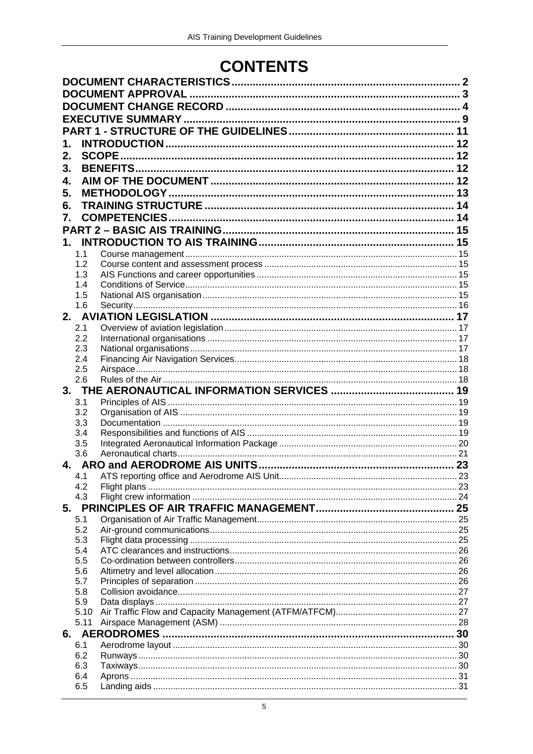## **CONTENTS**

| 1. |            |  |  |  |  |  |
|----|------------|--|--|--|--|--|
| 2. |            |  |  |  |  |  |
| 3. |            |  |  |  |  |  |
| 4. |            |  |  |  |  |  |
| 5. |            |  |  |  |  |  |
| 6. |            |  |  |  |  |  |
| 7. |            |  |  |  |  |  |
|    |            |  |  |  |  |  |
|    |            |  |  |  |  |  |
| 1. |            |  |  |  |  |  |
|    | 1.1        |  |  |  |  |  |
|    | 1.2        |  |  |  |  |  |
|    | 1.3<br>1.4 |  |  |  |  |  |
|    | 1.5        |  |  |  |  |  |
|    | 1.6        |  |  |  |  |  |
|    |            |  |  |  |  |  |
|    | 2.1        |  |  |  |  |  |
|    | 2.2        |  |  |  |  |  |
|    | 2.3        |  |  |  |  |  |
|    | 2.4        |  |  |  |  |  |
|    | 2.5        |  |  |  |  |  |
|    | 2.6        |  |  |  |  |  |
|    |            |  |  |  |  |  |
|    | 3.1        |  |  |  |  |  |
|    | 3.2        |  |  |  |  |  |
|    |            |  |  |  |  |  |
|    | 3.3        |  |  |  |  |  |
|    | 3.4        |  |  |  |  |  |
|    | 3.5        |  |  |  |  |  |
|    | 3.6        |  |  |  |  |  |
|    |            |  |  |  |  |  |
|    |            |  |  |  |  |  |
|    | 4.2        |  |  |  |  |  |
|    | 4.3        |  |  |  |  |  |
|    |            |  |  |  |  |  |
|    | 5.1        |  |  |  |  |  |
|    | 5.2        |  |  |  |  |  |
|    | 5.3        |  |  |  |  |  |
|    | 5.4        |  |  |  |  |  |
|    | 5.5        |  |  |  |  |  |
|    | 5.6        |  |  |  |  |  |
|    | 5.7        |  |  |  |  |  |
|    | 5.8        |  |  |  |  |  |
|    | 5.9        |  |  |  |  |  |
|    | 5.10       |  |  |  |  |  |
|    | 5.11       |  |  |  |  |  |
|    |            |  |  |  |  |  |
|    | 6.1        |  |  |  |  |  |
|    | 6.2        |  |  |  |  |  |
|    | 6.3<br>6.4 |  |  |  |  |  |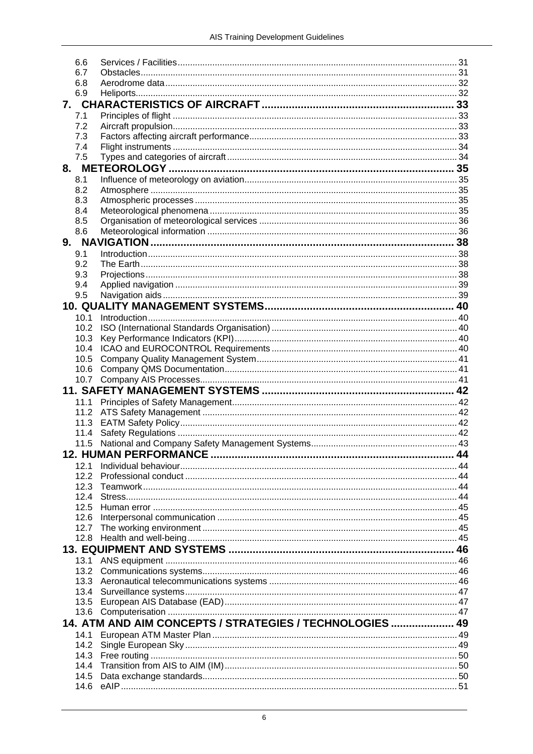| 6.6  |                                                          |  |
|------|----------------------------------------------------------|--|
| 6.7  |                                                          |  |
| 6.8  |                                                          |  |
| 6.9  |                                                          |  |
|      |                                                          |  |
| 7.1  |                                                          |  |
| 7.2  |                                                          |  |
| 7.3  |                                                          |  |
| 7.4  |                                                          |  |
| 7.5  |                                                          |  |
|      |                                                          |  |
|      |                                                          |  |
| 8.1  |                                                          |  |
| 8.2  |                                                          |  |
| 8.3  |                                                          |  |
| 8.4  |                                                          |  |
| 8.5  |                                                          |  |
| 8.6  |                                                          |  |
|      |                                                          |  |
| 9.1  |                                                          |  |
| 9.2  |                                                          |  |
| 9.3  |                                                          |  |
| 9.4  |                                                          |  |
| 9.5  |                                                          |  |
|      |                                                          |  |
| 10.1 |                                                          |  |
|      |                                                          |  |
|      |                                                          |  |
|      |                                                          |  |
|      |                                                          |  |
|      |                                                          |  |
|      |                                                          |  |
|      |                                                          |  |
|      |                                                          |  |
|      |                                                          |  |
|      |                                                          |  |
|      |                                                          |  |
|      |                                                          |  |
| 11.4 |                                                          |  |
|      |                                                          |  |
|      | <b>12. HUMAN PERFORMANCE</b>                             |  |
| 12.1 |                                                          |  |
| 12.2 |                                                          |  |
| 12.3 |                                                          |  |
| 12.4 |                                                          |  |
| 12.5 |                                                          |  |
| 12.6 |                                                          |  |
| 12.7 |                                                          |  |
|      |                                                          |  |
|      |                                                          |  |
| 13.1 |                                                          |  |
| 13.2 |                                                          |  |
|      |                                                          |  |
|      |                                                          |  |
|      |                                                          |  |
|      |                                                          |  |
|      | 14. ATM AND AIM CONCEPTS / STRATEGIES / TECHNOLOGIES  49 |  |
| 14.1 |                                                          |  |
| 14.2 |                                                          |  |
|      |                                                          |  |
|      |                                                          |  |
|      |                                                          |  |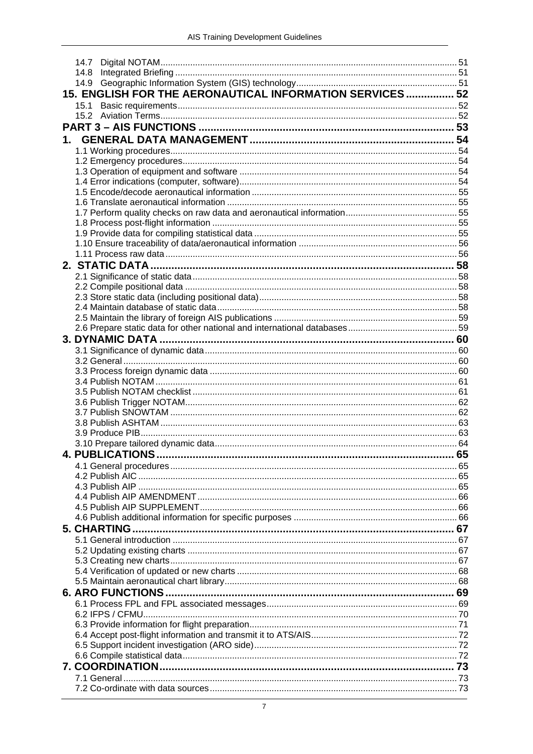|    | 15. ENGLISH FOR THE AERONAUTICAL INFORMATION SERVICES  52 |     |
|----|-----------------------------------------------------------|-----|
|    | 15.1                                                      |     |
|    |                                                           |     |
|    |                                                           |     |
| 1. |                                                           |     |
|    |                                                           |     |
|    |                                                           |     |
|    |                                                           |     |
|    |                                                           |     |
|    |                                                           |     |
|    |                                                           |     |
|    |                                                           |     |
|    |                                                           |     |
|    |                                                           |     |
|    |                                                           |     |
|    |                                                           |     |
|    |                                                           |     |
|    |                                                           |     |
|    |                                                           |     |
|    |                                                           |     |
|    |                                                           |     |
|    |                                                           |     |
|    |                                                           |     |
|    |                                                           |     |
|    |                                                           |     |
|    |                                                           |     |
|    |                                                           |     |
|    |                                                           |     |
|    |                                                           |     |
|    |                                                           |     |
|    |                                                           |     |
|    |                                                           |     |
|    |                                                           |     |
|    | <b>4. PUBLICATIONS</b>                                    | .65 |
|    |                                                           |     |
|    |                                                           |     |
|    |                                                           |     |
|    |                                                           |     |
|    |                                                           |     |
|    |                                                           |     |
|    | 5. CHARTING                                               |     |
|    |                                                           |     |
|    |                                                           |     |
|    |                                                           |     |
|    |                                                           |     |
|    |                                                           |     |
|    |                                                           |     |
|    |                                                           |     |
|    |                                                           |     |
|    |                                                           |     |
|    |                                                           |     |
|    |                                                           |     |
|    |                                                           |     |
|    |                                                           |     |
|    |                                                           |     |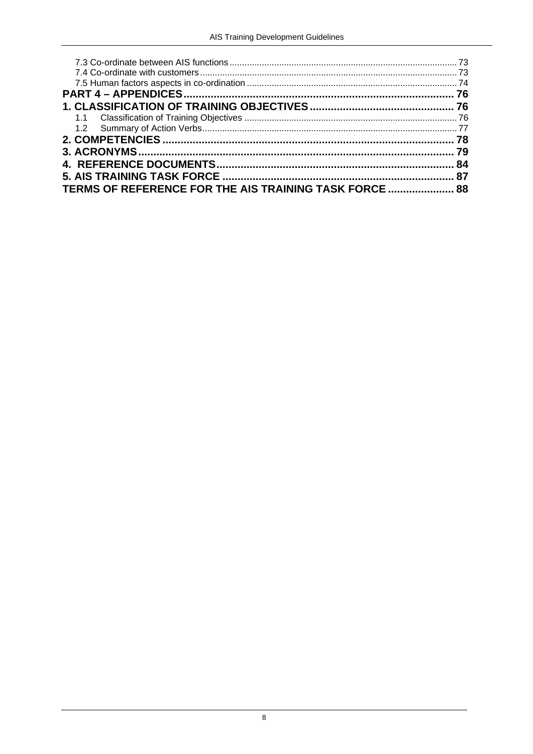| TERMS OF REFERENCE FOR THE AIS TRAINING TASK FORCE  88 |  |
|--------------------------------------------------------|--|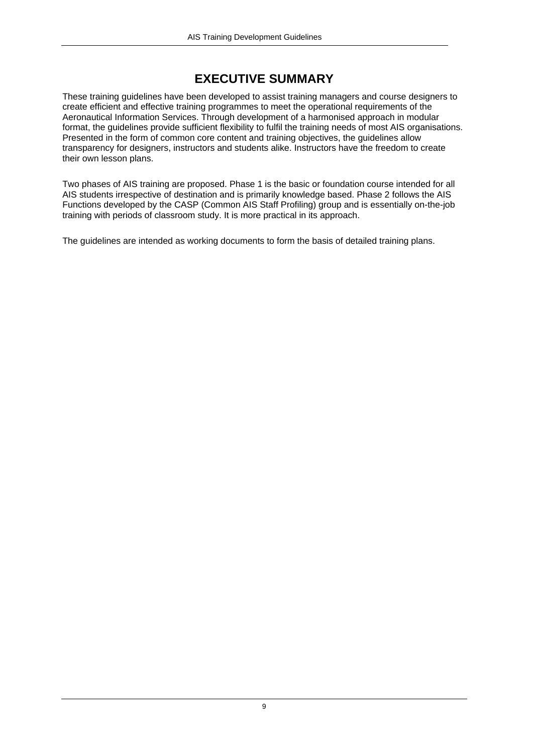### **EXECUTIVE SUMMARY**

These training guidelines have been developed to assist training managers and course designers to create efficient and effective training programmes to meet the operational requirements of the Aeronautical Information Services. Through development of a harmonised approach in modular format, the guidelines provide sufficient flexibility to fulfil the training needs of most AIS organisations. Presented in the form of common core content and training objectives, the guidelines allow transparency for designers, instructors and students alike. Instructors have the freedom to create their own lesson plans.

Two phases of AIS training are proposed. Phase 1 is the basic or foundation course intended for all AIS students irrespective of destination and is primarily knowledge based. Phase 2 follows the AIS Functions developed by the CASP (Common AIS Staff Profiling) group and is essentially on-the-job training with periods of classroom study. It is more practical in its approach.

The guidelines are intended as working documents to form the basis of detailed training plans.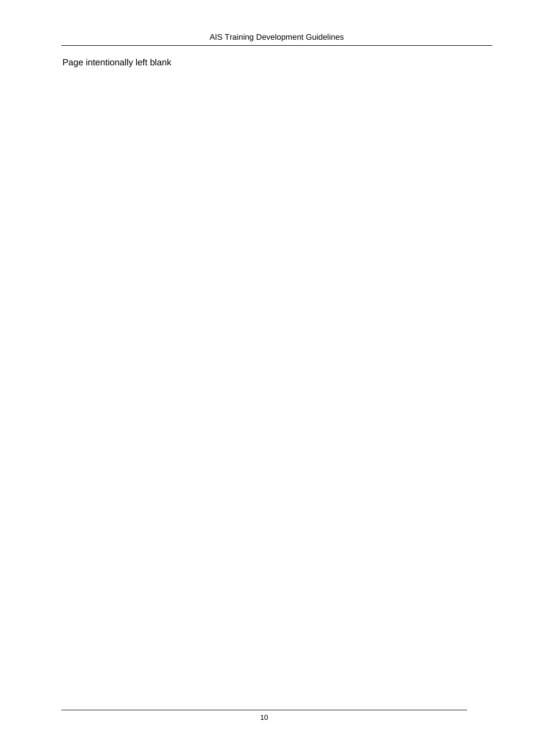Page intentionally left blank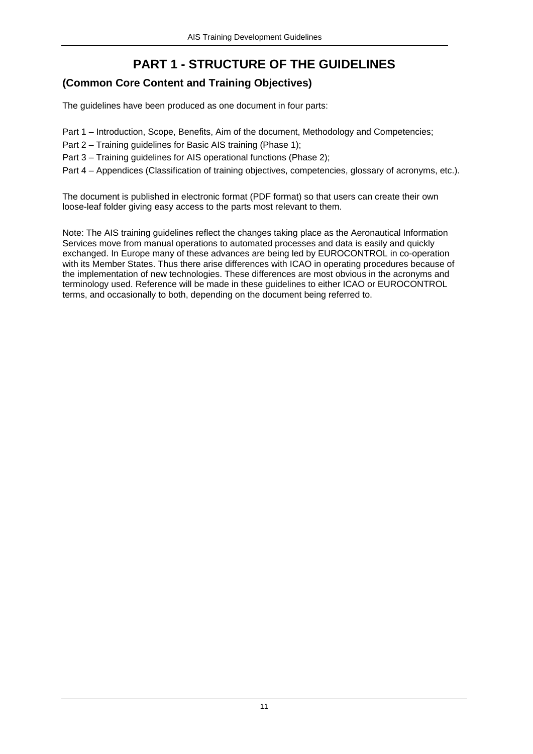## **PART 1 - STRUCTURE OF THE GUIDELINES**

#### **(Common Core Content and Training Objectives)**

The guidelines have been produced as one document in four parts:

- Part 1 Introduction, Scope, Benefits, Aim of the document, Methodology and Competencies;
- Part 2 Training guidelines for Basic AIS training (Phase 1);
- Part 3 Training guidelines for AIS operational functions (Phase 2);
- Part 4 Appendices (Classification of training objectives, competencies, glossary of acronyms, etc.).

The document is published in electronic format (PDF format) so that users can create their own loose-leaf folder giving easy access to the parts most relevant to them.

Note: The AIS training guidelines reflect the changes taking place as the Aeronautical Information Services move from manual operations to automated processes and data is easily and quickly exchanged. In Europe many of these advances are being led by EUROCONTROL in co-operation with its Member States. Thus there arise differences with ICAO in operating procedures because of the implementation of new technologies. These differences are most obvious in the acronyms and terminology used. Reference will be made in these guidelines to either ICAO or EUROCONTROL terms, and occasionally to both, depending on the document being referred to.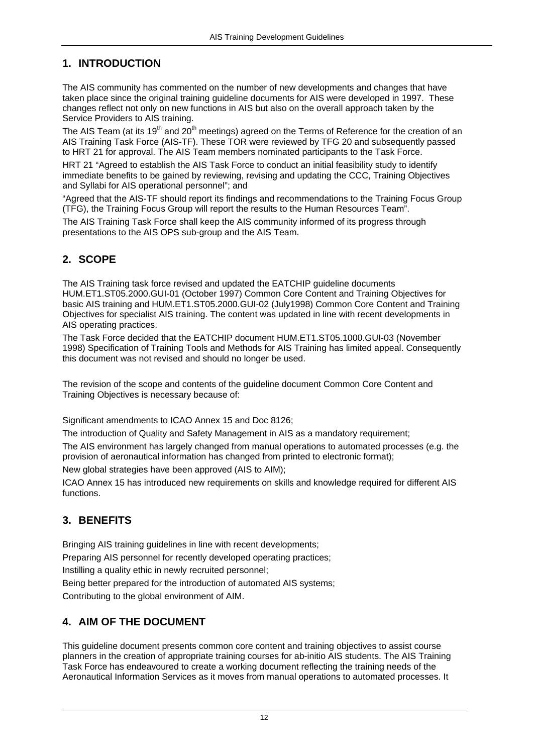#### **1. INTRODUCTION**

The AIS community has commented on the number of new developments and changes that have taken place since the original training guideline documents for AIS were developed in 1997. These changes reflect not only on new functions in AIS but also on the overall approach taken by the Service Providers to AIS training.

The AIS Team (at its 19<sup>th</sup> and 20<sup>th</sup> meetings) agreed on the Terms of Reference for the creation of an AIS Training Task Force (AIS-TF). These TOR were reviewed by TFG 20 and subsequently passed to HRT 21 for approval. The AIS Team members nominated participants to the Task Force.

HRT 21 "Agreed to establish the AIS Task Force to conduct an initial feasibility study to identify immediate benefits to be gained by reviewing, revising and updating the CCC, Training Objectives and Syllabi for AIS operational personnel"; and

"Agreed that the AIS-TF should report its findings and recommendations to the Training Focus Group (TFG), the Training Focus Group will report the results to the Human Resources Team".

The AIS Training Task Force shall keep the AIS community informed of its progress through presentations to the AIS OPS sub-group and the AIS Team.

#### **2. SCOPE**

The AIS Training task force revised and updated the EATCHIP guideline documents HUM.ET1.ST05.2000.GUI-01 (October 1997) Common Core Content and Training Objectives for basic AIS training and HUM.ET1.ST05.2000.GUI-02 (July1998) Common Core Content and Training Objectives for specialist AIS training. The content was updated in line with recent developments in AIS operating practices.

The Task Force decided that the EATCHIP document HUM.ET1.ST05.1000.GUI-03 (November 1998) Specification of Training Tools and Methods for AIS Training has limited appeal. Consequently this document was not revised and should no longer be used.

The revision of the scope and contents of the guideline document Common Core Content and Training Objectives is necessary because of:

Significant amendments to ICAO Annex 15 and Doc 8126;

The introduction of Quality and Safety Management in AIS as a mandatory requirement;

The AIS environment has largely changed from manual operations to automated processes (e.g. the provision of aeronautical information has changed from printed to electronic format);

New global strategies have been approved (AIS to AIM);

ICAO Annex 15 has introduced new requirements on skills and knowledge required for different AIS functions.

#### **3. BENEFITS**

Bringing AIS training guidelines in line with recent developments;

Preparing AIS personnel for recently developed operating practices;

Instilling a quality ethic in newly recruited personnel;

Being better prepared for the introduction of automated AIS systems;

Contributing to the global environment of AIM.

#### **4. AIM OF THE DOCUMENT**

This guideline document presents common core content and training objectives to assist course planners in the creation of appropriate training courses for ab-initio AIS students. The AIS Training Task Force has endeavoured to create a working document reflecting the training needs of the Aeronautical Information Services as it moves from manual operations to automated processes. It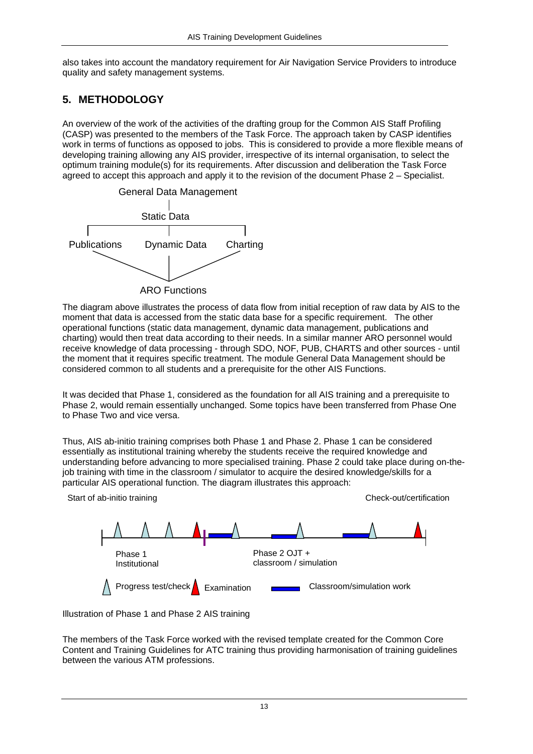also takes into account the mandatory requirement for Air Navigation Service Providers to introduce quality and safety management systems.

#### **5. METHODOLOGY**

An overview of the work of the activities of the drafting group for the Common AIS Staff Profiling (CASP) was presented to the members of the Task Force. The approach taken by CASP identifies work in terms of functions as opposed to jobs. This is considered to provide a more flexible means of developing training allowing any AIS provider, irrespective of its internal organisation, to select the optimum training module(s) for its requirements. After discussion and deliberation the Task Force agreed to accept this approach and apply it to the revision of the document Phase 2 – Specialist.



The diagram above illustrates the process of data flow from initial reception of raw data by AIS to the moment that data is accessed from the static data base for a specific requirement. The other operational functions (static data management, dynamic data management, publications and charting) would then treat data according to their needs. In a similar manner ARO personnel would receive knowledge of data processing - through SDO, NOF, PUB, CHARTS and other sources - until the moment that it requires specific treatment. The module General Data Management should be considered common to all students and a prerequisite for the other AIS Functions.

It was decided that Phase 1, considered as the foundation for all AIS training and a prerequisite to Phase 2, would remain essentially unchanged. Some topics have been transferred from Phase One to Phase Two and vice versa.

Thus, AIS ab-initio training comprises both Phase 1 and Phase 2. Phase 1 can be considered essentially as institutional training whereby the students receive the required knowledge and understanding before advancing to more specialised training. Phase 2 could take place during on-thejob training with time in the classroom / simulator to acquire the desired knowledge/skills for a particular AIS operational function. The diagram illustrates this approach:

Check-out/certification



Illustration of Phase 1 and Phase 2 AIS training

Start of ab-initio training

The members of the Task Force worked with the revised template created for the Common Core Content and Training Guidelines for ATC training thus providing harmonisation of training guidelines between the various ATM professions.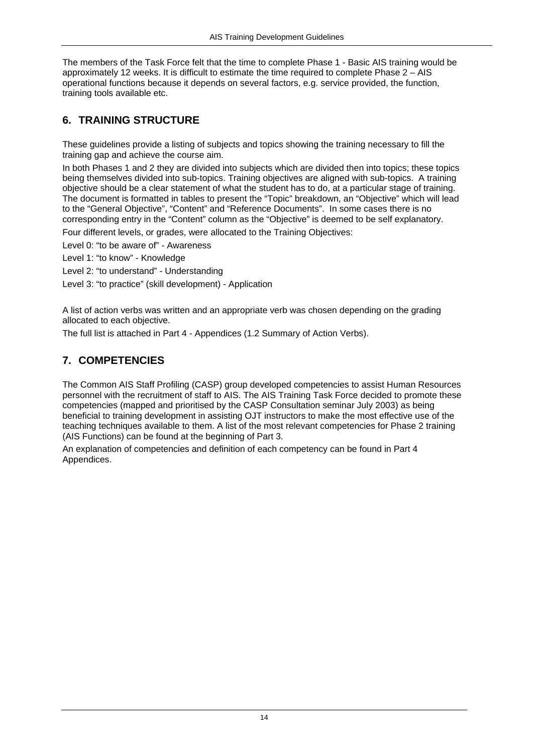The members of the Task Force felt that the time to complete Phase 1 - Basic AIS training would be approximately 12 weeks. It is difficult to estimate the time required to complete Phase 2 – AIS operational functions because it depends on several factors, e.g. service provided, the function, training tools available etc.

#### **6. TRAINING STRUCTURE**

These guidelines provide a listing of subjects and topics showing the training necessary to fill the training gap and achieve the course aim.

In both Phases 1 and 2 they are divided into subjects which are divided then into topics; these topics being themselves divided into sub-topics. Training objectives are aligned with sub-topics. A training objective should be a clear statement of what the student has to do, at a particular stage of training. The document is formatted in tables to present the "Topic" breakdown, an "Objective" which will lead to the "General Objective", "Content" and "Reference Documents". In some cases there is no corresponding entry in the "Content" column as the "Objective" is deemed to be self explanatory.

Four different levels, or grades, were allocated to the Training Objectives:

Level 0: "to be aware of" - Awareness

Level 1: "to know" - Knowledge

Level 2: "to understand" - Understanding

Level 3: "to practice" (skill development) - Application

A list of action verbs was written and an appropriate verb was chosen depending on the grading allocated to each objective.

The full list is attached in Part 4 - Appendices (1.2 Summary of Action Verbs).

#### **7. COMPETENCIES**

The Common AIS Staff Profiling (CASP) group developed competencies to assist Human Resources personnel with the recruitment of staff to AIS. The AIS Training Task Force decided to promote these competencies (mapped and prioritised by the CASP Consultation seminar July 2003) as being beneficial to training development in assisting OJT instructors to make the most effective use of the teaching techniques available to them. A list of the most relevant competencies for Phase 2 training (AIS Functions) can be found at the beginning of Part 3.

An explanation of competencies and definition of each competency can be found in Part 4 Appendices.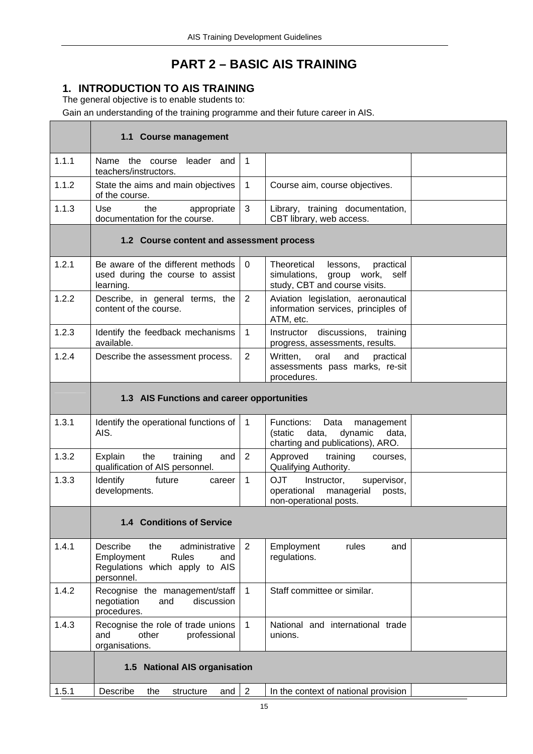## **PART 2 – BASIC AIS TRAINING**

#### **1. INTRODUCTION TO AIS TRAINING**

The general objective is to enable students to:

Gain an understanding of the training programme and their future career in AIS.

|       | 1.1 Course management                                                                                           |                |                                                                                                              |  |
|-------|-----------------------------------------------------------------------------------------------------------------|----------------|--------------------------------------------------------------------------------------------------------------|--|
| 1.1.1 | Name the course leader and<br>teachers/instructors.                                                             | $\mathbf{1}$   |                                                                                                              |  |
| 1.1.2 | State the aims and main objectives<br>of the course.                                                            | $\mathbf{1}$   | Course aim, course objectives.                                                                               |  |
| 1.1.3 | Use<br>the<br>appropriate<br>documentation for the course.                                                      | 3              | Library, training documentation,<br>CBT library, web access.                                                 |  |
|       | 1.2 Course content and assessment process                                                                       |                |                                                                                                              |  |
| 1.2.1 | Be aware of the different methods<br>used during the course to assist<br>learning.                              | $\Omega$       | Theoretical<br>practical<br>lessons,<br>simulations,<br>group work, self<br>study, CBT and course visits.    |  |
| 1.2.2 | Describe, in general terms, the<br>content of the course.                                                       | 2              | Aviation legislation, aeronautical<br>information services, principles of<br>ATM, etc.                       |  |
| 1.2.3 | Identify the feedback mechanisms<br>available.                                                                  | $\mathbf{1}$   | Instructor discussions, training<br>progress, assessments, results.                                          |  |
| 1.2.4 | Describe the assessment process.                                                                                | $\overline{2}$ | Written,<br>oral<br>practical<br>and<br>assessments pass marks, re-sit<br>procedures.                        |  |
|       | 1.3 AIS Functions and career opportunities                                                                      |                |                                                                                                              |  |
| 1.3.1 | Identify the operational functions of<br>AIS.                                                                   | $\mathbf{1}$   | Functions:<br>Data<br>management<br>dynamic<br>(static<br>data,<br>data,<br>charting and publications), ARO. |  |
| 1.3.2 | Explain<br>the<br>training<br>and<br>qualification of AIS personnel.                                            | $\overline{2}$ | Approved training<br>courses,<br>Qualifying Authority.                                                       |  |
| 1.3.3 | Identify<br>future<br>career<br>developments.                                                                   | $\mathbf{1}$   | <b>OJT</b><br>Instructor,<br>supervisor,<br>operational managerial posts,<br>non-operational posts.          |  |
|       | <b>1.4 Conditions of Service</b>                                                                                |                |                                                                                                              |  |
| 1.4.1 | Describe<br>the<br>administrative<br>Employment<br>Rules<br>and<br>Regulations which apply to AIS<br>personnel. | 2              | Employment<br>rules<br>and<br>regulations.                                                                   |  |
| 1.4.2 | Recognise the management/staff<br>discussion<br>negotiation<br>and<br>procedures.                               | $\mathbf{1}$   | Staff committee or similar.                                                                                  |  |
| 1.4.3 | Recognise the role of trade unions<br>other<br>professional<br>and<br>organisations.                            | $\mathbf{1}$   | National and international trade<br>unions.                                                                  |  |
|       | <b>National AIS organisation</b><br>$1.5^{\circ}$                                                               |                |                                                                                                              |  |
| 1.5.1 | Describe<br>the<br>and<br>structure                                                                             | $\sqrt{2}$     | In the context of national provision                                                                         |  |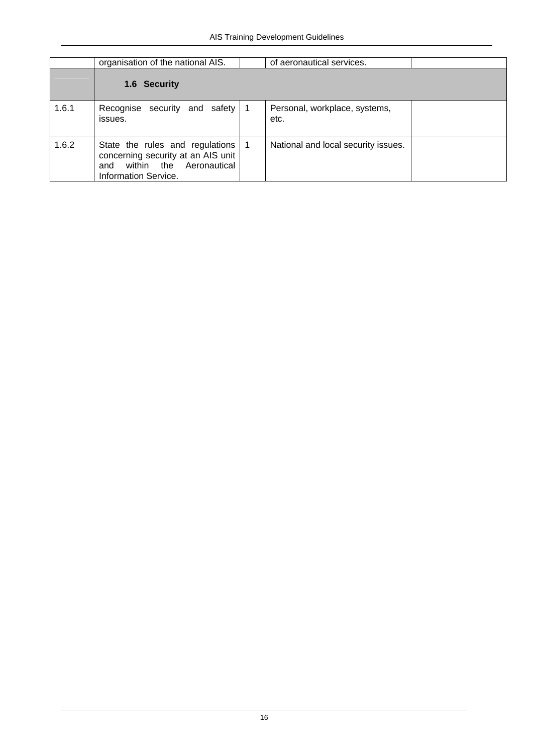|       | organisation of the national AIS.                                                                                               |    | of aeronautical services.             |  |
|-------|---------------------------------------------------------------------------------------------------------------------------------|----|---------------------------------------|--|
|       | 1.6 Security                                                                                                                    |    |                                       |  |
| 1.6.1 | Recognise security and safety<br>issues.                                                                                        | -1 | Personal, workplace, systems,<br>etc. |  |
| 1.6.2 | State the rules and regulations<br>concerning security at an AIS unit<br>within the Aeronautical<br>and<br>Information Service. | -1 | National and local security issues.   |  |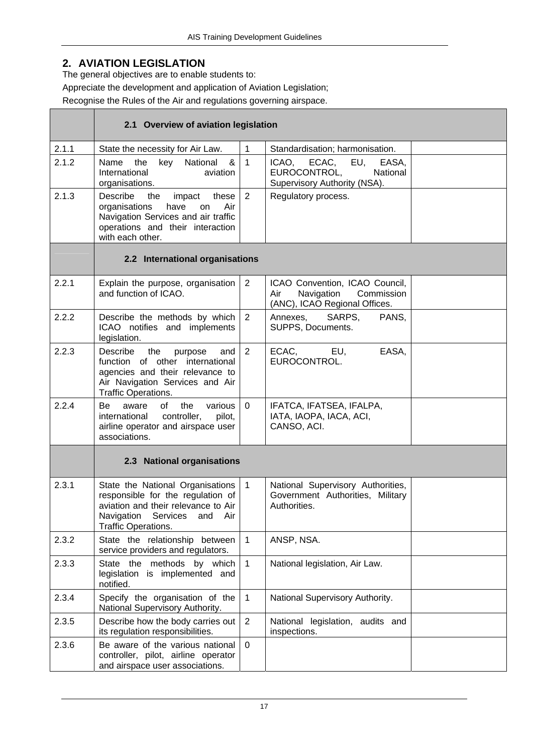#### **2. AVIATION LEGISLATION**

Г

The general objectives are to enable students to: Appreciate the development and application of Aviation Legislation;

Recognise the Rules of the Air and regulations governing airspace.

|       | 2.1 Overview of aviation legislation                                                                                                                                      |                |                                                                                                    |  |  |
|-------|---------------------------------------------------------------------------------------------------------------------------------------------------------------------------|----------------|----------------------------------------------------------------------------------------------------|--|--|
| 2.1.1 | State the necessity for Air Law.                                                                                                                                          | $\mathbf{1}$   | Standardisation; harmonisation.                                                                    |  |  |
| 2.1.2 | key<br>Name<br>the<br>National<br>&<br>International<br>aviation<br>organisations.                                                                                        | $\mathbf{1}$   | ECAC,<br>EU,<br>ICAO,<br>EASA,<br>EUROCONTROL,<br>National<br>Supervisory Authority (NSA).         |  |  |
| 2.1.3 | Describe<br>the<br>impact<br>these<br>Air<br>organisations<br>have<br>on<br>Navigation Services and air traffic<br>operations and their interaction<br>with each other.   | 2              | Regulatory process.                                                                                |  |  |
|       | 2.2 International organisations                                                                                                                                           |                |                                                                                                    |  |  |
| 2.2.1 | Explain the purpose, organisation<br>and function of ICAO.                                                                                                                | 2              | ICAO Convention, ICAO Council,<br>Air<br>Navigation<br>Commission<br>(ANC), ICAO Regional Offices. |  |  |
| 2.2.2 | Describe the methods by which<br>ICAO notifies and implements<br>legislation.                                                                                             | $\overline{2}$ | SARPS,<br>PANS,<br>Annexes,<br>SUPPS, Documents.                                                   |  |  |
| 2.2.3 | Describe the<br>purpose<br>and<br>function of other international<br>agencies and their relevance to<br>Air Navigation Services and Air<br>Traffic Operations.            | 2              | ECAC, EU,<br>EASA,<br>EUROCONTROL.                                                                 |  |  |
| 2.2.4 | Be l<br>of<br>the<br>various<br>aware<br>international<br>controller,<br>pilot,<br>airline operator and airspace user<br>associations.                                    | $\Omega$       | IFATCA, IFATSEA, IFALPA,<br>IATA, IAOPA, IACA, ACI,<br>CANSO, ACI.                                 |  |  |
|       | 2.3 National organisations                                                                                                                                                |                |                                                                                                    |  |  |
| 2.3.1 | State the National Organisations<br>responsible for the regulation of<br>aviation and their relevance to Air<br>Navigation Services and Air<br><b>Traffic Operations.</b> | $\mathbf{1}$   | National Supervisory Authorities,<br>Government Authorities, Military<br>Authorities.              |  |  |
| 2.3.2 | State the relationship between<br>service providers and regulators.                                                                                                       | $\mathbf 1$    | ANSP, NSA.                                                                                         |  |  |
| 2.3.3 | State the methods<br>by which<br>legislation is implemented and<br>notified.                                                                                              | $\mathbf 1$    | National legislation, Air Law.                                                                     |  |  |
| 2.3.4 | Specify the organisation of the<br>National Supervisory Authority.                                                                                                        | $\mathbf{1}$   | National Supervisory Authority.                                                                    |  |  |
| 2.3.5 | Describe how the body carries out<br>its regulation responsibilities.                                                                                                     | $\overline{2}$ | National legislation, audits and<br>inspections.                                                   |  |  |
| 2.3.6 | Be aware of the various national<br>controller, pilot, airline operator<br>and airspace user associations.                                                                | $\mathbf 0$    |                                                                                                    |  |  |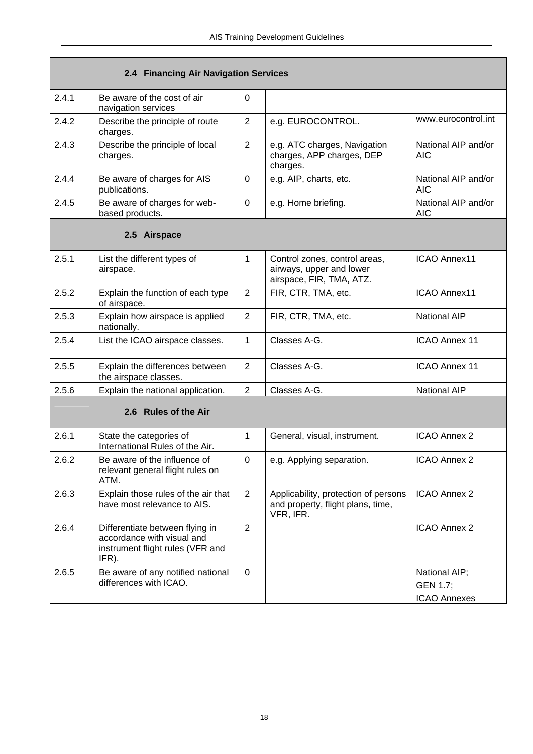|       | 2.4 Financing Air Navigation Services                                                                      |                |                                                                                        |                                                         |  |
|-------|------------------------------------------------------------------------------------------------------------|----------------|----------------------------------------------------------------------------------------|---------------------------------------------------------|--|
| 2.4.1 | Be aware of the cost of air<br>navigation services                                                         | 0              |                                                                                        |                                                         |  |
| 2.4.2 | Describe the principle of route<br>charges.                                                                | $\overline{2}$ | e.g. EUROCONTROL.                                                                      | www.eurocontrol.int                                     |  |
| 2.4.3 | Describe the principle of local<br>charges.                                                                | 2              | e.g. ATC charges, Navigation<br>charges, APP charges, DEP<br>charges.                  | National AIP and/or<br><b>AIC</b>                       |  |
| 2.4.4 | Be aware of charges for AIS<br>publications.                                                               | $\Omega$       | e.g. AIP, charts, etc.                                                                 | National AIP and/or<br><b>AIC</b>                       |  |
| 2.4.5 | Be aware of charges for web-<br>based products.                                                            | $\Omega$       | e.g. Home briefing.                                                                    | National AIP and/or<br><b>AIC</b>                       |  |
|       | 2.5 Airspace                                                                                               |                |                                                                                        |                                                         |  |
| 2.5.1 | List the different types of<br>airspace.                                                                   | 1              | Control zones, control areas,<br>airways, upper and lower<br>airspace, FIR, TMA, ATZ.  | <b>ICAO Annex11</b>                                     |  |
| 2.5.2 | Explain the function of each type<br>of airspace.                                                          | $\overline{2}$ | FIR, CTR, TMA, etc.                                                                    | <b>ICAO Annex11</b>                                     |  |
| 2.5.3 | Explain how airspace is applied<br>nationally.                                                             | $\overline{2}$ | FIR, CTR, TMA, etc.                                                                    | <b>National AIP</b>                                     |  |
| 2.5.4 | List the ICAO airspace classes.                                                                            | 1              | Classes A-G.                                                                           | <b>ICAO Annex 11</b>                                    |  |
| 2.5.5 | Explain the differences between<br>the airspace classes.                                                   | $\overline{2}$ | Classes A-G.                                                                           | <b>ICAO Annex 11</b>                                    |  |
| 2.5.6 | Explain the national application.                                                                          | $\overline{2}$ | Classes A-G.                                                                           | <b>National AIP</b>                                     |  |
|       | 2.6 Rules of the Air                                                                                       |                |                                                                                        |                                                         |  |
| 2.6.1 | State the categories of<br>International Rules of the Air.                                                 | 1              | General, visual, instrument.                                                           | ICAO Annex 2                                            |  |
| 2.6.2 | Be aware of the influence of<br>relevant general flight rules on<br>ATM.                                   | 0              | e.g. Applying separation.                                                              | ICAO Annex 2                                            |  |
| 2.6.3 | Explain those rules of the air that<br>have most relevance to AIS.                                         | $\overline{2}$ | Applicability, protection of persons<br>and property, flight plans, time,<br>VFR, IFR. | ICAO Annex 2                                            |  |
| 2.6.4 | Differentiate between flying in<br>accordance with visual and<br>instrument flight rules (VFR and<br>IFR). | $\overline{2}$ |                                                                                        | ICAO Annex 2                                            |  |
| 2.6.5 | Be aware of any notified national<br>differences with ICAO.                                                | $\pmb{0}$      |                                                                                        | National AIP;<br><b>GEN 1.7;</b><br><b>ICAO Annexes</b> |  |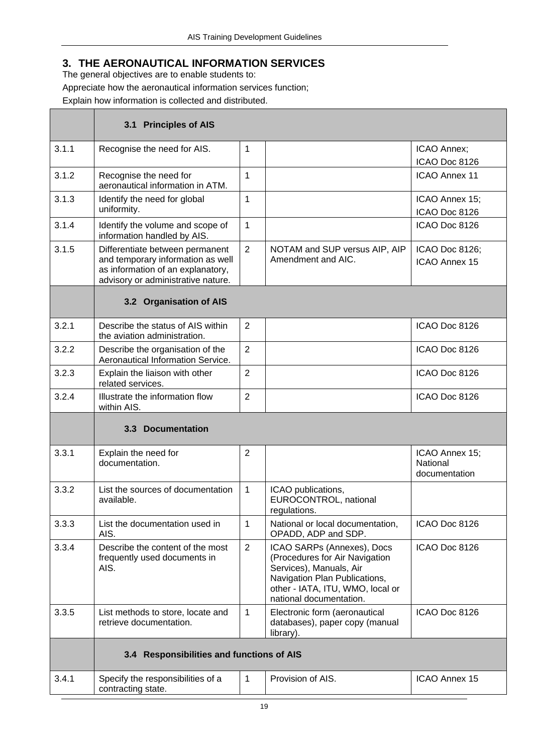#### **3. THE AERONAUTICAL INFORMATION SERVICES**

The general objectives are to enable students to:

Г

┓

Appreciate how the aeronautical information services function;

Explain how information is collected and distributed.

|       | 3.1 Principles of AIS                                                                                                                           |                |                                                                                                                                                                                          |                                             |
|-------|-------------------------------------------------------------------------------------------------------------------------------------------------|----------------|------------------------------------------------------------------------------------------------------------------------------------------------------------------------------------------|---------------------------------------------|
| 3.1.1 | Recognise the need for AIS.                                                                                                                     | 1              |                                                                                                                                                                                          | ICAO Annex;<br>ICAO Doc 8126                |
| 3.1.2 | Recognise the need for<br>aeronautical information in ATM.                                                                                      | 1              |                                                                                                                                                                                          | <b>ICAO Annex 11</b>                        |
| 3.1.3 | Identify the need for global<br>uniformity.                                                                                                     | 1              |                                                                                                                                                                                          | ICAO Annex 15;<br>ICAO Doc 8126             |
| 3.1.4 | Identify the volume and scope of<br>information handled by AIS.                                                                                 | 1              |                                                                                                                                                                                          | ICAO Doc 8126                               |
| 3.1.5 | Differentiate between permanent<br>and temporary information as well<br>as information of an explanatory,<br>advisory or administrative nature. | $\overline{2}$ | NOTAM and SUP versus AIP, AIP<br>Amendment and AIC.                                                                                                                                      | ICAO Doc 8126;<br><b>ICAO Annex 15</b>      |
|       | 3.2 Organisation of AIS                                                                                                                         |                |                                                                                                                                                                                          |                                             |
| 3.2.1 | Describe the status of AIS within<br>the aviation administration.                                                                               | $\overline{2}$ |                                                                                                                                                                                          | ICAO Doc 8126                               |
| 3.2.2 | Describe the organisation of the<br>Aeronautical Information Service.                                                                           | $\overline{2}$ |                                                                                                                                                                                          | ICAO Doc 8126                               |
| 3.2.3 | Explain the liaison with other<br>related services.                                                                                             | $\overline{2}$ |                                                                                                                                                                                          | ICAO Doc 8126                               |
| 3.2.4 | Illustrate the information flow<br>within AIS.                                                                                                  | $\overline{2}$ |                                                                                                                                                                                          | ICAO Doc 8126                               |
|       | <b>Documentation</b><br>3.3 <sub>1</sub>                                                                                                        |                |                                                                                                                                                                                          |                                             |
| 3.3.1 | Explain the need for<br>documentation.                                                                                                          | $\overline{2}$ |                                                                                                                                                                                          | ICAO Annex 15;<br>National<br>documentation |
| 3.3.2 | List the sources of documentation<br>available.                                                                                                 | 1              | ICAO publications,<br>EUROCONTROL, national<br>regulations.                                                                                                                              |                                             |
| 3.3.3 | List the documentation used in<br>AIS.                                                                                                          | 1              | National or local documentation,<br>OPADD, ADP and SDP.                                                                                                                                  | ICAO Doc 8126                               |
| 3.3.4 | Describe the content of the most<br>frequently used documents in<br>AIS.                                                                        | $\overline{2}$ | ICAO SARPs (Annexes), Docs<br>(Procedures for Air Navigation)<br>Services), Manuals, Air<br>Navigation Plan Publications,<br>other - IATA, ITU, WMO, local or<br>national documentation. | ICAO Doc 8126                               |
| 3.3.5 | List methods to store, locate and<br>retrieve documentation.                                                                                    | 1              | Electronic form (aeronautical<br>databases), paper copy (manual<br>library).                                                                                                             | ICAO Doc 8126                               |
|       | 3.4 Responsibilities and functions of AIS                                                                                                       |                |                                                                                                                                                                                          |                                             |
| 3.4.1 | Specify the responsibilities of a<br>contracting state.                                                                                         | 1              | Provision of AIS.                                                                                                                                                                        | ICAO Annex 15                               |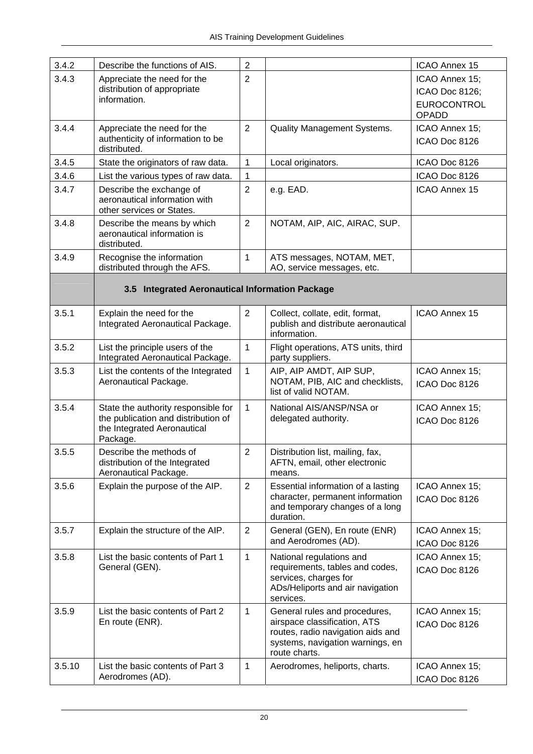| 3.4.2  | Describe the functions of AIS.                                                                                        | $\overline{2}$ |                                                                                                                                                         | ICAO Annex 15                      |
|--------|-----------------------------------------------------------------------------------------------------------------------|----------------|---------------------------------------------------------------------------------------------------------------------------------------------------------|------------------------------------|
| 3.4.3  | Appreciate the need for the                                                                                           | $\overline{2}$ |                                                                                                                                                         | ICAO Annex 15;                     |
|        | distribution of appropriate                                                                                           |                |                                                                                                                                                         | ICAO Doc 8126;                     |
|        | information.                                                                                                          |                |                                                                                                                                                         | <b>EUROCONTROL</b><br><b>OPADD</b> |
| 3.4.4  | Appreciate the need for the                                                                                           | $\overline{2}$ | Quality Management Systems.                                                                                                                             | ICAO Annex 15;                     |
|        | authenticity of information to be<br>distributed.                                                                     |                |                                                                                                                                                         | ICAO Doc 8126                      |
| 3.4.5  | State the originators of raw data.                                                                                    | 1              | Local originators.                                                                                                                                      | ICAO Doc 8126                      |
| 3.4.6  | List the various types of raw data.                                                                                   | 1              |                                                                                                                                                         | ICAO Doc 8126                      |
| 3.4.7  | Describe the exchange of<br>aeronautical information with<br>other services or States.                                | $\overline{2}$ | e.g. EAD.                                                                                                                                               | ICAO Annex 15                      |
| 3.4.8  | Describe the means by which<br>aeronautical information is<br>distributed.                                            | $\overline{2}$ | NOTAM, AIP, AIC, AIRAC, SUP.                                                                                                                            |                                    |
| 3.4.9  | Recognise the information<br>distributed through the AFS.                                                             | 1              | ATS messages, NOTAM, MET,<br>AO, service messages, etc.                                                                                                 |                                    |
|        | <b>Integrated Aeronautical Information Package</b><br>$3.5^{\circ}$                                                   |                |                                                                                                                                                         |                                    |
| 3.5.1  | Explain the need for the<br>Integrated Aeronautical Package.                                                          | $\overline{2}$ | Collect, collate, edit, format,<br>publish and distribute aeronautical<br>information.                                                                  | ICAO Annex 15                      |
| 3.5.2  | List the principle users of the<br>Integrated Aeronautical Package.                                                   | 1              | Flight operations, ATS units, third<br>party suppliers.                                                                                                 |                                    |
| 3.5.3  | List the contents of the Integrated<br>Aeronautical Package.                                                          | 1              | AIP, AIP AMDT, AIP SUP,<br>NOTAM, PIB, AIC and checklists,<br>list of valid NOTAM.                                                                      | ICAO Annex 15;<br>ICAO Doc 8126    |
| 3.5.4  | State the authority responsible for<br>the publication and distribution of<br>the Integrated Aeronautical<br>Package. | 1              | National AIS/ANSP/NSA or<br>delegated authority.                                                                                                        | ICAO Annex 15;<br>ICAO Doc 8126    |
| 3.5.5  | Describe the methods of<br>distribution of the Integrated<br>Aeronautical Package.                                    | $\overline{2}$ | Distribution list, mailing, fax,<br>AFTN, email, other electronic<br>means.                                                                             |                                    |
| 3.5.6  | Explain the purpose of the AIP.                                                                                       | $\overline{2}$ | Essential information of a lasting<br>character, permanent information<br>and temporary changes of a long<br>duration.                                  | ICAO Annex 15;<br>ICAO Doc 8126    |
| 3.5.7  | Explain the structure of the AIP.                                                                                     | 2              | General (GEN), En route (ENR)<br>and Aerodromes (AD).                                                                                                   | ICAO Annex 15;<br>ICAO Doc 8126    |
| 3.5.8  | List the basic contents of Part 1<br>General (GEN).                                                                   | 1              | National regulations and<br>requirements, tables and codes,<br>services, charges for<br>ADs/Heliports and air navigation<br>services.                   | ICAO Annex 15;<br>ICAO Doc 8126    |
| 3.5.9  | List the basic contents of Part 2<br>En route (ENR).                                                                  | 1              | General rules and procedures,<br>airspace classification, ATS<br>routes, radio navigation aids and<br>systems, navigation warnings, en<br>route charts. | ICAO Annex 15;<br>ICAO Doc 8126    |
| 3.5.10 | List the basic contents of Part 3<br>Aerodromes (AD).                                                                 | 1              | Aerodromes, heliports, charts.                                                                                                                          | ICAO Annex 15;<br>ICAO Doc 8126    |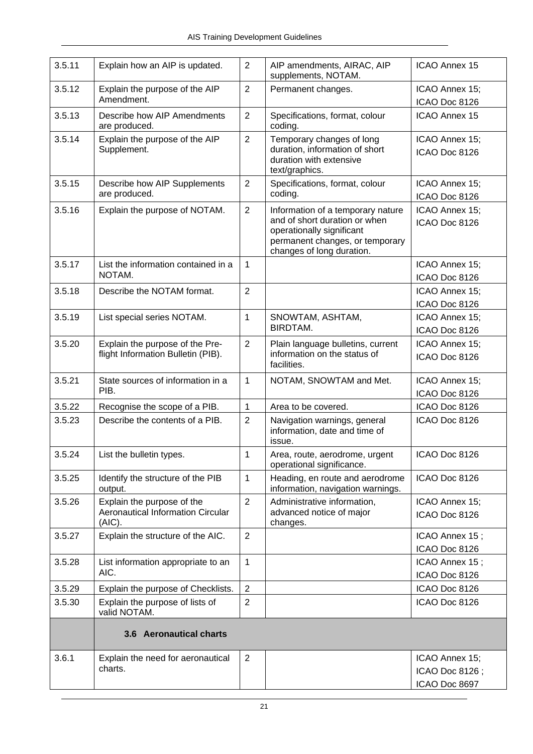| 3.5.11 | Explain how an AIP is updated.                                                   | $\overline{2}$ | AIP amendments, AIRAC, AIP<br>supplements, NOTAM.                                                                                                               | <b>ICAO Annex 15</b>                              |
|--------|----------------------------------------------------------------------------------|----------------|-----------------------------------------------------------------------------------------------------------------------------------------------------------------|---------------------------------------------------|
| 3.5.12 | Explain the purpose of the AIP<br>Amendment.                                     | $\overline{2}$ | Permanent changes.                                                                                                                                              | ICAO Annex 15;<br>ICAO Doc 8126                   |
| 3.5.13 | Describe how AIP Amendments<br>are produced.                                     | $\overline{2}$ | Specifications, format, colour<br>coding.                                                                                                                       | ICAO Annex 15                                     |
| 3.5.14 | Explain the purpose of the AIP<br>Supplement.                                    | $\overline{2}$ | Temporary changes of long<br>duration, information of short<br>duration with extensive<br>text/graphics.                                                        | ICAO Annex 15;<br>ICAO Doc 8126                   |
| 3.5.15 | Describe how AIP Supplements<br>are produced.                                    | $\overline{2}$ | Specifications, format, colour<br>coding.                                                                                                                       | ICAO Annex 15;<br>ICAO Doc 8126                   |
| 3.5.16 | Explain the purpose of NOTAM.                                                    | $\overline{2}$ | Information of a temporary nature<br>and of short duration or when<br>operationally significant<br>permanent changes, or temporary<br>changes of long duration. | ICAO Annex 15;<br>ICAO Doc 8126                   |
| 3.5.17 | List the information contained in a<br>NOTAM.                                    | 1              |                                                                                                                                                                 | ICAO Annex 15;<br>ICAO Doc 8126                   |
| 3.5.18 | Describe the NOTAM format.                                                       | $\overline{2}$ |                                                                                                                                                                 | ICAO Annex 15;<br>ICAO Doc 8126                   |
| 3.5.19 | List special series NOTAM.                                                       | 1              | SNOWTAM, ASHTAM,<br><b>BIRDTAM.</b>                                                                                                                             | ICAO Annex 15;<br>ICAO Doc 8126                   |
| 3.5.20 | Explain the purpose of the Pre-<br>flight Information Bulletin (PIB).            | $\overline{2}$ | Plain language bulletins, current<br>information on the status of<br>facilities.                                                                                | ICAO Annex 15;<br>ICAO Doc 8126                   |
| 3.5.21 | State sources of information in a<br>PIB.                                        | 1              | NOTAM, SNOWTAM and Met.                                                                                                                                         | ICAO Annex 15;<br>ICAO Doc 8126                   |
| 3.5.22 | Recognise the scope of a PIB.                                                    | 1              | Area to be covered.                                                                                                                                             | ICAO Doc 8126                                     |
| 3.5.23 | Describe the contents of a PIB.                                                  | $\overline{2}$ | Navigation warnings, general<br>information, date and time of<br>issue.                                                                                         | ICAO Doc 8126                                     |
| 3.5.24 | List the bulletin types.                                                         | 1              | Area, route, aerodrome, urgent<br>operational significance.                                                                                                     | ICAO Doc 8126                                     |
| 3.5.25 | Identify the structure of the PIB<br>output.                                     | 1              | Heading, en route and aerodrome<br>information, navigation warnings.                                                                                            | ICAO Doc 8126                                     |
| 3.5.26 | Explain the purpose of the<br><b>Aeronautical Information Circular</b><br>(AIC). | $\overline{2}$ | Administrative information,<br>advanced notice of major<br>changes.                                                                                             | ICAO Annex 15;<br>ICAO Doc 8126                   |
| 3.5.27 | Explain the structure of the AIC.                                                | $\overline{2}$ |                                                                                                                                                                 | ICAO Annex 15;<br>ICAO Doc 8126                   |
| 3.5.28 | List information appropriate to an<br>AIC.                                       | 1              |                                                                                                                                                                 | ICAO Annex 15 ;<br>ICAO Doc 8126                  |
| 3.5.29 | Explain the purpose of Checklists.                                               | $\overline{2}$ |                                                                                                                                                                 | ICAO Doc 8126                                     |
| 3.5.30 | Explain the purpose of lists of<br>valid NOTAM.                                  | $\overline{2}$ |                                                                                                                                                                 | ICAO Doc 8126                                     |
|        | 3.6 Aeronautical charts                                                          |                |                                                                                                                                                                 |                                                   |
| 3.6.1  | Explain the need for aeronautical<br>charts.                                     | $\overline{2}$ |                                                                                                                                                                 | ICAO Annex 15;<br>ICAO Doc 8126;<br>ICAO Doc 8697 |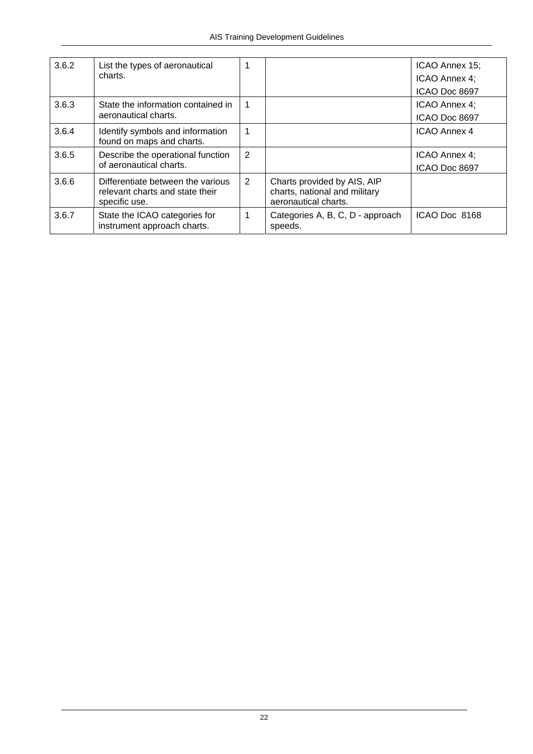| 3.6.2 | List the types of aeronautical<br>charts.                                             | 1 |                                                                                      | ICAO Annex 15;<br>ICAO Annex 4:<br>ICAO Doc 8697 |
|-------|---------------------------------------------------------------------------------------|---|--------------------------------------------------------------------------------------|--------------------------------------------------|
| 3.6.3 | State the information contained in<br>aeronautical charts.                            | 1 |                                                                                      | ICAO Annex 4;<br>ICAO Doc 8697                   |
| 3.6.4 | Identify symbols and information<br>found on maps and charts.                         | 1 |                                                                                      | ICAO Annex 4                                     |
| 3.6.5 | Describe the operational function<br>of aeronautical charts.                          | 2 |                                                                                      | ICAO Annex 4;<br>ICAO Doc 8697                   |
| 3.6.6 | Differentiate between the various<br>relevant charts and state their<br>specific use. | 2 | Charts provided by AIS, AIP<br>charts, national and military<br>aeronautical charts. |                                                  |
| 3.6.7 | State the ICAO categories for<br>instrument approach charts.                          | 1 | Categories A, B, C, D - approach<br>speeds.                                          | ICAO Doc 8168                                    |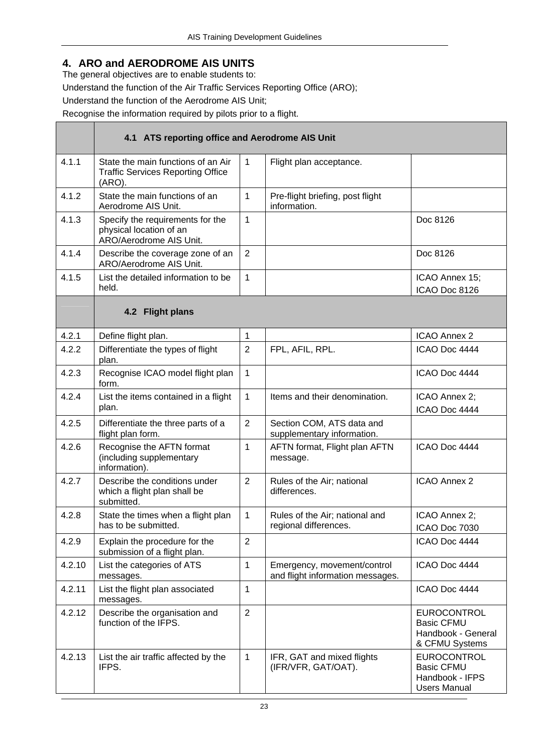#### **4. ARO and AERODROME AIS UNITS**

The general objectives are to enable students to:

Understand the function of the Air Traffic Services Reporting Office (ARO);

Understand the function of the Aerodrome AIS Unit;

Recognise the information required by pilots prior to a flight.

|        | 4.1 ATS reporting office and Aerodrome AIS Unit                                          |                |                                                                 |                                                                                 |  |  |
|--------|------------------------------------------------------------------------------------------|----------------|-----------------------------------------------------------------|---------------------------------------------------------------------------------|--|--|
| 4.1.1  | State the main functions of an Air<br><b>Traffic Services Reporting Office</b><br>(ARO). | $\mathbf{1}$   | Flight plan acceptance.                                         |                                                                                 |  |  |
| 4.1.2  | State the main functions of an<br>Aerodrome AIS Unit.                                    | $\mathbf{1}$   | Pre-flight briefing, post flight<br>information.                |                                                                                 |  |  |
| 4.1.3  | Specify the requirements for the<br>physical location of an<br>ARO/Aerodrome AIS Unit.   | $\mathbf{1}$   |                                                                 | Doc 8126                                                                        |  |  |
| 4.1.4  | Describe the coverage zone of an<br>ARO/Aerodrome AIS Unit.                              | $\overline{2}$ |                                                                 | Doc 8126                                                                        |  |  |
| 4.1.5  | List the detailed information to be<br>held.                                             | 1              |                                                                 | ICAO Annex 15;<br>ICAO Doc 8126                                                 |  |  |
|        | 4.2 Flight plans                                                                         |                |                                                                 |                                                                                 |  |  |
| 4.2.1  | Define flight plan.                                                                      | 1              |                                                                 | <b>ICAO Annex 2</b>                                                             |  |  |
| 4.2.2  | Differentiate the types of flight<br>plan.                                               | $\overline{2}$ | FPL, AFIL, RPL.                                                 | ICAO Doc 4444                                                                   |  |  |
| 4.2.3  | Recognise ICAO model flight plan<br>form.                                                | $\mathbf{1}$   |                                                                 | ICAO Doc 4444                                                                   |  |  |
| 4.2.4  | List the items contained in a flight<br>plan.                                            | 1              | Items and their denomination.                                   | ICAO Annex 2;<br>ICAO Doc 4444                                                  |  |  |
| 4.2.5  | Differentiate the three parts of a<br>flight plan form.                                  | $\overline{2}$ | Section COM, ATS data and<br>supplementary information.         |                                                                                 |  |  |
| 4.2.6  | Recognise the AFTN format<br>(including supplementary<br>information).                   | $\mathbf{1}$   | AFTN format, Flight plan AFTN<br>message.                       | ICAO Doc 4444                                                                   |  |  |
| 4.2.7  | Describe the conditions under<br>which a flight plan shall be<br>submitted.              | $\overline{2}$ | Rules of the Air; national<br>differences.                      | <b>ICAO Annex 2</b>                                                             |  |  |
| 4.2.8  | State the times when a flight plan<br>has to be submitted.                               | 1              | Rules of the Air; national and<br>regional differences.         | ICAO Annex 2;<br>ICAO Doc 7030                                                  |  |  |
| 4.2.9  | Explain the procedure for the<br>submission of a flight plan.                            | $\overline{2}$ |                                                                 | ICAO Doc 4444                                                                   |  |  |
| 4.2.10 | List the categories of ATS<br>messages.                                                  | $\mathbf{1}$   | Emergency, movement/control<br>and flight information messages. | ICAO Doc 4444                                                                   |  |  |
| 4.2.11 | List the flight plan associated<br>messages.                                             | $\mathbf{1}$   |                                                                 | ICAO Doc 4444                                                                   |  |  |
| 4.2.12 | Describe the organisation and<br>function of the IFPS.                                   | $\overline{2}$ |                                                                 | <b>EUROCONTROL</b><br><b>Basic CFMU</b><br>Handbook - General<br>& CFMU Systems |  |  |
| 4.2.13 | List the air traffic affected by the<br>IFPS.                                            | $\mathbf{1}$   | IFR, GAT and mixed flights<br>(IFR/VFR, GAT/OAT).               | EUROCONTROL<br><b>Basic CFMU</b><br>Handbook - IFPS<br><b>Users Manual</b>      |  |  |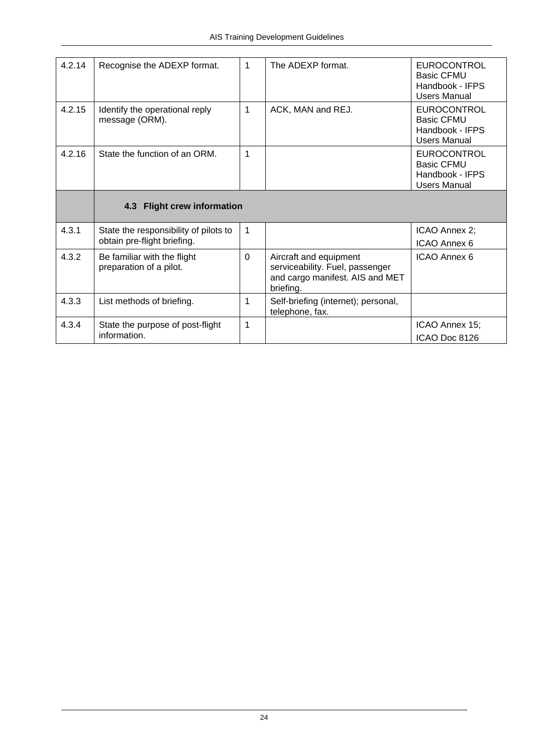| 4.2.14 | Recognise the ADEXP format.                                          | 1           | The ADEXP format.                                                                                         | <b>EUROCONTROL</b><br><b>Basic CFMU</b><br>Handbook - IFPS<br><b>Users Manual</b> |
|--------|----------------------------------------------------------------------|-------------|-----------------------------------------------------------------------------------------------------------|-----------------------------------------------------------------------------------|
| 4.2.15 | Identify the operational reply<br>message (ORM).                     | 1           | ACK, MAN and REJ.                                                                                         | <b>EUROCONTROL</b><br><b>Basic CFMU</b><br>Handbook - IFPS<br>Users Manual        |
| 4.2.16 | State the function of an ORM.                                        | 1           |                                                                                                           | <b>EUROCONTROL</b><br><b>Basic CFMU</b><br>Handbook - IFPS<br><b>Users Manual</b> |
|        | 4.3 Flight crew information                                          |             |                                                                                                           |                                                                                   |
| 4.3.1  | State the responsibility of pilots to<br>obtain pre-flight briefing. | 1           |                                                                                                           | ICAO Annex 2;<br>ICAO Annex 6                                                     |
| 4.3.2  | Be familiar with the flight<br>preparation of a pilot.               | $\Omega$    | Aircraft and equipment<br>serviceability. Fuel, passenger<br>and cargo manifest. AIS and MET<br>briefing. | ICAO Annex 6                                                                      |
| 4.3.3  | List methods of briefing.                                            | 1           | Self-briefing (internet); personal,<br>telephone, fax.                                                    |                                                                                   |
| 4.3.4  | State the purpose of post-flight<br>information.                     | $\mathbf 1$ |                                                                                                           | ICAO Annex 15;<br>ICAO Doc 8126                                                   |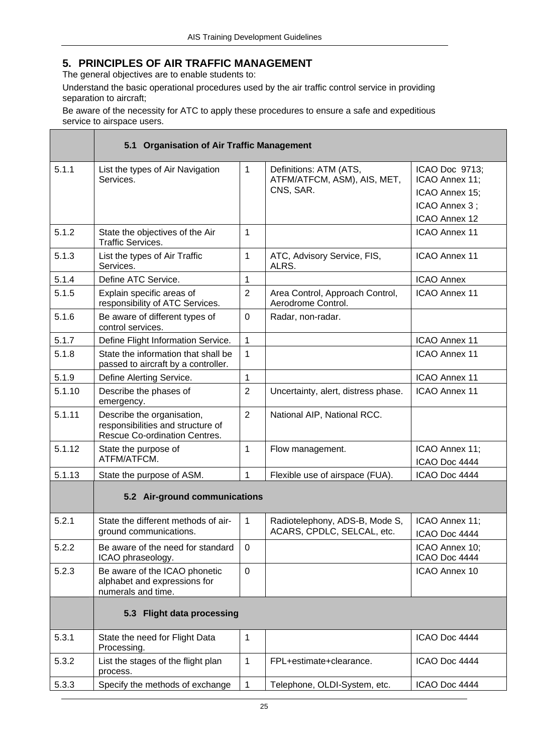#### **5. PRINCIPLES OF AIR TRAFFIC MANAGEMENT**

The general objectives are to enable students to:

Understand the basic operational procedures used by the air traffic control service in providing separation to aircraft;

Be aware of the necessity for ATC to apply these procedures to ensure a safe and expeditious service to airspace users.

|        | <b>Organisation of Air Traffic Management</b><br>5.1                                             |                |                                                                    |                                                                     |  |
|--------|--------------------------------------------------------------------------------------------------|----------------|--------------------------------------------------------------------|---------------------------------------------------------------------|--|
| 5.1.1  | List the types of Air Navigation<br>Services.                                                    | $\mathbf{1}$   | Definitions: ATM (ATS,<br>ATFM/ATFCM, ASM), AIS, MET,<br>CNS, SAR. | ICAO Doc 9713;<br>ICAO Annex 11:<br>ICAO Annex 15;<br>ICAO Annex 3; |  |
| 5.1.2  | State the objectives of the Air                                                                  | 1              |                                                                    | ICAO Annex 12<br><b>ICAO Annex 11</b>                               |  |
|        | <b>Traffic Services.</b>                                                                         |                |                                                                    |                                                                     |  |
| 5.1.3  | List the types of Air Traffic<br>Services.                                                       | 1              | ATC, Advisory Service, FIS,<br>ALRS.                               | ICAO Annex 11                                                       |  |
| 5.1.4  | Define ATC Service.                                                                              | $\mathbf{1}$   |                                                                    | <b>ICAO Annex</b>                                                   |  |
| 5.1.5  | Explain specific areas of<br>responsibility of ATC Services.                                     | $\overline{2}$ | Area Control, Approach Control,<br>Aerodrome Control.              | ICAO Annex 11                                                       |  |
| 5.1.6  | Be aware of different types of<br>control services.                                              | 0              | Radar, non-radar.                                                  |                                                                     |  |
| 5.1.7  | Define Flight Information Service.                                                               | $\mathbf{1}$   |                                                                    | ICAO Annex 11                                                       |  |
| 5.1.8  | State the information that shall be<br>passed to aircraft by a controller.                       | $\mathbf{1}$   |                                                                    | ICAO Annex 11                                                       |  |
| 5.1.9  | Define Alerting Service.                                                                         | 1              |                                                                    | ICAO Annex 11                                                       |  |
| 5.1.10 | Describe the phases of<br>emergency.                                                             | $\overline{2}$ | Uncertainty, alert, distress phase.                                | ICAO Annex 11                                                       |  |
| 5.1.11 | Describe the organisation,<br>responsibilities and structure of<br>Rescue Co-ordination Centres. | $\overline{2}$ | National AIP, National RCC.                                        |                                                                     |  |
| 5.1.12 | State the purpose of<br>ATFM/ATFCM.                                                              | 1              | Flow management.                                                   | ICAO Annex 11;<br>ICAO Doc 4444                                     |  |
| 5.1.13 | State the purpose of ASM.                                                                        | 1              | Flexible use of airspace (FUA).                                    | ICAO Doc 4444                                                       |  |
|        | 5.2 Air-ground communications                                                                    |                |                                                                    |                                                                     |  |
| 5.2.1  | State the different methods of air-<br>ground communications.                                    | $\mathbf{1}$   | Radiotelephony, ADS-B, Mode S,<br>ACARS, CPDLC, SELCAL, etc.       | ICAO Annex 11;<br>ICAO Doc 4444                                     |  |
| 5.2.2  | Be aware of the need for standard<br>ICAO phraseology.                                           | 0              |                                                                    | ICAO Annex 10;<br>ICAO Doc 4444                                     |  |
| 5.2.3  | Be aware of the ICAO phonetic<br>alphabet and expressions for<br>numerals and time.              | $\mathbf 0$    |                                                                    | ICAO Annex 10                                                       |  |
|        | 5.3 Flight data processing                                                                       |                |                                                                    |                                                                     |  |
| 5.3.1  | State the need for Flight Data<br>Processing.                                                    | 1              |                                                                    | ICAO Doc 4444                                                       |  |
| 5.3.2  | List the stages of the flight plan<br>process.                                                   | 1              | FPL+estimate+clearance.                                            | ICAO Doc 4444                                                       |  |
| 5.3.3  | Specify the methods of exchange                                                                  | $\mathbf{1}$   | Telephone, OLDI-System, etc.                                       | ICAO Doc 4444                                                       |  |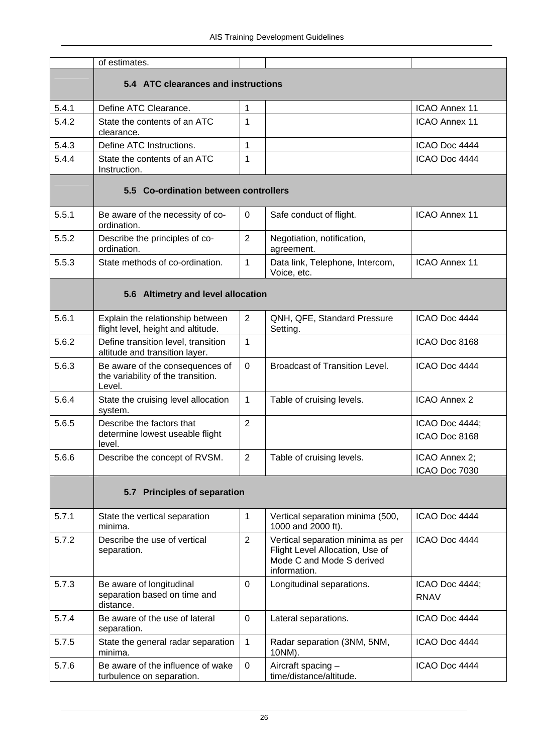|       | of estimates.                                                                   |                |                                                                                                                   |                                 |
|-------|---------------------------------------------------------------------------------|----------------|-------------------------------------------------------------------------------------------------------------------|---------------------------------|
|       | 5.4 ATC clearances and instructions                                             |                |                                                                                                                   |                                 |
| 5.4.1 | Define ATC Clearance.                                                           | 1              |                                                                                                                   | ICAO Annex 11                   |
| 5.4.2 | State the contents of an ATC<br>clearance.                                      | 1              |                                                                                                                   | <b>ICAO Annex 11</b>            |
| 5.4.3 | Define ATC Instructions.                                                        | 1              |                                                                                                                   | ICAO Doc 4444                   |
| 5.4.4 | State the contents of an ATC<br>Instruction.                                    | 1              |                                                                                                                   | ICAO Doc 4444                   |
|       | <b>Co-ordination between controllers</b><br>5.5                                 |                |                                                                                                                   |                                 |
| 5.5.1 | Be aware of the necessity of co-<br>ordination.                                 | 0              | Safe conduct of flight.                                                                                           | <b>ICAO Annex 11</b>            |
| 5.5.2 | Describe the principles of co-<br>ordination.                                   | $\overline{2}$ | Negotiation, notification,<br>agreement.                                                                          |                                 |
| 5.5.3 | State methods of co-ordination.                                                 | 1              | Data link, Telephone, Intercom,<br>Voice, etc.                                                                    | <b>ICAO Annex 11</b>            |
|       | 5.6 Altimetry and level allocation                                              |                |                                                                                                                   |                                 |
| 5.6.1 | Explain the relationship between<br>flight level, height and altitude.          | $\overline{2}$ | QNH, QFE, Standard Pressure<br>Setting.                                                                           | ICAO Doc 4444                   |
| 5.6.2 | Define transition level, transition<br>altitude and transition layer.           | $\mathbf{1}$   |                                                                                                                   | ICAO Doc 8168                   |
| 5.6.3 | Be aware of the consequences of<br>the variability of the transition.<br>Level. | $\mathbf 0$    | <b>Broadcast of Transition Level.</b>                                                                             | ICAO Doc 4444                   |
| 5.6.4 | State the cruising level allocation<br>system.                                  | $\mathbf{1}$   | Table of cruising levels.                                                                                         | <b>ICAO Annex 2</b>             |
| 5.6.5 | Describe the factors that<br>determine lowest useable flight<br>level.          | $\overline{2}$ |                                                                                                                   | ICAO Doc 4444;<br>ICAO Doc 8168 |
| 5.6.6 | Describe the concept of RVSM.                                                   | 2              | Table of cruising levels.                                                                                         | ICAO Annex 2;<br>ICAO Doc 7030  |
|       | <b>Principles of separation</b><br>5.7                                          |                |                                                                                                                   |                                 |
| 5.7.1 | State the vertical separation<br>minima.                                        | 1              | Vertical separation minima (500,<br>1000 and 2000 ft).                                                            | ICAO Doc 4444                   |
| 5.7.2 | Describe the use of vertical<br>separation.                                     | $\overline{2}$ | Vertical separation minima as per<br>Flight Level Allocation, Use of<br>Mode C and Mode S derived<br>information. | ICAO Doc 4444                   |
| 5.7.3 | Be aware of longitudinal<br>separation based on time and<br>distance.           | 0              | Longitudinal separations.                                                                                         | ICAO Doc 4444;<br><b>RNAV</b>   |
| 5.7.4 | Be aware of the use of lateral<br>separation.                                   | $\mathbf 0$    | Lateral separations.                                                                                              | ICAO Doc 4444                   |
| 5.7.5 | State the general radar separation<br>minima.                                   | $\mathbf 1$    | Radar separation (3NM, 5NM,<br>10NM).                                                                             | ICAO Doc 4444                   |
| 5.7.6 | Be aware of the influence of wake<br>turbulence on separation.                  | 0              | Aircraft spacing -<br>time/distance/altitude.                                                                     | ICAO Doc 4444                   |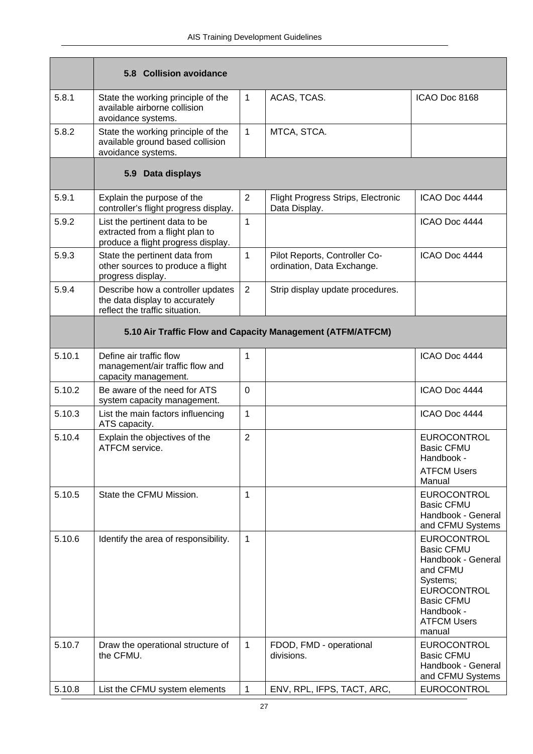|        | 5.8 Collision avoidance                                                                                |                |                                                             |                                                                                                                                                                                |
|--------|--------------------------------------------------------------------------------------------------------|----------------|-------------------------------------------------------------|--------------------------------------------------------------------------------------------------------------------------------------------------------------------------------|
| 5.8.1  | State the working principle of the<br>available airborne collision<br>avoidance systems.               | $\mathbf{1}$   | ACAS, TCAS.                                                 | ICAO Doc 8168                                                                                                                                                                  |
| 5.8.2  | State the working principle of the<br>available ground based collision<br>avoidance systems.           | $\mathbf{1}$   | MTCA, STCA.                                                 |                                                                                                                                                                                |
|        | Data displays<br>5.9                                                                                   |                |                                                             |                                                                                                                                                                                |
| 5.9.1  | Explain the purpose of the<br>controller's flight progress display.                                    | $\overline{2}$ | Flight Progress Strips, Electronic<br>Data Display.         | ICAO Doc 4444                                                                                                                                                                  |
| 5.9.2  | List the pertinent data to be<br>extracted from a flight plan to<br>produce a flight progress display. | 1              |                                                             | ICAO Doc 4444                                                                                                                                                                  |
| 5.9.3  | State the pertinent data from<br>other sources to produce a flight<br>progress display.                | 1              | Pilot Reports, Controller Co-<br>ordination, Data Exchange. | ICAO Doc 4444                                                                                                                                                                  |
| 5.9.4  | Describe how a controller updates<br>the data display to accurately<br>reflect the traffic situation.  | $\overline{2}$ | Strip display update procedures.                            |                                                                                                                                                                                |
|        |                                                                                                        |                | 5.10 Air Traffic Flow and Capacity Management (ATFM/ATFCM)  |                                                                                                                                                                                |
| 5.10.1 | Define air traffic flow<br>management/air traffic flow and<br>capacity management.                     | 1              |                                                             | ICAO Doc 4444                                                                                                                                                                  |
| 5.10.2 | Be aware of the need for ATS<br>system capacity management.                                            | 0              |                                                             | ICAO Doc 4444                                                                                                                                                                  |
| 5.10.3 | List the main factors influencing<br>ATS capacity.                                                     | 1              |                                                             | ICAO Doc 4444                                                                                                                                                                  |
| 5.10.4 | Explain the objectives of the<br>ATFCM service.                                                        | $\overline{2}$ |                                                             | <b>EUROCONTROL</b><br><b>Basic CFMU</b><br>Handbook -<br><b>ATFCM Users</b><br>Manual                                                                                          |
| 5.10.5 | State the CFMU Mission.                                                                                | 1              |                                                             | <b>EUROCONTROL</b><br><b>Basic CFMU</b><br>Handbook - General<br>and CFMU Systems                                                                                              |
| 5.10.6 | Identify the area of responsibility.                                                                   | 1              |                                                             | <b>EUROCONTROL</b><br><b>Basic CFMU</b><br>Handbook - General<br>and CFMU<br>Systems;<br><b>EUROCONTROL</b><br><b>Basic CFMU</b><br>Handbook -<br><b>ATFCM Users</b><br>manual |
| 5.10.7 | Draw the operational structure of<br>the CFMU.                                                         | $\mathbf 1$    | FDOD, FMD - operational<br>divisions.                       | <b>EUROCONTROL</b><br><b>Basic CFMU</b><br>Handbook - General<br>and CFMU Systems                                                                                              |
| 5.10.8 | List the CFMU system elements                                                                          | 1              | ENV, RPL, IFPS, TACT, ARC,                                  | <b>EUROCONTROL</b>                                                                                                                                                             |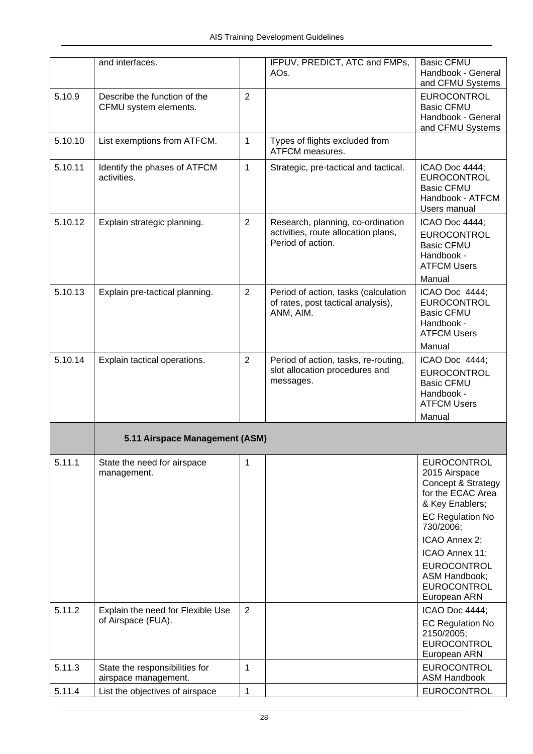|         | and interfaces.                                        |                | IFPUV, PREDICT, ATC and FMPs,<br>AO <sub>S</sub> .                                            | <b>Basic CFMU</b><br>Handbook - General<br>and CFMU Systems                                                                                                                                                                               |
|---------|--------------------------------------------------------|----------------|-----------------------------------------------------------------------------------------------|-------------------------------------------------------------------------------------------------------------------------------------------------------------------------------------------------------------------------------------------|
| 5.10.9  | Describe the function of the<br>CFMU system elements.  | $\overline{2}$ |                                                                                               | <b>EUROCONTROL</b><br><b>Basic CFMU</b><br>Handbook - General<br>and CFMU Systems                                                                                                                                                         |
| 5.10.10 | List exemptions from ATFCM.                            | 1              | Types of flights excluded from<br>ATFCM measures.                                             |                                                                                                                                                                                                                                           |
| 5.10.11 | Identify the phases of ATFCM<br>activities.            | $\mathbf{1}$   | Strategic, pre-tactical and tactical.                                                         | ICAO Doc 4444;<br><b>EUROCONTROL</b><br><b>Basic CFMU</b><br>Handbook - ATFCM<br>Users manual                                                                                                                                             |
| 5.10.12 | Explain strategic planning.                            | $\overline{2}$ | Research, planning, co-ordination<br>activities, route allocation plans,<br>Period of action. | ICAO Doc 4444;<br><b>EUROCONTROL</b><br><b>Basic CFMU</b><br>Handbook -<br><b>ATFCM Users</b><br>Manual                                                                                                                                   |
| 5.10.13 | Explain pre-tactical planning.                         | $\overline{2}$ | Period of action, tasks (calculation<br>of rates, post tactical analysis),<br>ANM, AIM.       | ICAO Doc 4444;<br><b>EUROCONTROL</b><br><b>Basic CFMU</b><br>Handbook -<br><b>ATFCM Users</b><br>Manual                                                                                                                                   |
| 5.10.14 | Explain tactical operations.                           | $\overline{2}$ | Period of action, tasks, re-routing,<br>slot allocation procedures and<br>messages.           | ICAO Doc 4444;<br><b>EUROCONTROL</b><br><b>Basic CFMU</b><br>Handbook -<br><b>ATFCM Users</b>                                                                                                                                             |
|         | 5.11 Airspace Management (ASM)                         |                |                                                                                               | Manual                                                                                                                                                                                                                                    |
| 5.11.1  | State the need for airspace<br>management.             | 1              |                                                                                               | <b>EUROCONTROL</b><br>2015 Airspace<br>Concept & Strategy<br>for the ECAC Area<br>& Key Enablers;<br><b>EC Regulation No</b><br>730/2006;<br>ICAO Annex 2;<br>ICAO Annex 11;<br><b>EUROCONTROL</b><br>ASM Handbook;<br><b>EUROCONTROL</b> |
| 5.11.2  | Explain the need for Flexible Use                      | $\overline{2}$ |                                                                                               | European ARN<br>ICAO Doc 4444;                                                                                                                                                                                                            |
|         | of Airspace (FUA).                                     |                |                                                                                               | <b>EC Regulation No</b><br>2150/2005;<br><b>EUROCONTROL</b><br>European ARN                                                                                                                                                               |
| 5.11.3  | State the responsibilities for<br>airspace management. | 1              |                                                                                               | <b>EUROCONTROL</b><br><b>ASM Handbook</b>                                                                                                                                                                                                 |
| 5.11.4  | List the objectives of airspace                        | 1              |                                                                                               | <b>EUROCONTROL</b>                                                                                                                                                                                                                        |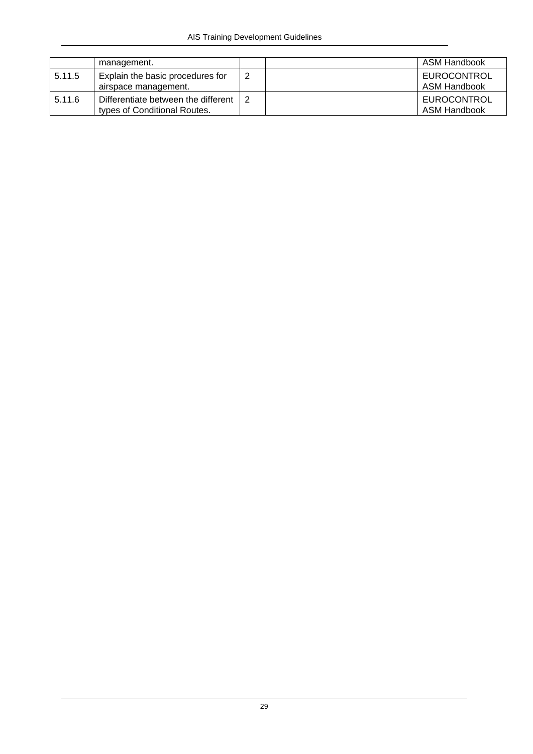|        | management.                                                         |   | ASM Handbook                |
|--------|---------------------------------------------------------------------|---|-----------------------------|
| 5.11.5 | Explain the basic procedures for<br>airspace management.            | 2 | EUROCONTROL<br>ASM Handbook |
| 5.11.6 | Differentiate between the different<br>types of Conditional Routes. |   | EUROCONTROL<br>ASM Handbook |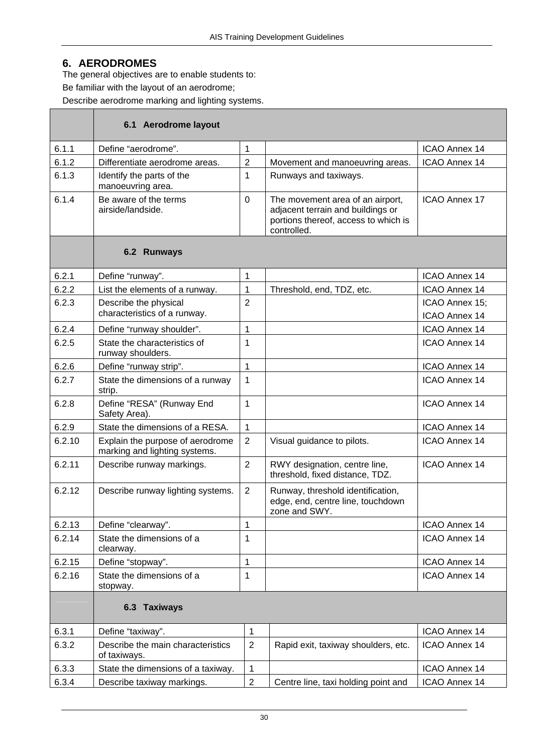#### **6. AERODROMES**

The general objectives are to enable students to: Be familiar with the layout of an aerodrome;

Describe aerodrome marking and lighting systems.

|        | 6.1 Aerodrome layout                                              |                |                                                                                                                              |                      |  |  |
|--------|-------------------------------------------------------------------|----------------|------------------------------------------------------------------------------------------------------------------------------|----------------------|--|--|
| 6.1.1  | Define "aerodrome".                                               | $\mathbf 1$    |                                                                                                                              | ICAO Annex 14        |  |  |
| 6.1.2  | Differentiate aerodrome areas.                                    | $\overline{2}$ | Movement and manoeuvring areas.                                                                                              | <b>ICAO Annex 14</b> |  |  |
| 6.1.3  | Identify the parts of the<br>manoeuvring area.                    | 1              | Runways and taxiways.                                                                                                        |                      |  |  |
| 6.1.4  | Be aware of the terms<br>airside/landside.                        | $\mathbf 0$    | The movement area of an airport,<br>adjacent terrain and buildings or<br>portions thereof, access to which is<br>controlled. | <b>ICAO Annex 17</b> |  |  |
|        | 6.2 Runways                                                       |                |                                                                                                                              |                      |  |  |
| 6.2.1  | Define "runway".                                                  | $\mathbf 1$    |                                                                                                                              | ICAO Annex 14        |  |  |
| 6.2.2  | List the elements of a runway.                                    | $\mathbf 1$    | Threshold, end, TDZ, etc.                                                                                                    | ICAO Annex 14        |  |  |
| 6.2.3  | Describe the physical                                             | $\overline{2}$ |                                                                                                                              | ICAO Annex 15;       |  |  |
|        | characteristics of a runway.                                      |                |                                                                                                                              | <b>ICAO Annex 14</b> |  |  |
| 6.2.4  | Define "runway shoulder".                                         | $\mathbf{1}$   |                                                                                                                              | <b>ICAO Annex 14</b> |  |  |
| 6.2.5  | State the characteristics of<br>runway shoulders.                 | $\mathbf{1}$   |                                                                                                                              | <b>ICAO Annex 14</b> |  |  |
| 6.2.6  | Define "runway strip".                                            | $\mathbf{1}$   |                                                                                                                              | <b>ICAO Annex 14</b> |  |  |
| 6.2.7  | State the dimensions of a runway<br>strip.                        | $\mathbf{1}$   |                                                                                                                              | ICAO Annex 14        |  |  |
| 6.2.8  | Define "RESA" (Runway End<br>Safety Area).                        | $\mathbf{1}$   |                                                                                                                              | ICAO Annex 14        |  |  |
| 6.2.9  | State the dimensions of a RESA.                                   | $\mathbf{1}$   |                                                                                                                              | ICAO Annex 14        |  |  |
| 6.2.10 | Explain the purpose of aerodrome<br>marking and lighting systems. | $\overline{2}$ | Visual guidance to pilots.                                                                                                   | <b>ICAO Annex 14</b> |  |  |
| 6.2.11 | Describe runway markings.                                         | $\overline{2}$ | RWY designation, centre line,<br>threshold, fixed distance, TDZ.                                                             | <b>ICAO Annex 14</b> |  |  |
| 6.2.12 | Describe runway lighting systems.                                 | $\overline{2}$ | Runway, threshold identification,<br>edge, end, centre line, touchdown<br>zone and SWY.                                      |                      |  |  |
| 6.2.13 | Define "clearway".                                                | $\mathbf 1$    |                                                                                                                              | ICAO Annex 14        |  |  |
| 6.2.14 | State the dimensions of a<br>clearway.                            | $\mathbf{1}$   |                                                                                                                              | ICAO Annex 14        |  |  |
| 6.2.15 | Define "stopway".                                                 | $\mathbf{1}$   |                                                                                                                              | ICAO Annex 14        |  |  |
| 6.2.16 | State the dimensions of a<br>stopway.                             | $\mathbf{1}$   |                                                                                                                              | ICAO Annex 14        |  |  |
|        | 6.3 Taxiways                                                      |                |                                                                                                                              |                      |  |  |
| 6.3.1  | Define "taxiway".                                                 | $\mathbf 1$    |                                                                                                                              | ICAO Annex 14        |  |  |
| 6.3.2  | Describe the main characteristics<br>of taxiways.                 | $\overline{2}$ | Rapid exit, taxiway shoulders, etc.                                                                                          | ICAO Annex 14        |  |  |
| 6.3.3  | State the dimensions of a taxiway.                                | $\mathbf{1}$   |                                                                                                                              | ICAO Annex 14        |  |  |
| 6.3.4  | Describe taxiway markings.                                        | $\overline{2}$ | Centre line, taxi holding point and                                                                                          | ICAO Annex 14        |  |  |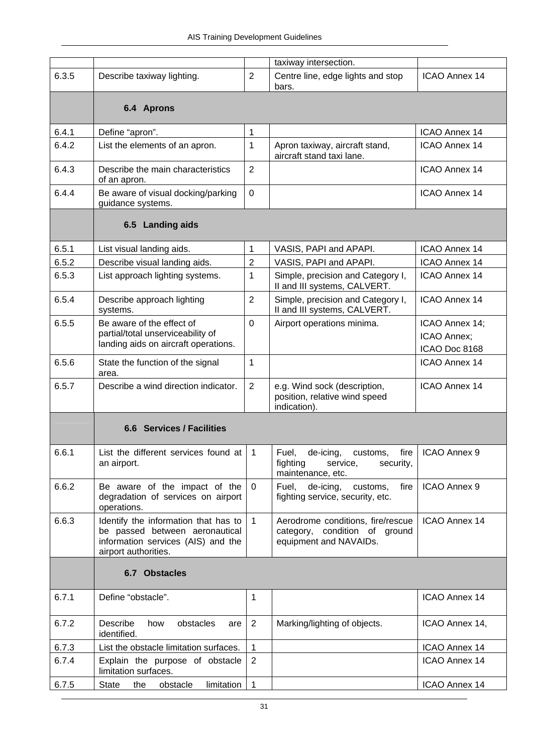|       |                                                                                                                                      |                | taxiway intersection.                                                                            |                                                |
|-------|--------------------------------------------------------------------------------------------------------------------------------------|----------------|--------------------------------------------------------------------------------------------------|------------------------------------------------|
| 6.3.5 | Describe taxiway lighting.                                                                                                           | $\overline{2}$ | Centre line, edge lights and stop<br>bars.                                                       | ICAO Annex 14                                  |
|       | 6.4 Aprons                                                                                                                           |                |                                                                                                  |                                                |
| 6.4.1 | Define "apron".                                                                                                                      | 1              |                                                                                                  | ICAO Annex 14                                  |
| 6.4.2 | List the elements of an apron.                                                                                                       | 1              | Apron taxiway, aircraft stand,<br>aircraft stand taxi lane.                                      | <b>ICAO Annex 14</b>                           |
| 6.4.3 | Describe the main characteristics<br>of an apron.                                                                                    | $\overline{2}$ |                                                                                                  | ICAO Annex 14                                  |
| 6.4.4 | Be aware of visual docking/parking<br>guidance systems.                                                                              | $\mathbf 0$    |                                                                                                  | ICAO Annex 14                                  |
|       | 6.5 Landing aids                                                                                                                     |                |                                                                                                  |                                                |
| 6.5.1 | List visual landing aids.                                                                                                            | 1              | VASIS, PAPI and APAPI.                                                                           | ICAO Annex 14                                  |
| 6.5.2 | Describe visual landing aids.                                                                                                        | $\overline{2}$ | VASIS, PAPI and APAPI.                                                                           | <b>ICAO Annex 14</b>                           |
| 6.5.3 | List approach lighting systems.                                                                                                      | 1              | Simple, precision and Category I,<br>II and III systems, CALVERT.                                | <b>ICAO Annex 14</b>                           |
| 6.5.4 | Describe approach lighting<br>systems.                                                                                               | $\overline{2}$ | Simple, precision and Category I,<br>II and III systems, CALVERT.                                | ICAO Annex 14                                  |
| 6.5.5 | Be aware of the effect of<br>partial/total unserviceability of<br>landing aids on aircraft operations.                               | $\Omega$       | Airport operations minima.                                                                       | ICAO Annex 14;<br>ICAO Annex;<br>ICAO Doc 8168 |
| 6.5.6 | State the function of the signal<br>area.                                                                                            | 1              |                                                                                                  | ICAO Annex 14                                  |
| 6.5.7 | Describe a wind direction indicator.                                                                                                 | $\overline{2}$ | e.g. Wind sock (description,<br>position, relative wind speed<br>indication).                    | ICAO Annex 14                                  |
|       | <b>6.6 Services / Facilities</b>                                                                                                     |                |                                                                                                  |                                                |
| 6.6.1 | List the different services found at<br>an airport.                                                                                  | $\mathbf 1$    | Fuel,<br>de-icing,<br>fire<br>customs,<br>fighting<br>service,<br>security,<br>maintenance, etc. | <b>ICAO Annex 9</b>                            |
| 6.6.2 | Be aware of the impact of the<br>degradation of services on airport<br>operations.                                                   | $\Omega$       | de-icing,<br>customs,<br>fire<br>Fuel,<br>fighting service, security, etc.                       | ICAO Annex 9                                   |
| 6.6.3 | Identify the information that has to<br>be passed between aeronautical<br>information services (AIS) and the<br>airport authorities. | $\mathbf{1}$   | Aerodrome conditions, fire/rescue<br>category, condition of ground<br>equipment and NAVAIDs.     | ICAO Annex 14                                  |
|       | 6.7 Obstacles                                                                                                                        |                |                                                                                                  |                                                |
| 6.7.1 | Define "obstacle".                                                                                                                   | 1              |                                                                                                  | ICAO Annex 14                                  |
| 6.7.2 | Describe<br>obstacles<br>how<br>are<br>identified.                                                                                   | 2              | Marking/lighting of objects.                                                                     | ICAO Annex 14,                                 |
| 6.7.3 | List the obstacle limitation surfaces.                                                                                               | $\mathbf{1}$   |                                                                                                  | ICAO Annex 14                                  |
| 6.7.4 | Explain the purpose of obstacle<br>limitation surfaces.                                                                              | $\overline{2}$ |                                                                                                  | ICAO Annex 14                                  |
| 6.7.5 | limitation<br>State<br>the<br>obstacle                                                                                               | $\mathbf 1$    |                                                                                                  | ICAO Annex 14                                  |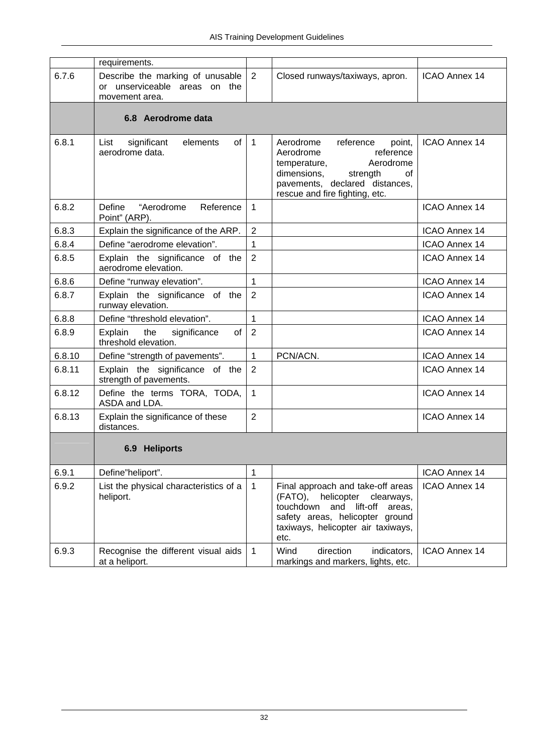|        | requirements.                                                                          |                |                                                                                                                                                                                                     |                      |
|--------|----------------------------------------------------------------------------------------|----------------|-----------------------------------------------------------------------------------------------------------------------------------------------------------------------------------------------------|----------------------|
| 6.7.6  | Describe the marking of unusable<br>or unserviceable areas<br>on the<br>movement area. | $\overline{2}$ | Closed runways/taxiways, apron.                                                                                                                                                                     | ICAO Annex 14        |
|        | 6.8 Aerodrome data                                                                     |                |                                                                                                                                                                                                     |                      |
| 6.8.1  | <b>of</b><br>significant<br>List<br>elements<br>aerodrome data.                        | $\mathbf{1}$   | Aerodrome<br>reference<br>point,<br>reference<br>Aerodrome<br>Aerodrome<br>temperature,<br>dimensions,<br>strength<br>0f<br>pavements, declared distances,<br>rescue and fire fighting, etc.        | <b>ICAO Annex 14</b> |
| 6.8.2  | "Aerodrome<br>Reference<br>Define<br>Point" (ARP).                                     | $\mathbf{1}$   |                                                                                                                                                                                                     | ICAO Annex 14        |
| 6.8.3  | Explain the significance of the ARP.                                                   | $\overline{2}$ |                                                                                                                                                                                                     | <b>ICAO Annex 14</b> |
| 6.8.4  | Define "aerodrome elevation".                                                          | 1              |                                                                                                                                                                                                     | <b>ICAO Annex 14</b> |
| 6.8.5  | Explain the significance of the<br>aerodrome elevation.                                | $\overline{2}$ |                                                                                                                                                                                                     | ICAO Annex 14        |
| 6.8.6  | Define "runway elevation".                                                             | $\mathbf{1}$   |                                                                                                                                                                                                     | ICAO Annex 14        |
| 6.8.7  | Explain the significance of the<br>runway elevation.                                   | $\overline{2}$ |                                                                                                                                                                                                     | <b>ICAO Annex 14</b> |
| 6.8.8  | Define "threshold elevation".                                                          | $\mathbf{1}$   |                                                                                                                                                                                                     | <b>ICAO Annex 14</b> |
| 6.8.9  | Explain<br>the<br>significance<br>of<br>threshold elevation.                           | $\overline{2}$ |                                                                                                                                                                                                     | <b>ICAO Annex 14</b> |
| 6.8.10 | Define "strength of pavements".                                                        | $\mathbf{1}$   | PCN/ACN.                                                                                                                                                                                            | ICAO Annex 14        |
| 6.8.11 | Explain the significance of the<br>strength of pavements.                              | 2              |                                                                                                                                                                                                     | <b>ICAO Annex 14</b> |
| 6.8.12 | Define the terms TORA, TODA,<br>ASDA and LDA.                                          | $\mathbf{1}$   |                                                                                                                                                                                                     | ICAO Annex 14        |
| 6.8.13 | Explain the significance of these<br>distances.                                        | $\overline{2}$ |                                                                                                                                                                                                     | ICAO Annex 14        |
|        | 6.9 Heliports                                                                          |                |                                                                                                                                                                                                     |                      |
| 6.9.1  | Define"heliport".                                                                      | $\mathbf 1$    |                                                                                                                                                                                                     | ICAO Annex 14        |
| 6.9.2  | List the physical characteristics of a<br>heliport.                                    | $\mathbf{1}$   | Final approach and take-off areas<br>helicopter<br>(FATO),<br>clearways,<br>touchdown<br>and<br>lift-off<br>areas,<br>safety areas, helicopter ground<br>taxiways, helicopter air taxiways,<br>etc. | <b>ICAO Annex 14</b> |
| 6.9.3  | Recognise the different visual aids<br>at a heliport.                                  | $\mathbf{1}$   | Wind<br>direction<br>indicators,<br>markings and markers, lights, etc.                                                                                                                              | ICAO Annex 14        |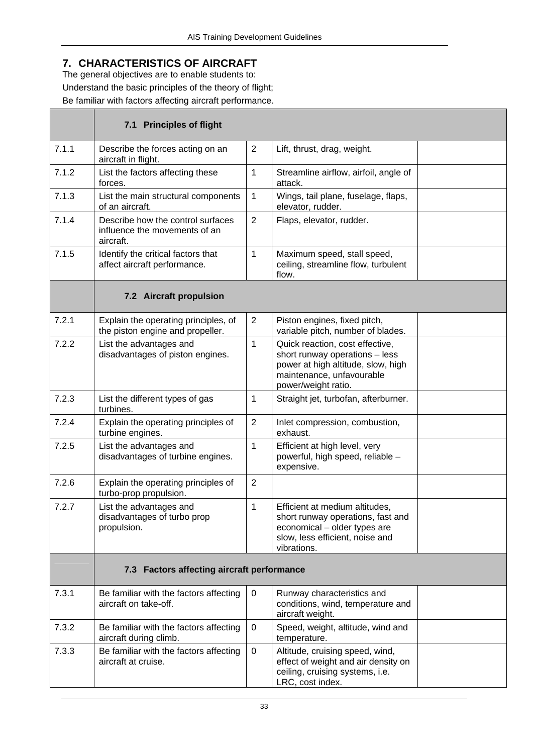#### **7. CHARACTERISTICS OF AIRCRAFT**

The general objectives are to enable students to: Understand the basic principles of the theory of flight; Be familiar with factors affecting aircraft performance.

|       | 7.1 Principles of flight                                                        |                |                                                                                                                                                             |  |
|-------|---------------------------------------------------------------------------------|----------------|-------------------------------------------------------------------------------------------------------------------------------------------------------------|--|
| 7.1.1 | Describe the forces acting on an<br>aircraft in flight.                         | $\overline{2}$ | Lift, thrust, drag, weight.                                                                                                                                 |  |
| 7.1.2 | List the factors affecting these<br>forces.                                     | $\mathbf{1}$   | Streamline airflow, airfoil, angle of<br>attack.                                                                                                            |  |
| 7.1.3 | List the main structural components<br>of an aircraft.                          | $\mathbf{1}$   | Wings, tail plane, fuselage, flaps,<br>elevator, rudder.                                                                                                    |  |
| 7.1.4 | Describe how the control surfaces<br>influence the movements of an<br>aircraft. | $\overline{2}$ | Flaps, elevator, rudder.                                                                                                                                    |  |
| 7.1.5 | Identify the critical factors that<br>affect aircraft performance.              | $\mathbf{1}$   | Maximum speed, stall speed,<br>ceiling, streamline flow, turbulent<br>flow.                                                                                 |  |
|       | 7.2 Aircraft propulsion                                                         |                |                                                                                                                                                             |  |
| 7.2.1 | Explain the operating principles, of<br>the piston engine and propeller.        | $\overline{2}$ | Piston engines, fixed pitch,<br>variable pitch, number of blades.                                                                                           |  |
| 7.2.2 | List the advantages and<br>disadvantages of piston engines.                     | $\mathbf{1}$   | Quick reaction, cost effective,<br>short runway operations - less<br>power at high altitude, slow, high<br>maintenance, unfavourable<br>power/weight ratio. |  |
| 7.2.3 | List the different types of gas<br>turbines.                                    | 1              | Straight jet, turbofan, afterburner.                                                                                                                        |  |
| 7.2.4 | Explain the operating principles of<br>turbine engines.                         | $\overline{2}$ | Inlet compression, combustion,<br>exhaust.                                                                                                                  |  |
| 7.2.5 | List the advantages and<br>disadvantages of turbine engines.                    | $\mathbf{1}$   | Efficient at high level, very<br>powerful, high speed, reliable -<br>expensive.                                                                             |  |
| 7.2.6 | Explain the operating principles of<br>turbo-prop propulsion.                   | $\overline{2}$ |                                                                                                                                                             |  |
| 7.2.7 | List the advantages and<br>disadvantages of turbo prop<br>propulsion.           | $\mathbf{1}$   | Efficient at medium altitudes,<br>short runway operations, fast and<br>economical - older types are<br>slow, less efficient, noise and<br>vibrations.       |  |
|       | 7.3 Factors affecting aircraft performance                                      |                |                                                                                                                                                             |  |
| 7.3.1 | Be familiar with the factors affecting<br>aircraft on take-off.                 | 0              | Runway characteristics and<br>conditions, wind, temperature and<br>aircraft weight.                                                                         |  |
| 7.3.2 | Be familiar with the factors affecting<br>aircraft during climb.                | $\mathbf 0$    | Speed, weight, altitude, wind and<br>temperature.                                                                                                           |  |
| 7.3.3 | Be familiar with the factors affecting<br>aircraft at cruise.                   | $\mathbf 0$    | Altitude, cruising speed, wind,<br>effect of weight and air density on<br>ceiling, cruising systems, i.e.<br>LRC, cost index.                               |  |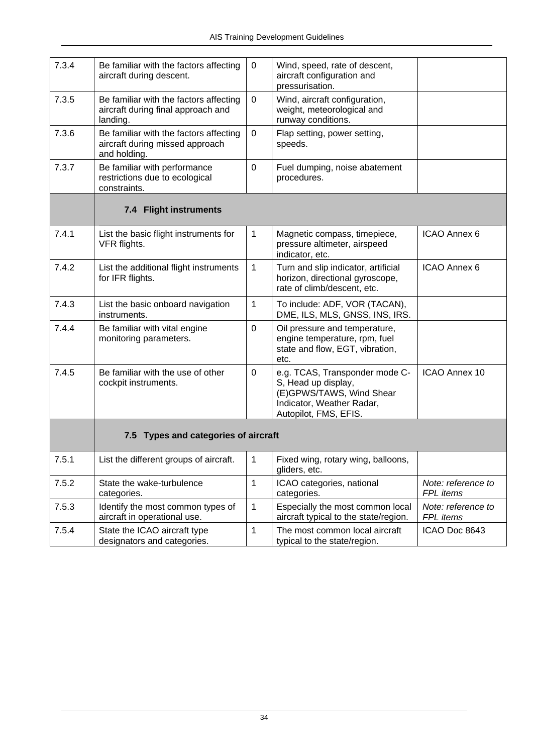| 7.3.4 | Be familiar with the factors affecting<br>aircraft during descent.                        | 0              | Wind, speed, rate of descent,<br>aircraft configuration and<br>pressurisation.                                                          |                                 |
|-------|-------------------------------------------------------------------------------------------|----------------|-----------------------------------------------------------------------------------------------------------------------------------------|---------------------------------|
| 7.3.5 | Be familiar with the factors affecting<br>aircraft during final approach and<br>landing.  | $\mathbf 0$    | Wind, aircraft configuration,<br>weight, meteorological and<br>runway conditions.                                                       |                                 |
| 7.3.6 | Be familiar with the factors affecting<br>aircraft during missed approach<br>and holding. | $\overline{0}$ | Flap setting, power setting,<br>speeds.                                                                                                 |                                 |
| 7.3.7 | Be familiar with performance<br>restrictions due to ecological<br>constraints.            | $\overline{0}$ | Fuel dumping, noise abatement<br>procedures.                                                                                            |                                 |
|       | 7.4 Flight instruments                                                                    |                |                                                                                                                                         |                                 |
| 7.4.1 | List the basic flight instruments for<br>VFR flights.                                     | $\mathbf{1}$   | Magnetic compass, timepiece,<br>pressure altimeter, airspeed<br>indicator, etc.                                                         | <b>ICAO Annex 6</b>             |
| 7.4.2 | List the additional flight instruments<br>for IFR flights.                                | 1              | Turn and slip indicator, artificial<br>horizon, directional gyroscope,<br>rate of climb/descent, etc.                                   | <b>ICAO Annex 6</b>             |
| 7.4.3 | List the basic onboard navigation<br>instruments.                                         | 1              | To include: ADF, VOR (TACAN),<br>DME, ILS, MLS, GNSS, INS, IRS.                                                                         |                                 |
| 7.4.4 | Be familiar with vital engine<br>monitoring parameters.                                   | $\mathbf 0$    | Oil pressure and temperature,<br>engine temperature, rpm, fuel<br>state and flow, EGT, vibration,<br>etc.                               |                                 |
| 7.4.5 | Be familiar with the use of other<br>cockpit instruments.                                 | 0              | e.g. TCAS, Transponder mode C-<br>S, Head up display,<br>(E)GPWS/TAWS, Wind Shear<br>Indicator, Weather Radar,<br>Autopilot, FMS, EFIS. | ICAO Annex 10                   |
|       | 7.5 Types and categories of aircraft                                                      |                |                                                                                                                                         |                                 |
| 7.5.1 | List the different groups of aircraft.                                                    | 1              | Fixed wing, rotary wing, balloons,<br>gliders, etc.                                                                                     |                                 |
| 7.5.2 | State the wake-turbulence<br>categories.                                                  | $\mathbf{1}$   | ICAO categories, national<br>categories.                                                                                                | Note: reference to<br>FPL items |
| 7.5.3 | Identify the most common types of<br>aircraft in operational use.                         | 1              | Especially the most common local<br>aircraft typical to the state/region.                                                               | Note: reference to<br>FPL items |
| 7.5.4 | State the ICAO aircraft type<br>designators and categories.                               | $\mathbf{1}$   | The most common local aircraft<br>typical to the state/region.                                                                          | ICAO Doc 8643                   |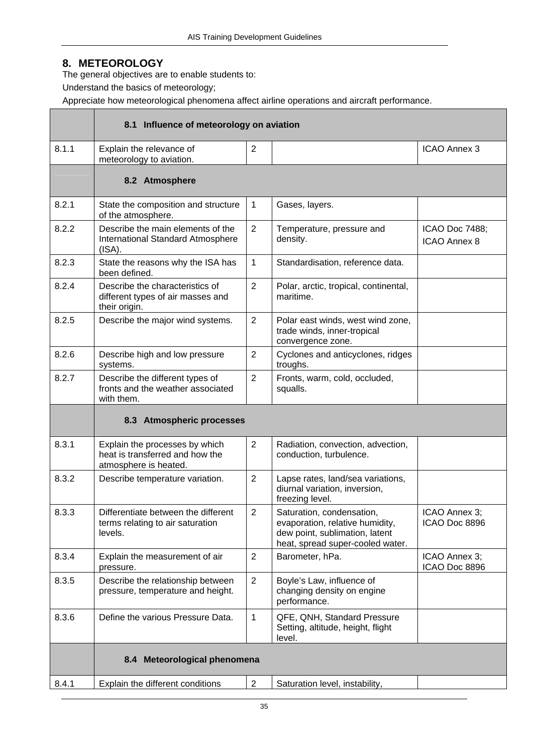#### **8. METEOROLOGY**

The general objectives are to enable students to: Understand the basics of meteorology;

Appreciate how meteorological phenomena affect airline operations and aircraft performance.

|       | 8.1 Influence of meteorology on aviation                                                   |                |                                                                                                                                    |                                |  |
|-------|--------------------------------------------------------------------------------------------|----------------|------------------------------------------------------------------------------------------------------------------------------------|--------------------------------|--|
| 8.1.1 | Explain the relevance of<br>meteorology to aviation.                                       | $\overline{2}$ |                                                                                                                                    | <b>ICAO Annex 3</b>            |  |
|       | 8.2 Atmosphere                                                                             |                |                                                                                                                                    |                                |  |
| 8.2.1 | State the composition and structure<br>of the atmosphere.                                  | $\mathbf{1}$   | Gases, layers.                                                                                                                     |                                |  |
| 8.2.2 | Describe the main elements of the<br>International Standard Atmosphere<br>(ISA).           | $\overline{2}$ | Temperature, pressure and<br>density.                                                                                              | ICAO Doc 7488;<br>ICAO Annex 8 |  |
| 8.2.3 | State the reasons why the ISA has<br>been defined.                                         | $\mathbf{1}$   | Standardisation, reference data.                                                                                                   |                                |  |
| 8.2.4 | Describe the characteristics of<br>different types of air masses and<br>their origin.      | $\overline{2}$ | Polar, arctic, tropical, continental,<br>maritime.                                                                                 |                                |  |
| 8.2.5 | Describe the major wind systems.                                                           | $\overline{2}$ | Polar east winds, west wind zone,<br>trade winds, inner-tropical<br>convergence zone.                                              |                                |  |
| 8.2.6 | Describe high and low pressure<br>systems.                                                 | $\overline{2}$ | Cyclones and anticyclones, ridges<br>troughs.                                                                                      |                                |  |
| 8.2.7 | Describe the different types of<br>fronts and the weather associated<br>with them.         | $\overline{2}$ | Fronts, warm, cold, occluded,<br>squalls.                                                                                          |                                |  |
|       |                                                                                            |                |                                                                                                                                    |                                |  |
|       | 8.3 Atmospheric processes                                                                  |                |                                                                                                                                    |                                |  |
| 8.3.1 | Explain the processes by which<br>heat is transferred and how the<br>atmosphere is heated. | $\overline{2}$ | Radiation, convection, advection,<br>conduction, turbulence.                                                                       |                                |  |
| 8.3.2 | Describe temperature variation.                                                            | $\overline{2}$ | Lapse rates, land/sea variations,<br>diurnal variation, inversion,<br>freezing level.                                              |                                |  |
| 8.3.3 | Differentiate between the different<br>terms relating to air saturation<br>levels.         | $\overline{2}$ | Saturation, condensation,<br>evaporation, relative humidity,<br>dew point, sublimation, latent<br>heat, spread super-cooled water. | ICAO Annex 3;<br>ICAO Doc 8896 |  |
| 8.3.4 | Explain the measurement of air<br>pressure.                                                | $\overline{2}$ | Barometer, hPa.                                                                                                                    | ICAO Annex 3;<br>ICAO Doc 8896 |  |
| 8.3.5 | Describe the relationship between<br>pressure, temperature and height.                     | $\overline{2}$ | Boyle's Law, influence of<br>changing density on engine<br>performance.                                                            |                                |  |
| 8.3.6 | Define the various Pressure Data.                                                          | $\mathbf{1}$   | QFE, QNH, Standard Pressure<br>Setting, altitude, height, flight<br>level.                                                         |                                |  |
|       | Meteorological phenomena<br>8.4                                                            |                |                                                                                                                                    |                                |  |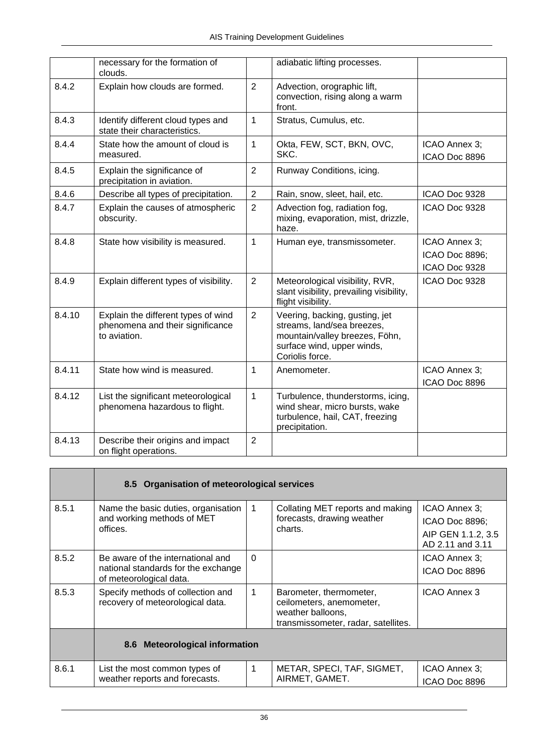|        | necessary for the formation of<br>clouds.                                               |                  | adiabatic lifting processes.                                                                                                                    |                                                  |
|--------|-----------------------------------------------------------------------------------------|------------------|-------------------------------------------------------------------------------------------------------------------------------------------------|--------------------------------------------------|
| 8.4.2  | Explain how clouds are formed.                                                          | $\overline{2}$   | Advection, orographic lift,<br>convection, rising along a warm<br>front.                                                                        |                                                  |
| 8.4.3  | Identify different cloud types and<br>state their characteristics.                      | 1                | Stratus, Cumulus, etc.                                                                                                                          |                                                  |
| 8.4.4  | State how the amount of cloud is<br>measured.                                           | $\mathbf{1}$     | Okta, FEW, SCT, BKN, OVC,<br>SKC.                                                                                                               | ICAO Annex 3;<br>ICAO Doc 8896                   |
| 8.4.5  | Explain the significance of<br>precipitation in aviation.                               | $\overline{2}$   | Runway Conditions, icing.                                                                                                                       |                                                  |
| 8.4.6  | Describe all types of precipitation.                                                    | $\boldsymbol{2}$ | Rain, snow, sleet, hail, etc.                                                                                                                   | ICAO Doc 9328                                    |
| 8.4.7  | Explain the causes of atmospheric<br>obscurity.                                         | $\overline{2}$   | Advection fog, radiation fog,<br>mixing, evaporation, mist, drizzle,<br>haze.                                                                   | ICAO Doc 9328                                    |
| 8.4.8  | State how visibility is measured.                                                       | $\mathbf{1}$     | Human eye, transmissometer.                                                                                                                     | ICAO Annex 3;<br>ICAO Doc 8896;<br>ICAO Doc 9328 |
| 8.4.9  | Explain different types of visibility.                                                  | $\overline{2}$   | Meteorological visibility, RVR,<br>slant visibility, prevailing visibility,<br>flight visibility.                                               | ICAO Doc 9328                                    |
| 8.4.10 | Explain the different types of wind<br>phenomena and their significance<br>to aviation. | $\overline{2}$   | Veering, backing, gusting, jet<br>streams, land/sea breezes,<br>mountain/valley breezes, Föhn,<br>surface wind, upper winds,<br>Coriolis force. |                                                  |
| 8.4.11 | State how wind is measured.                                                             | $\mathbf{1}$     | Anemometer.                                                                                                                                     | ICAO Annex 3;<br>ICAO Doc 8896                   |
| 8.4.12 | List the significant meteorological<br>phenomena hazardous to flight.                   | $\mathbf{1}$     | Turbulence, thunderstorms, icing,<br>wind shear, micro bursts, wake<br>turbulence, hail, CAT, freezing<br>precipitation.                        |                                                  |
| 8.4.13 | Describe their origins and impact<br>on flight operations.                              | $\overline{2}$   |                                                                                                                                                 |                                                  |

|       | 8.5 Organisation of meteorological services                                                         |          |                                                                                                                 |                                                                           |  |
|-------|-----------------------------------------------------------------------------------------------------|----------|-----------------------------------------------------------------------------------------------------------------|---------------------------------------------------------------------------|--|
| 8.5.1 | Name the basic duties, organisation<br>and working methods of MET<br>offices.                       | 1        | Collating MET reports and making<br>forecasts, drawing weather<br>charts.                                       | ICAO Annex 3;<br>ICAO Doc 8896;<br>AIP GEN 1.1.2, 3.5<br>AD 2.11 and 3.11 |  |
| 8.5.2 | Be aware of the international and<br>national standards for the exchange<br>of meteorological data. | $\Omega$ |                                                                                                                 | ICAO Annex 3;<br>ICAO Doc 8896                                            |  |
| 8.5.3 | Specify methods of collection and<br>recovery of meteorological data.                               | 1        | Barometer, thermometer,<br>ceilometers, anemometer,<br>weather balloons.<br>transmissometer, radar, satellites. | ICAO Annex 3                                                              |  |
|       | 8.6 Meteorological information                                                                      |          |                                                                                                                 |                                                                           |  |
| 8.6.1 | List the most common types of<br>weather reports and forecasts.                                     | 1        | METAR, SPECI, TAF, SIGMET,<br>AIRMET, GAMET.                                                                    | ICAO Annex 3;<br>ICAO Doc 8896                                            |  |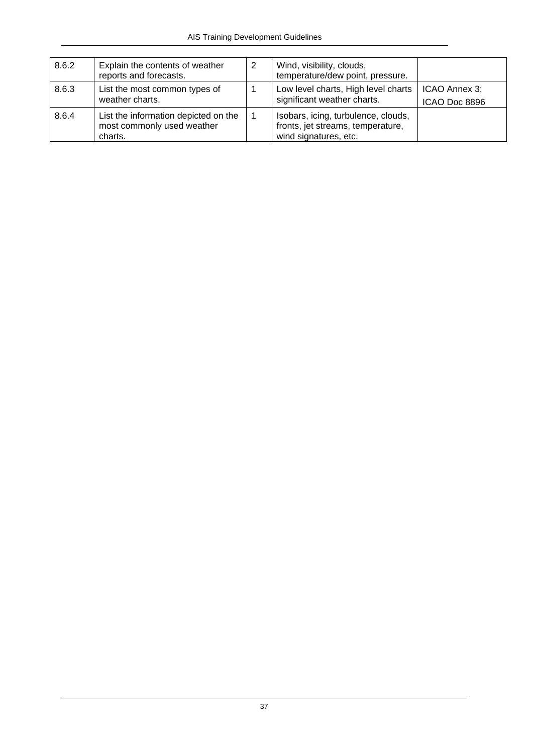| 8.6.2 | Explain the contents of weather<br>reports and forecasts.                     | Wind, visibility, clouds,<br>temperature/dew point, pressure.                                     |                                |
|-------|-------------------------------------------------------------------------------|---------------------------------------------------------------------------------------------------|--------------------------------|
| 8.6.3 | List the most common types of<br>weather charts.                              | Low level charts, High level charts<br>significant weather charts.                                | ICAO Annex 3;<br>ICAO Doc 8896 |
| 8.6.4 | List the information depicted on the<br>most commonly used weather<br>charts. | Isobars, icing, turbulence, clouds,<br>fronts, jet streams, temperature,<br>wind signatures, etc. |                                |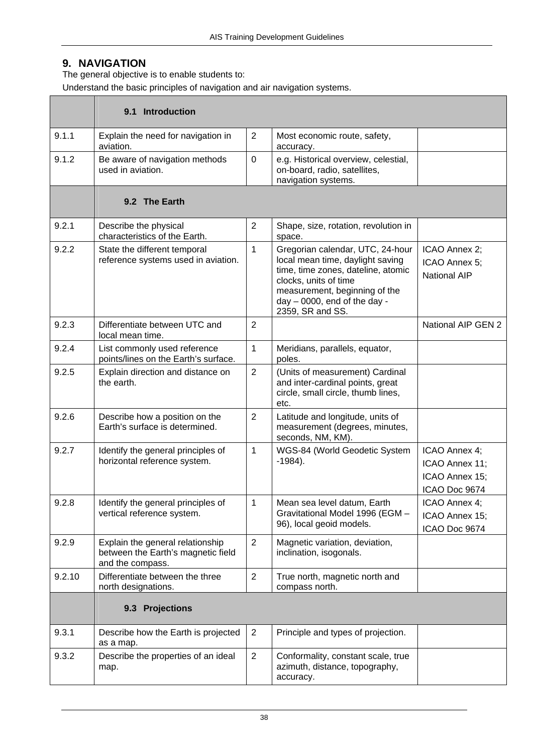# **9. NAVIGATION**

The general objective is to enable students to: Understand the basic principles of navigation and air navigation systems.

|        | 9.1 Introduction                                                                           |                |                                                                                                                                                                                                                          |                                                                    |
|--------|--------------------------------------------------------------------------------------------|----------------|--------------------------------------------------------------------------------------------------------------------------------------------------------------------------------------------------------------------------|--------------------------------------------------------------------|
| 9.1.1  | Explain the need for navigation in<br>aviation.                                            | $\overline{2}$ | Most economic route, safety,<br>accuracy.                                                                                                                                                                                |                                                                    |
| 9.1.2  | Be aware of navigation methods<br>used in aviation.                                        | $\mathbf 0$    | e.g. Historical overview, celestial,<br>on-board, radio, satellites,<br>navigation systems.                                                                                                                              |                                                                    |
|        | 9.2 The Earth                                                                              |                |                                                                                                                                                                                                                          |                                                                    |
| 9.2.1  | Describe the physical<br>characteristics of the Earth.                                     | $\overline{2}$ | Shape, size, rotation, revolution in<br>space.                                                                                                                                                                           |                                                                    |
| 9.2.2  | State the different temporal<br>reference systems used in aviation.                        | $\mathbf{1}$   | Gregorian calendar, UTC, 24-hour<br>local mean time, daylight saving<br>time, time zones, dateline, atomic<br>clocks, units of time<br>measurement, beginning of the<br>day - 0000, end of the day -<br>2359, SR and SS. | ICAO Annex 2;<br>ICAO Annex 5;<br><b>National AIP</b>              |
| 9.2.3  | Differentiate between UTC and<br>local mean time.                                          | $\overline{2}$ |                                                                                                                                                                                                                          | National AIP GEN 2                                                 |
| 9.2.4  | List commonly used reference<br>points/lines on the Earth's surface.                       | $\mathbf{1}$   | Meridians, parallels, equator,<br>poles.                                                                                                                                                                                 |                                                                    |
| 9.2.5  | Explain direction and distance on<br>the earth.                                            | 2              | (Units of measurement) Cardinal<br>and inter-cardinal points, great<br>circle, small circle, thumb lines,<br>etc.                                                                                                        |                                                                    |
| 9.2.6  | Describe how a position on the<br>Earth's surface is determined.                           | $\overline{2}$ | Latitude and longitude, units of<br>measurement (degrees, minutes,<br>seconds, NM, KM).                                                                                                                                  |                                                                    |
| 9.2.7  | Identify the general principles of<br>horizontal reference system.                         | $\mathbf{1}$   | WGS-84 (World Geodetic System<br>$-1984$ ).                                                                                                                                                                              | ICAO Annex 4;<br>ICAO Annex 11;<br>ICAO Annex 15;<br>ICAO Doc 9674 |
| 9.2.8  | Identify the general principles of<br>vertical reference system.                           | 1              | Mean sea level datum, Earth<br>Gravitational Model 1996 (EGM -<br>96), local geoid models.                                                                                                                               | ICAO Annex 4;<br>ICAO Annex 15;<br>ICAO Doc 9674                   |
| 9.2.9  | Explain the general relationship<br>between the Earth's magnetic field<br>and the compass. | $\overline{2}$ | Magnetic variation, deviation,<br>inclination, isogonals.                                                                                                                                                                |                                                                    |
| 9.2.10 | Differentiate between the three<br>north designations.                                     | $\overline{2}$ | True north, magnetic north and<br>compass north.                                                                                                                                                                         |                                                                    |
|        | 9.3 Projections                                                                            |                |                                                                                                                                                                                                                          |                                                                    |
| 9.3.1  | Describe how the Earth is projected<br>as a map.                                           | $\overline{2}$ | Principle and types of projection.                                                                                                                                                                                       |                                                                    |
| 9.3.2  | Describe the properties of an ideal<br>map.                                                | $\overline{2}$ | Conformality, constant scale, true<br>azimuth, distance, topography,<br>accuracy.                                                                                                                                        |                                                                    |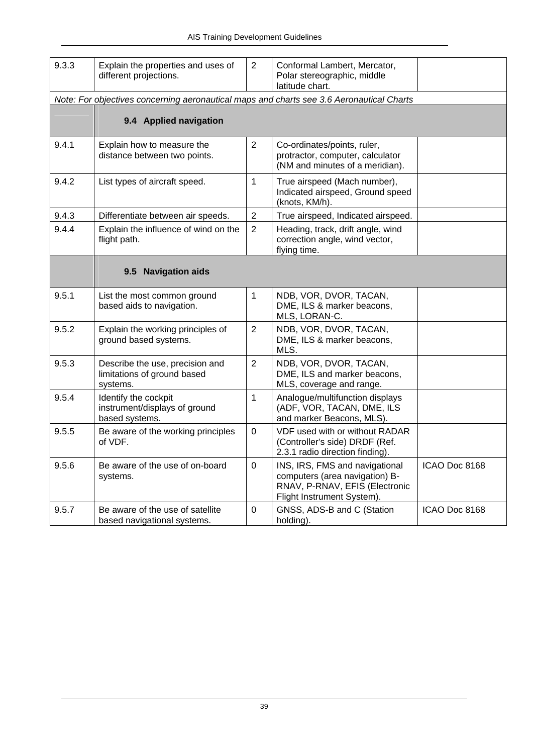| 9.3.3 | Explain the properties and uses of<br>different projections.                             | $\overline{2}$ | Conformal Lambert, Mercator,<br>Polar stereographic, middle<br>latitude chart.                                                   |               |
|-------|------------------------------------------------------------------------------------------|----------------|----------------------------------------------------------------------------------------------------------------------------------|---------------|
|       | Note: For objectives concerning aeronautical maps and charts see 3.6 Aeronautical Charts |                |                                                                                                                                  |               |
|       | 9.4 Applied navigation                                                                   |                |                                                                                                                                  |               |
| 9.4.1 | Explain how to measure the<br>distance between two points.                               | $\overline{2}$ | Co-ordinates/points, ruler,<br>protractor, computer, calculator<br>(NM and minutes of a meridian).                               |               |
| 9.4.2 | List types of aircraft speed.                                                            | 1              | True airspeed (Mach number),<br>Indicated airspeed, Ground speed<br>(knots, KM/h).                                               |               |
| 9.4.3 | Differentiate between air speeds.                                                        | $\overline{2}$ | True airspeed, Indicated airspeed.                                                                                               |               |
| 9.4.4 | Explain the influence of wind on the<br>flight path.                                     | $\overline{2}$ | Heading, track, drift angle, wind<br>correction angle, wind vector,<br>flying time.                                              |               |
|       | 9.5 Navigation aids                                                                      |                |                                                                                                                                  |               |
| 9.5.1 | List the most common ground<br>based aids to navigation.                                 | 1              | NDB, VOR, DVOR, TACAN,<br>DME, ILS & marker beacons,<br>MLS, LORAN-C.                                                            |               |
| 9.5.2 | Explain the working principles of<br>ground based systems.                               | $\overline{2}$ | NDB, VOR, DVOR, TACAN,<br>DME, ILS & marker beacons,<br>MLS.                                                                     |               |
| 9.5.3 | Describe the use, precision and<br>limitations of ground based<br>systems.               | $\overline{2}$ | NDB, VOR, DVOR, TACAN,<br>DME, ILS and marker beacons,<br>MLS, coverage and range.                                               |               |
| 9.5.4 | Identify the cockpit<br>instrument/displays of ground<br>based systems.                  | $\mathbf{1}$   | Analogue/multifunction displays<br>(ADF, VOR, TACAN, DME, ILS<br>and marker Beacons, MLS).                                       |               |
| 9.5.5 | Be aware of the working principles<br>of VDF.                                            | $\mathbf 0$    | VDF used with or without RADAR<br>(Controller's side) DRDF (Ref.<br>2.3.1 radio direction finding).                              |               |
| 9.5.6 | Be aware of the use of on-board<br>systems.                                              | $\mathbf 0$    | INS, IRS, FMS and navigational<br>computers (area navigation) B-<br>RNAV, P-RNAV, EFIS (Electronic<br>Flight Instrument System). | ICAO Doc 8168 |
| 9.5.7 | Be aware of the use of satellite<br>based navigational systems.                          | $\mathbf 0$    | GNSS, ADS-B and C (Station<br>holding).                                                                                          | ICAO Doc 8168 |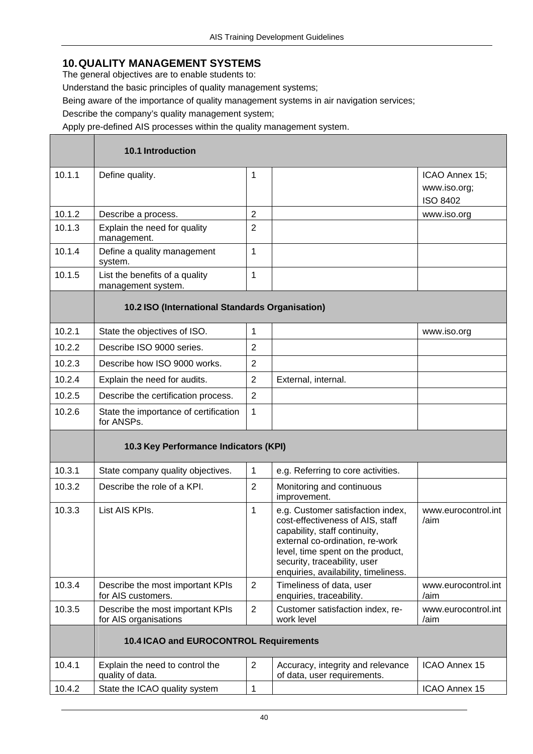### **10. QUALITY MANAGEMENT SYSTEMS**

The general objectives are to enable students to:

Understand the basic principles of quality management systems;

Being aware of the importance of quality management systems in air navigation services;

Describe the company's quality management system;

Apply pre-defined AIS processes within the quality management system.

|        | <b>10.1 Introduction</b>                                  |                |                                                                                                                                                                                                                                                        |                                                   |
|--------|-----------------------------------------------------------|----------------|--------------------------------------------------------------------------------------------------------------------------------------------------------------------------------------------------------------------------------------------------------|---------------------------------------------------|
| 10.1.1 | Define quality.                                           | 1              |                                                                                                                                                                                                                                                        | ICAO Annex 15;<br>www.iso.org;<br><b>ISO 8402</b> |
| 10.1.2 | Describe a process.                                       | $\overline{2}$ |                                                                                                                                                                                                                                                        | www.iso.org                                       |
| 10.1.3 | Explain the need for quality<br>management.               | $\overline{2}$ |                                                                                                                                                                                                                                                        |                                                   |
| 10.1.4 | Define a quality management<br>system.                    | $\mathbf{1}$   |                                                                                                                                                                                                                                                        |                                                   |
| 10.1.5 | List the benefits of a quality<br>management system.      | 1              |                                                                                                                                                                                                                                                        |                                                   |
|        | 10.2 ISO (International Standards Organisation)           |                |                                                                                                                                                                                                                                                        |                                                   |
| 10.2.1 | State the objectives of ISO.                              | $\mathbf{1}$   |                                                                                                                                                                                                                                                        | www.iso.org                                       |
| 10.2.2 | Describe ISO 9000 series.                                 | 2              |                                                                                                                                                                                                                                                        |                                                   |
| 10.2.3 | Describe how ISO 9000 works.                              | $\overline{2}$ |                                                                                                                                                                                                                                                        |                                                   |
| 10.2.4 | Explain the need for audits.                              | $\overline{2}$ | External, internal.                                                                                                                                                                                                                                    |                                                   |
| 10.2.5 | Describe the certification process.                       | $\overline{2}$ |                                                                                                                                                                                                                                                        |                                                   |
| 10.2.6 | State the importance of certification<br>for ANSPs.       | $\mathbf{1}$   |                                                                                                                                                                                                                                                        |                                                   |
|        | 10.3 Key Performance Indicators (KPI)                     |                |                                                                                                                                                                                                                                                        |                                                   |
| 10.3.1 | State company quality objectives.                         | $\mathbf{1}$   | e.g. Referring to core activities.                                                                                                                                                                                                                     |                                                   |
| 10.3.2 | Describe the role of a KPI.                               | $\overline{2}$ | Monitoring and continuous<br>improvement.                                                                                                                                                                                                              |                                                   |
| 10.3.3 | List AIS KPIs.                                            | 1              | e.g. Customer satisfaction index,<br>cost-effectiveness of AIS, staff<br>capability, staff continuity,<br>external co-ordination, re-work<br>level, time spent on the product,<br>security, traceability, user<br>enquiries, availability, timeliness. | www.eurocontrol.int<br>/aim                       |
| 10.3.4 | Describe the most important KPIs<br>for AIS customers.    | $\overline{2}$ | Timeliness of data, user<br>enquiries, traceability.                                                                                                                                                                                                   | www.eurocontrol.int<br>$/$ aim                    |
| 10.3.5 | Describe the most important KPIs<br>for AIS organisations | $\overline{2}$ | Customer satisfaction index, re-<br>work level                                                                                                                                                                                                         | www.eurocontrol.int<br>/aim                       |
|        | 10.4 ICAO and EUROCONTROL Requirements                    |                |                                                                                                                                                                                                                                                        |                                                   |
| 10.4.1 | Explain the need to control the<br>quality of data.       | $\overline{2}$ | Accuracy, integrity and relevance<br>of data, user requirements.                                                                                                                                                                                       | <b>ICAO Annex 15</b>                              |
| 10.4.2 | State the ICAO quality system                             | 1              |                                                                                                                                                                                                                                                        | ICAO Annex 15                                     |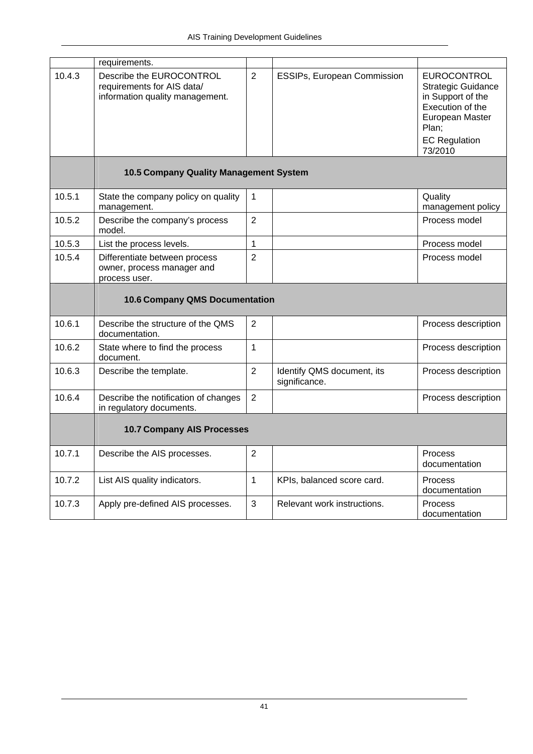|        | requirements.                                                                             |                |                                             |                                                                                                                                                         |
|--------|-------------------------------------------------------------------------------------------|----------------|---------------------------------------------|---------------------------------------------------------------------------------------------------------------------------------------------------------|
| 10.4.3 | Describe the EUROCONTROL<br>requirements for AIS data/<br>information quality management. | 2              | ESSIPs, European Commission                 | <b>EUROCONTROL</b><br><b>Strategic Guidance</b><br>in Support of the<br>Execution of the<br>European Master<br>Plan;<br><b>EC Regulation</b><br>73/2010 |
|        | 10.5 Company Quality Management System                                                    |                |                                             |                                                                                                                                                         |
| 10.5.1 | State the company policy on quality<br>management.                                        | $\mathbf{1}$   |                                             | Quality<br>management policy                                                                                                                            |
| 10.5.2 | Describe the company's process<br>model.                                                  | $\overline{2}$ |                                             | Process model                                                                                                                                           |
| 10.5.3 | List the process levels.                                                                  | $\mathbf 1$    |                                             | Process model                                                                                                                                           |
| 10.5.4 | Differentiate between process<br>owner, process manager and<br>process user.              | $\overline{2}$ |                                             | Process model                                                                                                                                           |
|        | 10.6 Company QMS Documentation                                                            |                |                                             |                                                                                                                                                         |
| 10.6.1 | Describe the structure of the QMS<br>documentation.                                       | $\overline{2}$ |                                             | Process description                                                                                                                                     |
| 10.6.2 | State where to find the process<br>document.                                              | $\mathbf{1}$   |                                             | Process description                                                                                                                                     |
| 10.6.3 | Describe the template.                                                                    | $\overline{2}$ | Identify QMS document, its<br>significance. | Process description                                                                                                                                     |
| 10.6.4 | Describe the notification of changes<br>in regulatory documents.                          | $\overline{2}$ |                                             | Process description                                                                                                                                     |
|        | <b>10.7 Company AIS Processes</b>                                                         |                |                                             |                                                                                                                                                         |
| 10.7.1 | Describe the AIS processes.                                                               | $\overline{2}$ |                                             | Process<br>documentation                                                                                                                                |
| 10.7.2 | List AIS quality indicators.                                                              | 1              | KPIs, balanced score card.                  | Process<br>documentation                                                                                                                                |
| 10.7.3 | Apply pre-defined AIS processes.                                                          | 3              | Relevant work instructions.                 | <b>Process</b><br>documentation                                                                                                                         |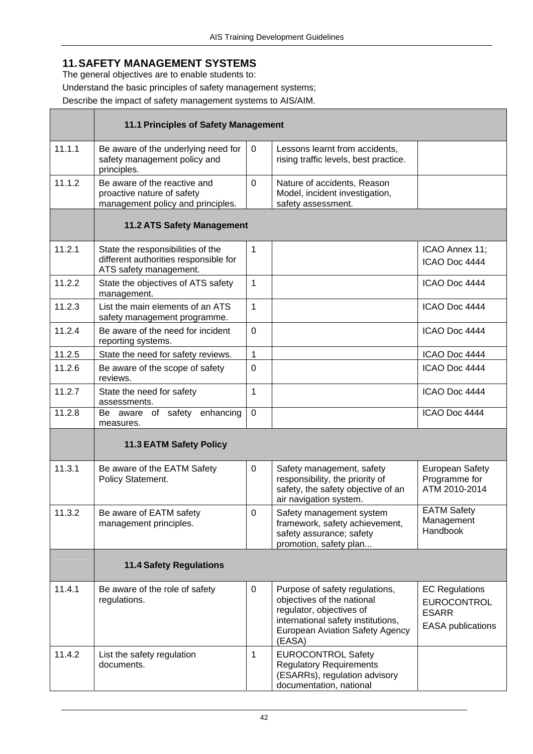## **11. SAFETY MANAGEMENT SYSTEMS**

The general objectives are to enable students to:

Understand the basic principles of safety management systems;

Describe the impact of safety management systems to AIS/AIM.

|        | 11.1 Principles of Safety Management                                                                 |                |                                                                                                                                                                                    |                                                                                         |  |
|--------|------------------------------------------------------------------------------------------------------|----------------|------------------------------------------------------------------------------------------------------------------------------------------------------------------------------------|-----------------------------------------------------------------------------------------|--|
| 11.1.1 | Be aware of the underlying need for<br>safety management policy and<br>principles.                   | $\mathbf 0$    | Lessons learnt from accidents,<br>rising traffic levels, best practice.                                                                                                            |                                                                                         |  |
| 11.1.2 | Be aware of the reactive and<br>proactive nature of safety<br>management policy and principles.      | $\mathbf 0$    | Nature of accidents, Reason<br>Model, incident investigation,<br>safety assessment.                                                                                                |                                                                                         |  |
|        | <b>11.2 ATS Safety Management</b>                                                                    |                |                                                                                                                                                                                    |                                                                                         |  |
| 11.2.1 | State the responsibilities of the<br>different authorities responsible for<br>ATS safety management. | 1              |                                                                                                                                                                                    | ICAO Annex 11;<br>ICAO Doc 4444                                                         |  |
| 11.2.2 | State the objectives of ATS safety<br>management.                                                    | $\mathbf{1}$   |                                                                                                                                                                                    | ICAO Doc 4444                                                                           |  |
| 11.2.3 | List the main elements of an ATS<br>safety management programme.                                     | $\mathbf{1}$   |                                                                                                                                                                                    | ICAO Doc 4444                                                                           |  |
| 11.2.4 | Be aware of the need for incident<br>reporting systems.                                              | $\mathbf 0$    |                                                                                                                                                                                    | ICAO Doc 4444                                                                           |  |
| 11.2.5 | State the need for safety reviews.                                                                   | $\mathbf{1}$   |                                                                                                                                                                                    | ICAO Doc 4444                                                                           |  |
| 11.2.6 | Be aware of the scope of safety<br>reviews.                                                          | $\overline{0}$ |                                                                                                                                                                                    | ICAO Doc 4444                                                                           |  |
| 11.2.7 | State the need for safety<br>assessments.                                                            | $\mathbf{1}$   |                                                                                                                                                                                    | ICAO Doc 4444                                                                           |  |
| 11.2.8 | Be aware of safety enhancing<br>measures.                                                            | $\mathbf 0$    |                                                                                                                                                                                    | ICAO Doc 4444                                                                           |  |
|        | 11.3 EATM Safety Policy                                                                              |                |                                                                                                                                                                                    |                                                                                         |  |
| 11.3.1 | Be aware of the EATM Safety<br>Policy Statement.                                                     | 0              | Safety management, safety<br>responsibility, the priority of<br>safety, the safety objective of an<br>air navigation system.                                                       | <b>European Safety</b><br>Programme for<br>ATM 2010-2014                                |  |
| 11.3.2 | Be aware of EATM safety<br>management principles.                                                    | $\Omega$       | Safety management system<br>framework, safety achievement,<br>safety assurance; safety<br>promotion, safety plan                                                                   | <b>EATM Safety</b><br>Management<br>Handbook                                            |  |
|        | <b>11.4 Safety Regulations</b>                                                                       |                |                                                                                                                                                                                    |                                                                                         |  |
| 11.4.1 | Be aware of the role of safety<br>regulations.                                                       | $\mathbf 0$    | Purpose of safety regulations,<br>objectives of the national<br>regulator, objectives of<br>international safety institutions,<br><b>European Aviation Safety Agency</b><br>(EASA) | <b>EC Regulations</b><br><b>EUROCONTROL</b><br><b>ESARR</b><br><b>EASA</b> publications |  |
| 11.4.2 | List the safety regulation<br>documents.                                                             | 1              | <b>EUROCONTROL Safety</b><br><b>Regulatory Requirements</b><br>(ESARRs), regulation advisory<br>documentation, national                                                            |                                                                                         |  |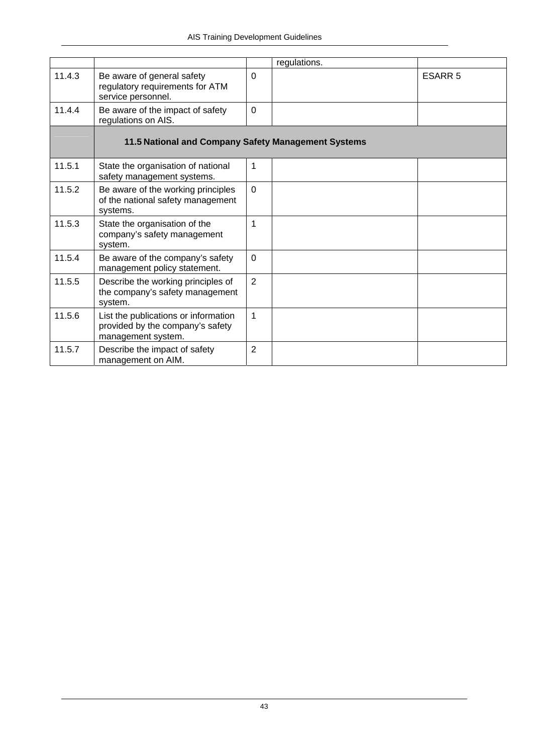|        |                                                                                                |                | regulations.  |
|--------|------------------------------------------------------------------------------------------------|----------------|---------------|
| 11.4.3 | Be aware of general safety<br>regulatory requirements for ATM<br>service personnel.            | $\Omega$       | <b>ESARR5</b> |
| 11.4.4 | Be aware of the impact of safety<br>regulations on AIS.                                        | $\overline{0}$ |               |
|        | 11.5 National and Company Safety Management Systems                                            |                |               |
| 11.5.1 | State the organisation of national<br>safety management systems.                               | 1              |               |
| 11.5.2 | Be aware of the working principles<br>of the national safety management<br>systems.            | $\Omega$       |               |
| 11.5.3 | State the organisation of the<br>company's safety management<br>system.                        | 1              |               |
| 11.5.4 | Be aware of the company's safety<br>management policy statement.                               | $\Omega$       |               |
| 11.5.5 | Describe the working principles of<br>the company's safety management<br>system.               | $\overline{2}$ |               |
| 11.5.6 | List the publications or information<br>provided by the company's safety<br>management system. | $\mathbf{1}$   |               |
| 11.5.7 | Describe the impact of safety<br>management on AIM.                                            | $\overline{2}$ |               |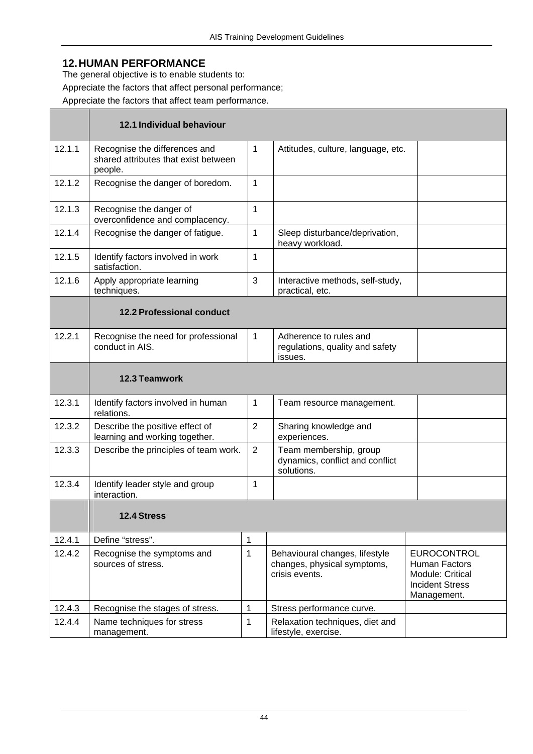## **12. HUMAN PERFORMANCE**

Г

The general objective is to enable students to: Appreciate the factors that affect personal performance;

#### Appreciate the factors that affect team performance.

|        | 12.1 Individual behaviour                                                        |                |                                                                                 |                                                                                                  |
|--------|----------------------------------------------------------------------------------|----------------|---------------------------------------------------------------------------------|--------------------------------------------------------------------------------------------------|
| 12.1.1 | Recognise the differences and<br>shared attributes that exist between<br>people. | $\mathbf{1}$   | Attitudes, culture, language, etc.                                              |                                                                                                  |
| 12.1.2 | Recognise the danger of boredom.                                                 | 1              |                                                                                 |                                                                                                  |
| 12.1.3 | Recognise the danger of<br>overconfidence and complacency.                       | $\mathbf{1}$   |                                                                                 |                                                                                                  |
| 12.1.4 | Recognise the danger of fatigue.                                                 | 1              | Sleep disturbance/deprivation,<br>heavy workload.                               |                                                                                                  |
| 12.1.5 | Identify factors involved in work<br>satisfaction.                               | 1              |                                                                                 |                                                                                                  |
| 12.1.6 | Apply appropriate learning<br>techniques.                                        | 3              | Interactive methods, self-study,<br>practical, etc.                             |                                                                                                  |
|        | <b>12.2 Professional conduct</b>                                                 |                |                                                                                 |                                                                                                  |
| 12.2.1 | Recognise the need for professional<br>conduct in AIS.                           | 1              | Adherence to rules and<br>regulations, quality and safety<br>issues.            |                                                                                                  |
|        | 12.3 Teamwork                                                                    |                |                                                                                 |                                                                                                  |
| 12.3.1 | Identify factors involved in human<br>relations.                                 | 1              | Team resource management.                                                       |                                                                                                  |
| 12.3.2 | Describe the positive effect of<br>learning and working together.                | $\overline{2}$ | Sharing knowledge and<br>experiences.                                           |                                                                                                  |
| 12.3.3 | Describe the principles of team work.                                            | $\overline{2}$ | Team membership, group<br>dynamics, conflict and conflict<br>solutions.         |                                                                                                  |
| 12.3.4 | Identify leader style and group<br>interaction.                                  | 1              |                                                                                 |                                                                                                  |
|        | 12.4 Stress                                                                      |                |                                                                                 |                                                                                                  |
| 12.4.1 | Define "stress".                                                                 | 1              |                                                                                 |                                                                                                  |
| 12.4.2 | Recognise the symptoms and<br>sources of stress.                                 | 1              | Behavioural changes, lifestyle<br>changes, physical symptoms,<br>crisis events. | <b>EUROCONTROL</b><br>Human Factors<br>Module: Critical<br><b>Incident Stress</b><br>Management. |
| 12.4.3 | Recognise the stages of stress.                                                  | 1              | Stress performance curve.                                                       |                                                                                                  |
| 12.4.4 | Name techniques for stress<br>management.                                        | 1              | Relaxation techniques, diet and<br>lifestyle, exercise.                         |                                                                                                  |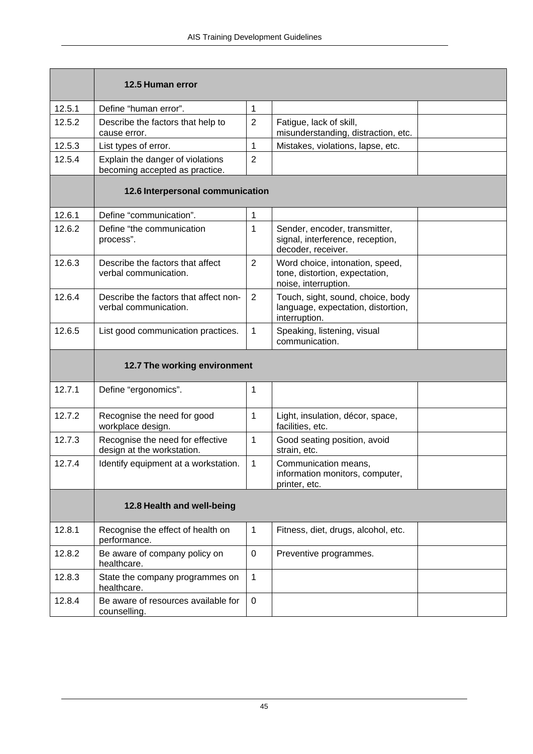|        | 12.5 Human error                                                   |                |                                                                                           |  |
|--------|--------------------------------------------------------------------|----------------|-------------------------------------------------------------------------------------------|--|
| 12.5.1 | Define "human error".                                              | 1              |                                                                                           |  |
| 12.5.2 | Describe the factors that help to<br>cause error.                  | $\overline{2}$ | Fatigue, lack of skill,<br>misunderstanding, distraction, etc.                            |  |
| 12.5.3 | List types of error.                                               | 1              | Mistakes, violations, lapse, etc.                                                         |  |
| 12.5.4 | Explain the danger of violations<br>becoming accepted as practice. | $\overline{2}$ |                                                                                           |  |
|        | 12.6 Interpersonal communication                                   |                |                                                                                           |  |
| 12.6.1 | Define "communication".                                            | 1              |                                                                                           |  |
| 12.6.2 | Define "the communication<br>process".                             | 1              | Sender, encoder, transmitter,<br>signal, interference, reception,<br>decoder, receiver.   |  |
| 12.6.3 | Describe the factors that affect<br>verbal communication.          | $\overline{2}$ | Word choice, intonation, speed,<br>tone, distortion, expectation,<br>noise, interruption. |  |
| 12.6.4 | Describe the factors that affect non-<br>verbal communication.     | $\overline{2}$ | Touch, sight, sound, choice, body<br>language, expectation, distortion,<br>interruption.  |  |
| 12.6.5 | List good communication practices.                                 | $\mathbf{1}$   | Speaking, listening, visual<br>communication.                                             |  |
|        | 12.7 The working environment                                       |                |                                                                                           |  |
| 12.7.1 | Define "ergonomics".                                               | 1              |                                                                                           |  |
| 12.7.2 | Recognise the need for good<br>workplace design.                   | 1              | Light, insulation, décor, space,<br>facilities, etc.                                      |  |
| 12.7.3 | Recognise the need for effective<br>design at the workstation.     | $\mathbf{1}$   | Good seating position, avoid<br>strain, etc.                                              |  |
| 12.7.4 | Identify equipment at a workstation.                               | $\mathbf{1}$   | Communication means.<br>information monitors, computer,<br>printer, etc.                  |  |
|        | 12.8 Health and well-being                                         |                |                                                                                           |  |
| 12.8.1 | Recognise the effect of health on<br>performance.                  | 1              | Fitness, diet, drugs, alcohol, etc.                                                       |  |
| 12.8.2 | Be aware of company policy on<br>healthcare.                       | $\mathbf 0$    | Preventive programmes.                                                                    |  |
| 12.8.3 | State the company programmes on<br>healthcare.                     | $\mathbf{1}$   |                                                                                           |  |
| 12.8.4 | Be aware of resources available for<br>counselling.                | $\overline{0}$ |                                                                                           |  |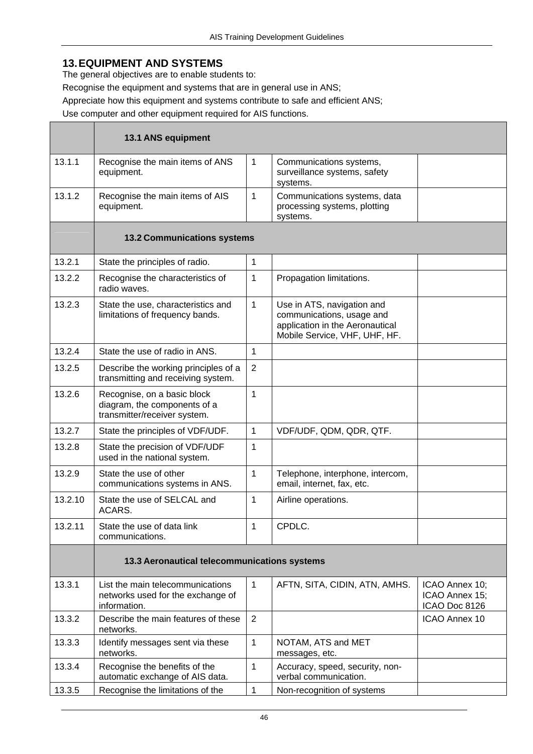## **13. EQUIPMENT AND SYSTEMS**

The general objectives are to enable students to:

Recognise the equipment and systems that are in general use in ANS;

Appreciate how this equipment and systems contribute to safe and efficient ANS;

Use computer and other equipment required for AIS functions.

|         | 13.1 ANS equipment                                                                          |                |                                                                                                                             |                                                   |  |
|---------|---------------------------------------------------------------------------------------------|----------------|-----------------------------------------------------------------------------------------------------------------------------|---------------------------------------------------|--|
| 13.1.1  | Recognise the main items of ANS<br>equipment.                                               | 1              | Communications systems,<br>surveillance systems, safety<br>systems.                                                         |                                                   |  |
| 13.1.2  | Recognise the main items of AIS<br>equipment.                                               | $\mathbf{1}$   | Communications systems, data<br>processing systems, plotting<br>systems.                                                    |                                                   |  |
|         | <b>13.2 Communications systems</b>                                                          |                |                                                                                                                             |                                                   |  |
| 13.2.1  | State the principles of radio.                                                              | 1              |                                                                                                                             |                                                   |  |
| 13.2.2  | Recognise the characteristics of<br>radio waves.                                            | 1              | Propagation limitations.                                                                                                    |                                                   |  |
| 13.2.3  | State the use, characteristics and<br>limitations of frequency bands.                       | $\mathbf{1}$   | Use in ATS, navigation and<br>communications, usage and<br>application in the Aeronautical<br>Mobile Service, VHF, UHF, HF. |                                                   |  |
| 13.2.4  | State the use of radio in ANS.                                                              | 1              |                                                                                                                             |                                                   |  |
| 13.2.5  | Describe the working principles of a<br>transmitting and receiving system.                  | $\overline{2}$ |                                                                                                                             |                                                   |  |
| 13.2.6  | Recognise, on a basic block<br>diagram, the components of a<br>transmitter/receiver system. | 1              |                                                                                                                             |                                                   |  |
| 13.2.7  | State the principles of VDF/UDF.                                                            | 1              | VDF/UDF, QDM, QDR, QTF.                                                                                                     |                                                   |  |
| 13.2.8  | State the precision of VDF/UDF<br>used in the national system.                              | 1              |                                                                                                                             |                                                   |  |
| 13.2.9  | State the use of other<br>communications systems in ANS.                                    | 1              | Telephone, interphone, intercom,<br>email, internet, fax, etc.                                                              |                                                   |  |
| 13.2.10 | State the use of SELCAL and<br>ACARS.                                                       | 1              | Airline operations.                                                                                                         |                                                   |  |
| 13.2.11 | State the use of data link<br>communications.                                               | 1              | CPDLC.                                                                                                                      |                                                   |  |
|         | 13.3 Aeronautical telecommunications systems                                                |                |                                                                                                                             |                                                   |  |
| 13.3.1  | List the main telecommunications<br>networks used for the exchange of<br>information.       | $\mathbf{1}$   | AFTN, SITA, CIDIN, ATN, AMHS.                                                                                               | ICAO Annex 10;<br>ICAO Annex 15;<br>ICAO Doc 8126 |  |
| 13.3.2  | Describe the main features of these<br>networks.                                            | $\overline{2}$ |                                                                                                                             | ICAO Annex 10                                     |  |
| 13.3.3  | Identify messages sent via these<br>networks.                                               | 1              | NOTAM, ATS and MET<br>messages, etc.                                                                                        |                                                   |  |
| 13.3.4  | Recognise the benefits of the<br>automatic exchange of AIS data.                            | $\mathbf{1}$   | Accuracy, speed, security, non-<br>verbal communication.                                                                    |                                                   |  |
| 13.3.5  | Recognise the limitations of the                                                            | $\mathbf{1}$   | Non-recognition of systems                                                                                                  |                                                   |  |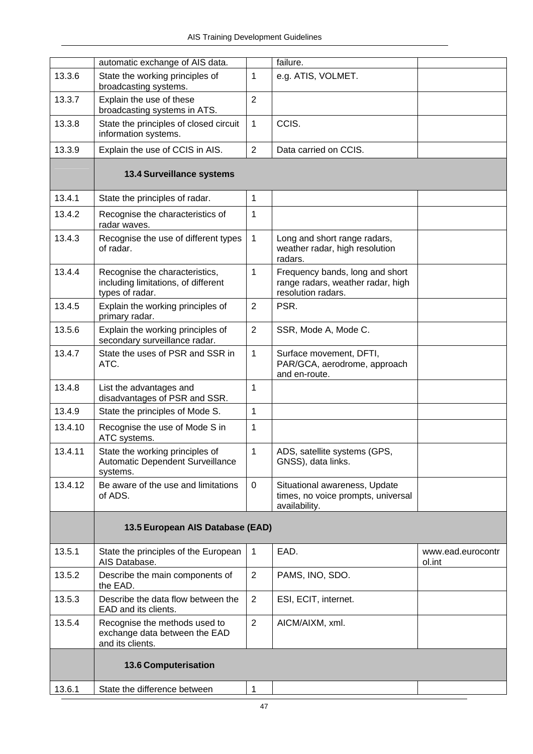|         | automatic exchange of AIS data.                                                          |                | failure.                                                                                   |                             |
|---------|------------------------------------------------------------------------------------------|----------------|--------------------------------------------------------------------------------------------|-----------------------------|
| 13.3.6  | State the working principles of<br>broadcasting systems.                                 | 1              | e.g. ATIS, VOLMET.                                                                         |                             |
| 13.3.7  | Explain the use of these<br>broadcasting systems in ATS.                                 | $\overline{2}$ |                                                                                            |                             |
| 13.3.8  | State the principles of closed circuit<br>information systems.                           | $\mathbf{1}$   | CCIS.                                                                                      |                             |
| 13.3.9  | Explain the use of CCIS in AIS.                                                          | $\overline{2}$ | Data carried on CCIS.                                                                      |                             |
|         | 13.4 Surveillance systems                                                                |                |                                                                                            |                             |
| 13.4.1  | State the principles of radar.                                                           | $\mathbf{1}$   |                                                                                            |                             |
| 13.4.2  | Recognise the characteristics of<br>radar waves.                                         | 1              |                                                                                            |                             |
| 13.4.3  | Recognise the use of different types<br>of radar.                                        | $\mathbf{1}$   | Long and short range radars,<br>weather radar, high resolution<br>radars.                  |                             |
| 13.4.4  | Recognise the characteristics,<br>including limitations, of different<br>types of radar. | $\mathbf{1}$   | Frequency bands, long and short<br>range radars, weather radar, high<br>resolution radars. |                             |
| 13.4.5  | Explain the working principles of<br>primary radar.                                      | $\overline{2}$ | PSR.                                                                                       |                             |
| 13.5.6  | Explain the working principles of<br>secondary surveillance radar.                       | $\overline{2}$ | SSR, Mode A, Mode C.                                                                       |                             |
| 13.4.7  | State the uses of PSR and SSR in<br>ATC.                                                 | $\mathbf{1}$   | Surface movement, DFTI,<br>PAR/GCA, aerodrome, approach<br>and en-route.                   |                             |
| 13.4.8  | List the advantages and<br>disadvantages of PSR and SSR.                                 | 1              |                                                                                            |                             |
| 13.4.9  | State the principles of Mode S.                                                          | $\mathbf{1}$   |                                                                                            |                             |
| 13.4.10 | Recognise the use of Mode S in<br>ATC systems.                                           | $\mathbf{1}$   |                                                                                            |                             |
| 13.4.11 | State the working principles of<br>Automatic Dependent Surveillance<br>systems.          | 1              | ADS, satellite systems (GPS,<br>GNSS), data links.                                         |                             |
| 13.4.12 | Be aware of the use and limitations<br>of ADS.                                           | $\overline{0}$ | Situational awareness, Update<br>times, no voice prompts, universal<br>availability.       |                             |
|         | 13.5 European AIS Database (EAD)                                                         |                |                                                                                            |                             |
| 13.5.1  | State the principles of the European<br>AIS Database.                                    | 1              | EAD.                                                                                       | www.ead.eurocontr<br>ol.int |
| 13.5.2  | Describe the main components of<br>the EAD.                                              | $\overline{2}$ | PAMS, INO, SDO.                                                                            |                             |
| 13.5.3  | Describe the data flow between the<br>EAD and its clients.                               | $\overline{2}$ | ESI, ECIT, internet.                                                                       |                             |
| 13.5.4  | Recognise the methods used to<br>exchange data between the EAD<br>and its clients.       | $\overline{2}$ | AICM/AIXM, xml.                                                                            |                             |
|         | <b>13.6 Computerisation</b>                                                              |                |                                                                                            |                             |
| 13.6.1  | State the difference between                                                             | 1              |                                                                                            |                             |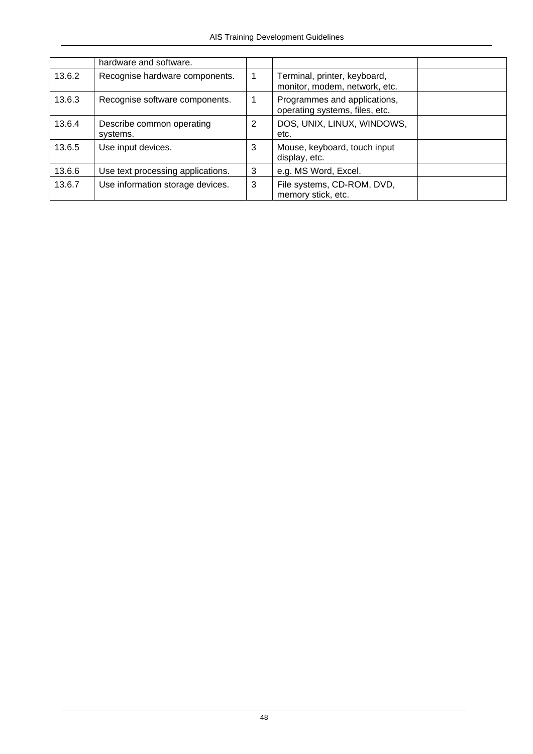|        | hardware and software.                |   |                                                                |  |
|--------|---------------------------------------|---|----------------------------------------------------------------|--|
| 13.6.2 | Recognise hardware components.        |   | Terminal, printer, keyboard,<br>monitor, modem, network, etc.  |  |
| 13.6.3 | Recognise software components.        |   | Programmes and applications,<br>operating systems, files, etc. |  |
| 13.6.4 | Describe common operating<br>systems. | 2 | DOS, UNIX, LINUX, WINDOWS,<br>etc.                             |  |
| 13.6.5 | Use input devices.                    | 3 | Mouse, keyboard, touch input<br>display, etc.                  |  |
| 13.6.6 | Use text processing applications.     | 3 | e.g. MS Word, Excel.                                           |  |
| 13.6.7 | Use information storage devices.      | 3 | File systems, CD-ROM, DVD,<br>memory stick, etc.               |  |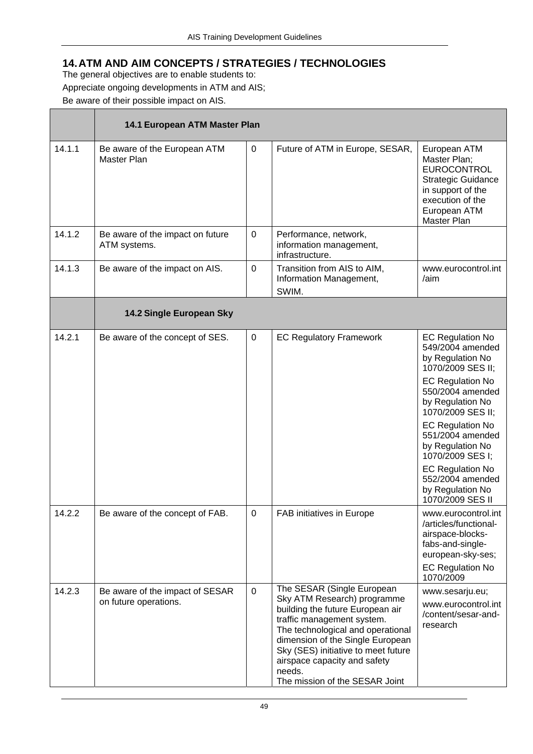# **14. ATM AND AIM CONCEPTS / STRATEGIES / TECHNOLOGIES**

The general objectives are to enable students to: Appreciate ongoing developments in ATM and AIS;

Be aware of their possible impact on AIS.

|        | 14.1 European ATM Master Plan                            |             |                                                                                                                                                                                                                                                                                                                         |                                                                                                                                                                                                                                                                                                                                                            |  |
|--------|----------------------------------------------------------|-------------|-------------------------------------------------------------------------------------------------------------------------------------------------------------------------------------------------------------------------------------------------------------------------------------------------------------------------|------------------------------------------------------------------------------------------------------------------------------------------------------------------------------------------------------------------------------------------------------------------------------------------------------------------------------------------------------------|--|
| 14.1.1 | Be aware of the European ATM<br>Master Plan              | $\mathbf 0$ | Future of ATM in Europe, SESAR,                                                                                                                                                                                                                                                                                         | European ATM<br>Master Plan;<br>EUROCONTROL<br><b>Strategic Guidance</b><br>in support of the<br>execution of the<br>European ATM<br>Master Plan                                                                                                                                                                                                           |  |
| 14.1.2 | Be aware of the impact on future<br>ATM systems.         | 0           | Performance, network,<br>information management,<br>infrastructure.                                                                                                                                                                                                                                                     |                                                                                                                                                                                                                                                                                                                                                            |  |
| 14.1.3 | Be aware of the impact on AIS.                           | 0           | Transition from AIS to AIM,<br>Information Management,<br>SWIM.                                                                                                                                                                                                                                                         | www.eurocontrol.int<br>/aim                                                                                                                                                                                                                                                                                                                                |  |
|        | 14.2 Single European Sky                                 |             |                                                                                                                                                                                                                                                                                                                         |                                                                                                                                                                                                                                                                                                                                                            |  |
| 14.2.1 | Be aware of the concept of SES.                          | 0           | <b>EC Regulatory Framework</b>                                                                                                                                                                                                                                                                                          | <b>EC Regulation No</b><br>549/2004 amended<br>by Regulation No<br>1070/2009 SES II;<br><b>EC Regulation No</b><br>550/2004 amended<br>by Regulation No<br>1070/2009 SES II;<br><b>EC Regulation No</b><br>551/2004 amended<br>by Regulation No<br>1070/2009 SES I;<br><b>EC Regulation No</b><br>552/2004 amended<br>by Regulation No<br>1070/2009 SES II |  |
| 14.2.2 | Be aware of the concept of FAB.                          | $\mathbf 0$ | FAB initiatives in Europe                                                                                                                                                                                                                                                                                               | www.eurocontrol.int<br>/articles/functional-<br>airspace-blocks-<br>fabs-and-single-<br>european-sky-ses;<br><b>EC Regulation No</b><br>1070/2009                                                                                                                                                                                                          |  |
| 14.2.3 | Be aware of the impact of SESAR<br>on future operations. | $\mathbf 0$ | The SESAR (Single European<br>Sky ATM Research) programme<br>building the future European air<br>traffic management system.<br>The technological and operational<br>dimension of the Single European<br>Sky (SES) initiative to meet future<br>airspace capacity and safety<br>needs.<br>The mission of the SESAR Joint | www.sesarju.eu;<br>www.eurocontrol.int<br>/content/sesar-and-<br>research                                                                                                                                                                                                                                                                                  |  |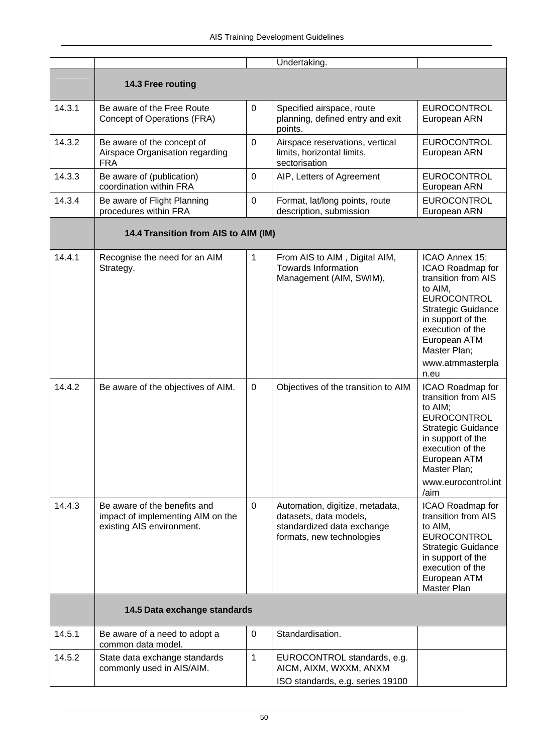|        |                                                                                                |                | Undertaking.                                                                                                         |                                                                                                                                                                                                                              |
|--------|------------------------------------------------------------------------------------------------|----------------|----------------------------------------------------------------------------------------------------------------------|------------------------------------------------------------------------------------------------------------------------------------------------------------------------------------------------------------------------------|
|        | 14.3 Free routing                                                                              |                |                                                                                                                      |                                                                                                                                                                                                                              |
| 14.3.1 | Be aware of the Free Route<br>Concept of Operations (FRA)                                      | $\mathbf 0$    | Specified airspace, route<br>planning, defined entry and exit<br>points.                                             | EUROCONTROL<br>European ARN                                                                                                                                                                                                  |
| 14.3.2 | Be aware of the concept of<br>Airspace Organisation regarding<br><b>FRA</b>                    | $\overline{0}$ | Airspace reservations, vertical<br>limits, horizontal limits,<br>sectorisation                                       | <b>EUROCONTROL</b><br>European ARN                                                                                                                                                                                           |
| 14.3.3 | Be aware of (publication)<br>coordination within FRA                                           | $\mathbf 0$    | AIP, Letters of Agreement                                                                                            | <b>EUROCONTROL</b><br>European ARN                                                                                                                                                                                           |
| 14.3.4 | Be aware of Flight Planning<br>procedures within FRA                                           | $\mathbf 0$    | Format, lat/long points, route<br>description, submission                                                            | EUROCONTROL<br>European ARN                                                                                                                                                                                                  |
|        | 14.4 Transition from AIS to AIM (IM)                                                           |                |                                                                                                                      |                                                                                                                                                                                                                              |
| 14.4.1 | Recognise the need for an AIM<br>Strategy.                                                     | 1              | From AIS to AIM, Digital AIM,<br><b>Towards Information</b><br>Management (AIM, SWIM),                               | ICAO Annex 15;<br>ICAO Roadmap for<br>transition from AIS<br>to AIM,<br><b>EUROCONTROL</b><br><b>Strategic Guidance</b><br>in support of the<br>execution of the<br>European ATM<br>Master Plan;<br>www.atmmasterpla<br>n.eu |
| 14.4.2 | Be aware of the objectives of AIM.                                                             | $\mathbf 0$    | Objectives of the transition to AIM                                                                                  | ICAO Roadmap for<br>transition from AIS<br>to AIM;<br><b>EUROCONTROL</b><br><b>Strategic Guidance</b><br>in support of the<br>execution of the<br>European ATM<br>Master Plan;<br>www.eurocontrol.int<br>/aim                |
| 14.4.3 | Be aware of the benefits and<br>impact of implementing AIM on the<br>existing AIS environment. | $\mathbf 0$    | Automation, digitize, metadata,<br>datasets, data models,<br>standardized data exchange<br>formats, new technologies | ICAO Roadmap for<br>transition from AIS<br>to AIM,<br><b>EUROCONTROL</b><br><b>Strategic Guidance</b><br>in support of the<br>execution of the<br>European ATM<br>Master Plan                                                |
|        | 14.5 Data exchange standards                                                                   |                |                                                                                                                      |                                                                                                                                                                                                                              |
| 14.5.1 | Be aware of a need to adopt a<br>common data model.                                            | $\overline{0}$ | Standardisation.                                                                                                     |                                                                                                                                                                                                                              |
| 14.5.2 | State data exchange standards<br>commonly used in AIS/AIM.                                     | $\mathbf{1}$   | EUROCONTROL standards, e.g.<br>AICM, AIXM, WXXM, ANXM<br>ISO standards, e.g. series 19100                            |                                                                                                                                                                                                                              |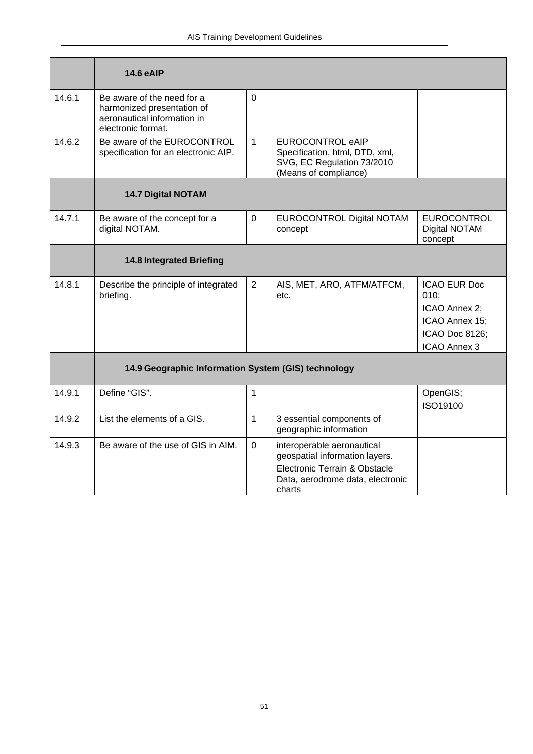|        | <b>14.6 eAIP</b>                                                                                              |                |                                                                                                                                             |                                                                                                         |  |
|--------|---------------------------------------------------------------------------------------------------------------|----------------|---------------------------------------------------------------------------------------------------------------------------------------------|---------------------------------------------------------------------------------------------------------|--|
| 14.6.1 | Be aware of the need for a<br>harmonized presentation of<br>aeronautical information in<br>electronic format. | $\overline{0}$ |                                                                                                                                             |                                                                                                         |  |
| 14.6.2 | Be aware of the EUROCONTROL<br>specification for an electronic AIP.                                           | $\mathbf{1}$   | <b>EUROCONTROL eAIP</b><br>Specification, html, DTD, xml,<br>SVG, EC Regulation 73/2010<br>(Means of compliance)                            |                                                                                                         |  |
|        | <b>14.7 Digital NOTAM</b>                                                                                     |                |                                                                                                                                             |                                                                                                         |  |
| 14.7.1 | Be aware of the concept for a<br>digital NOTAM.                                                               | $\mathbf 0$    | <b>EUROCONTROL Digital NOTAM</b><br>concept                                                                                                 | <b>EUROCONTROL</b><br>Digital NOTAM<br>concept                                                          |  |
|        | 14.8 Integrated Briefing                                                                                      |                |                                                                                                                                             |                                                                                                         |  |
| 14.8.1 | Describe the principle of integrated<br>briefing.                                                             | $\overline{2}$ | AIS, MET, ARO, ATFM/ATFCM,<br>etc.                                                                                                          | <b>ICAO EUR Doc</b><br>010;<br>ICAO Annex 2;<br>ICAO Annex 15;<br>ICAO Doc 8126;<br><b>ICAO Annex 3</b> |  |
|        | 14.9 Geographic Information System (GIS) technology                                                           |                |                                                                                                                                             |                                                                                                         |  |
| 14.9.1 | Define "GIS".                                                                                                 | 1              |                                                                                                                                             | OpenGIS;<br>ISO19100                                                                                    |  |
| 14.9.2 | List the elements of a GIS.                                                                                   | $\mathbf{1}$   | 3 essential components of<br>geographic information                                                                                         |                                                                                                         |  |
| 14.9.3 | Be aware of the use of GIS in AIM.                                                                            | $\Omega$       | interoperable aeronautical<br>geospatial information layers.<br>Electronic Terrain & Obstacle<br>Data, aerodrome data, electronic<br>charts |                                                                                                         |  |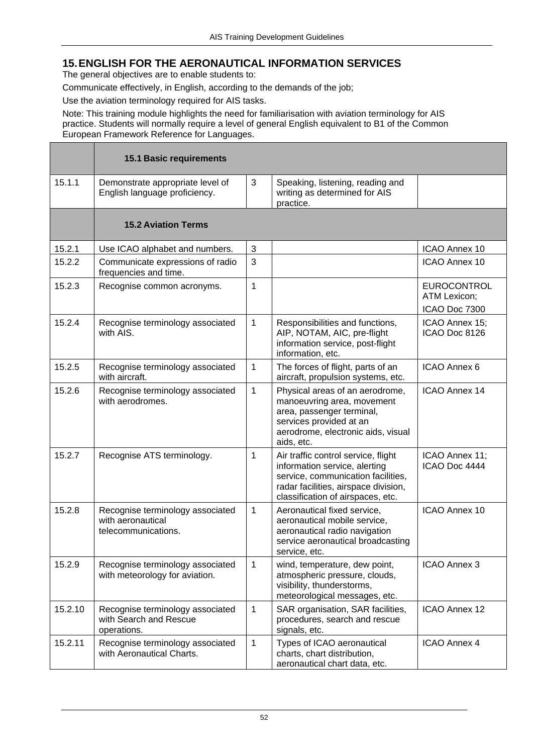# **15. ENGLISH FOR THE AERONAUTICAL INFORMATION SERVICES**

The general objectives are to enable students to:

Communicate effectively, in English, according to the demands of the job;

Use the aviation terminology required for AIS tasks.

Г

Note: This training module highlights the need for familiarisation with aviation terminology for AIS practice. Students will normally require a level of general English equivalent to B1 of the Common European Framework Reference for Languages.

|         | <b>15.1 Basic requirements</b>                                               |              |                                                                                                                                                                                         |                                                     |
|---------|------------------------------------------------------------------------------|--------------|-----------------------------------------------------------------------------------------------------------------------------------------------------------------------------------------|-----------------------------------------------------|
| 15.1.1  | Demonstrate appropriate level of<br>English language proficiency.            | 3            | Speaking, listening, reading and<br>writing as determined for AIS<br>practice.                                                                                                          |                                                     |
|         | <b>15.2 Aviation Terms</b>                                                   |              |                                                                                                                                                                                         |                                                     |
| 15.2.1  | Use ICAO alphabet and numbers.                                               | $\mathbf{3}$ |                                                                                                                                                                                         | ICAO Annex 10                                       |
| 15.2.2  | Communicate expressions of radio<br>frequencies and time.                    | 3            |                                                                                                                                                                                         | <b>ICAO Annex 10</b>                                |
| 15.2.3  | Recognise common acronyms.                                                   | $\mathbf{1}$ |                                                                                                                                                                                         | <b>EUROCONTROL</b><br>ATM Lexicon;<br>ICAO Doc 7300 |
| 15.2.4  | Recognise terminology associated<br>with AIS.                                | $\mathbf{1}$ | Responsibilities and functions,<br>AIP, NOTAM, AIC, pre-flight<br>information service, post-flight<br>information, etc.                                                                 | ICAO Annex 15;<br>ICAO Doc 8126                     |
| 15.2.5  | Recognise terminology associated<br>with aircraft.                           | 1            | The forces of flight, parts of an<br>aircraft, propulsion systems, etc.                                                                                                                 | ICAO Annex 6                                        |
| 15.2.6  | Recognise terminology associated<br>with aerodromes.                         | $\mathbf{1}$ | Physical areas of an aerodrome,<br>manoeuvring area, movement<br>area, passenger terminal,<br>services provided at an<br>aerodrome, electronic aids, visual<br>aids, etc.               | ICAO Annex 14                                       |
| 15.2.7  | Recognise ATS terminology.                                                   | 1            | Air traffic control service, flight<br>information service, alerting<br>service, communication facilities,<br>radar facilities, airspace division,<br>classification of airspaces, etc. | ICAO Annex 11;<br>ICAO Doc 4444                     |
| 15.2.8  | Recognise terminology associated<br>with aeronautical<br>telecommunications. | $\mathbf{1}$ | Aeronautical fixed service,<br>aeronautical mobile service,<br>aeronautical radio navigation<br>service aeronautical broadcasting<br>service, etc.                                      | ICAO Annex 10                                       |
| 15.2.9  | Recognise terminology associated<br>with meteorology for aviation.           | $\mathbf 1$  | wind, temperature, dew point,<br>atmospheric pressure, clouds,<br>visibility, thunderstorms,<br>meteorological messages, etc.                                                           | <b>ICAO Annex 3</b>                                 |
| 15.2.10 | Recognise terminology associated<br>with Search and Rescue<br>operations.    | $\mathbf{1}$ | SAR organisation, SAR facilities,<br>procedures, search and rescue<br>signals, etc.                                                                                                     | ICAO Annex 12                                       |
| 15.2.11 | Recognise terminology associated<br>with Aeronautical Charts.                | $\mathbf 1$  | Types of ICAO aeronautical<br>charts, chart distribution,<br>aeronautical chart data, etc.                                                                                              | ICAO Annex 4                                        |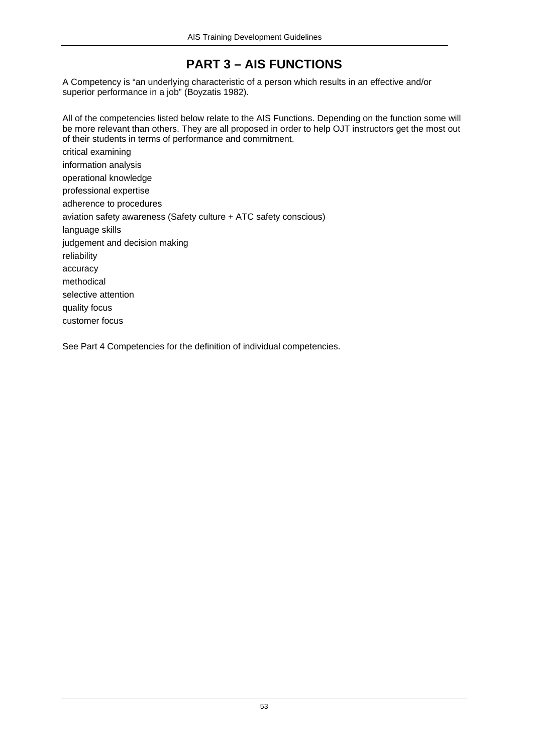# **PART 3 – AIS FUNCTIONS**

A Competency is "an underlying characteristic of a person which results in an effective and/or superior performance in a job" (Boyzatis 1982).

All of the competencies listed below relate to the AIS Functions. Depending on the function some will be more relevant than others. They are all proposed in order to help OJT instructors get the most out of their students in terms of performance and commitment.

critical examining information analysis operational knowledge professional expertise adherence to procedures aviation safety awareness (Safety culture + ATC safety conscious) language skills judgement and decision making reliability accuracy methodical selective attention quality focus customer focus

See Part 4 Competencies for the definition of individual competencies.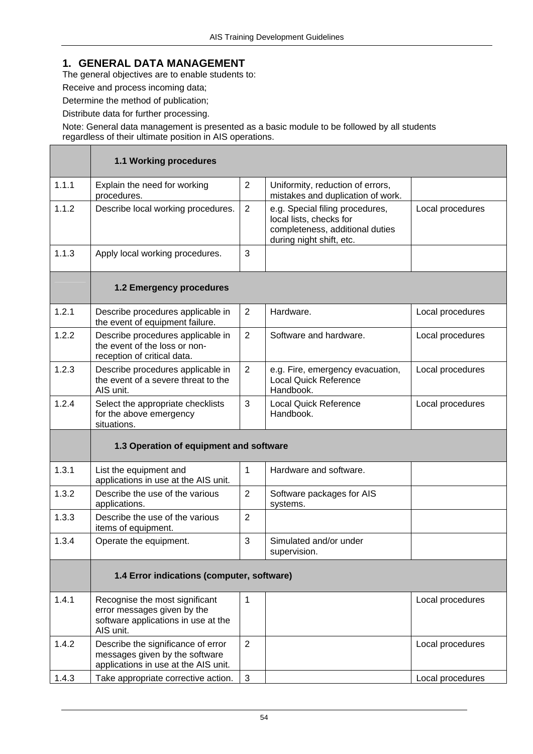### **1. GENERAL DATA MANAGEMENT**

The general objectives are to enable students to:

Receive and process incoming data;

Determine the method of publication;

Distribute data for further processing.

Note: General data management is presented as a basic module to be followed by all students regardless of their ultimate position in AIS operations.

|       | 1.1 Working procedures                                                                                            |                |                                                                                                                           |                  |  |
|-------|-------------------------------------------------------------------------------------------------------------------|----------------|---------------------------------------------------------------------------------------------------------------------------|------------------|--|
| 1.1.1 | Explain the need for working<br>procedures.                                                                       | $\overline{2}$ | Uniformity, reduction of errors,<br>mistakes and duplication of work.                                                     |                  |  |
| 1.1.2 | Describe local working procedures.                                                                                | $\overline{2}$ | e.g. Special filing procedures,<br>local lists, checks for<br>completeness, additional duties<br>during night shift, etc. | Local procedures |  |
| 1.1.3 | Apply local working procedures.                                                                                   | 3              |                                                                                                                           |                  |  |
|       | 1.2 Emergency procedures                                                                                          |                |                                                                                                                           |                  |  |
| 1.2.1 | Describe procedures applicable in<br>the event of equipment failure.                                              | $\overline{2}$ | Hardware.                                                                                                                 | Local procedures |  |
| 1.2.2 | Describe procedures applicable in<br>the event of the loss or non-<br>reception of critical data.                 | $\overline{2}$ | Software and hardware.                                                                                                    | Local procedures |  |
| 1.2.3 | Describe procedures applicable in<br>the event of a severe threat to the<br>AIS unit.                             | $\overline{2}$ | e.g. Fire, emergency evacuation,<br><b>Local Quick Reference</b><br>Handbook.                                             | Local procedures |  |
| 1.2.4 | Select the appropriate checklists<br>for the above emergency<br>situations.                                       | 3              | <b>Local Quick Reference</b><br>Handbook.                                                                                 | Local procedures |  |
|       | 1.3 Operation of equipment and software                                                                           |                |                                                                                                                           |                  |  |
| 1.3.1 | List the equipment and<br>applications in use at the AIS unit.                                                    | $\mathbf{1}$   | Hardware and software.                                                                                                    |                  |  |
| 1.3.2 | Describe the use of the various<br>applications.                                                                  | $\overline{2}$ | Software packages for AIS<br>systems.                                                                                     |                  |  |
| 1.3.3 | Describe the use of the various<br>items of equipment.                                                            | $\overline{2}$ |                                                                                                                           |                  |  |
| 1.3.4 | Operate the equipment.                                                                                            | 3              | Simulated and/or under<br>supervision.                                                                                    |                  |  |
|       | 1.4 Error indications (computer, software)                                                                        |                |                                                                                                                           |                  |  |
| 1.4.1 | Recognise the most significant<br>error messages given by the<br>software applications in use at the<br>AIS unit. | 1              |                                                                                                                           | Local procedures |  |
| 1.4.2 | Describe the significance of error<br>messages given by the software<br>applications in use at the AIS unit.      | $\overline{2}$ |                                                                                                                           | Local procedures |  |
| 1.4.3 | Take appropriate corrective action.                                                                               | 3              |                                                                                                                           | Local procedures |  |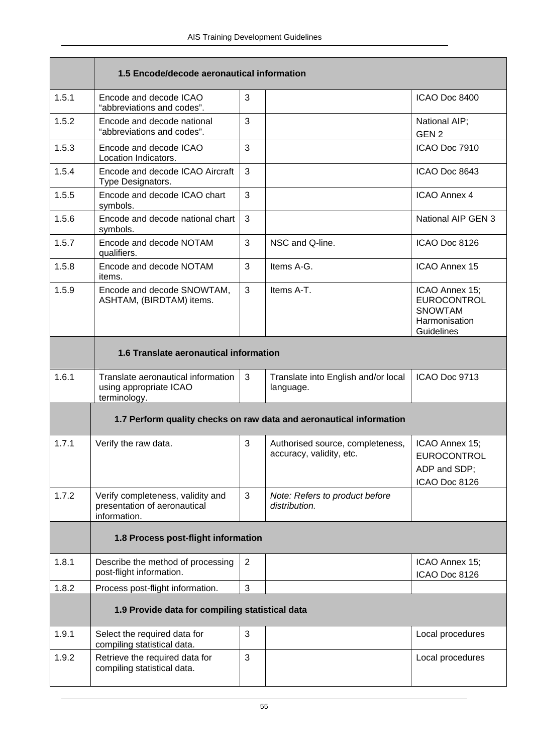|       | 1.5 Encode/decode aeronautical information                                        |                |                                                                     |                                                                                       |  |
|-------|-----------------------------------------------------------------------------------|----------------|---------------------------------------------------------------------|---------------------------------------------------------------------------------------|--|
| 1.5.1 | Encode and decode ICAO<br>"abbreviations and codes".                              | 3              |                                                                     | ICAO Doc 8400                                                                         |  |
| 1.5.2 | Encode and decode national<br>"abbreviations and codes".                          | 3              |                                                                     | National AIP;<br>GEN <sub>2</sub>                                                     |  |
| 1.5.3 | Encode and decode ICAO<br>Location Indicators.                                    | 3              |                                                                     | ICAO Doc 7910                                                                         |  |
| 1.5.4 | Encode and decode ICAO Aircraft<br>Type Designators.                              | 3              |                                                                     | ICAO Doc 8643                                                                         |  |
| 1.5.5 | Encode and decode ICAO chart<br>symbols.                                          | 3              |                                                                     | <b>ICAO Annex 4</b>                                                                   |  |
| 1.5.6 | Encode and decode national chart<br>symbols.                                      | 3              |                                                                     | National AIP GEN 3                                                                    |  |
| 1.5.7 | Encode and decode NOTAM<br>qualifiers.                                            | 3              | NSC and Q-line.                                                     | ICAO Doc 8126                                                                         |  |
| 1.5.8 | Encode and decode NOTAM<br>items.                                                 | 3              | Items A-G.                                                          | <b>ICAO Annex 15</b>                                                                  |  |
| 1.5.9 | Encode and decode SNOWTAM,<br>ASHTAM, (BIRDTAM) items.                            | 3              | Items A-T.                                                          | ICAO Annex 15;<br><b>EUROCONTROL</b><br><b>SNOWTAM</b><br>Harmonisation<br>Guidelines |  |
|       | 1.6 Translate aeronautical information                                            |                |                                                                     |                                                                                       |  |
| 1.6.1 | Translate aeronautical information<br>using appropriate ICAO<br>terminology.      | 3              | Translate into English and/or local<br>language.                    | ICAO Doc 9713                                                                         |  |
|       |                                                                                   |                | 1.7 Perform quality checks on raw data and aeronautical information |                                                                                       |  |
| 1.7.1 | Verify the raw data.                                                              | 3              | Authorised source, completeness,<br>accuracy, validity, etc.        | ICAO Annex 15;<br>EUROCONTROL<br>ADP and SDP;<br>ICAO Doc 8126                        |  |
| 1.7.2 | Verify completeness, validity and<br>presentation of aeronautical<br>information. | 3              | Note: Refers to product before<br>distribution.                     |                                                                                       |  |
|       | 1.8 Process post-flight information                                               |                |                                                                     |                                                                                       |  |
| 1.8.1 | Describe the method of processing<br>post-flight information.                     | $\overline{2}$ |                                                                     | ICAO Annex 15;<br>ICAO Doc 8126                                                       |  |
| 1.8.2 | Process post-flight information.                                                  | 3              |                                                                     |                                                                                       |  |
|       | 1.9 Provide data for compiling statistical data                                   |                |                                                                     |                                                                                       |  |
| 1.9.1 | Select the required data for<br>compiling statistical data.                       | 3              |                                                                     | Local procedures                                                                      |  |
| 1.9.2 | Retrieve the required data for<br>compiling statistical data.                     | 3              |                                                                     | Local procedures                                                                      |  |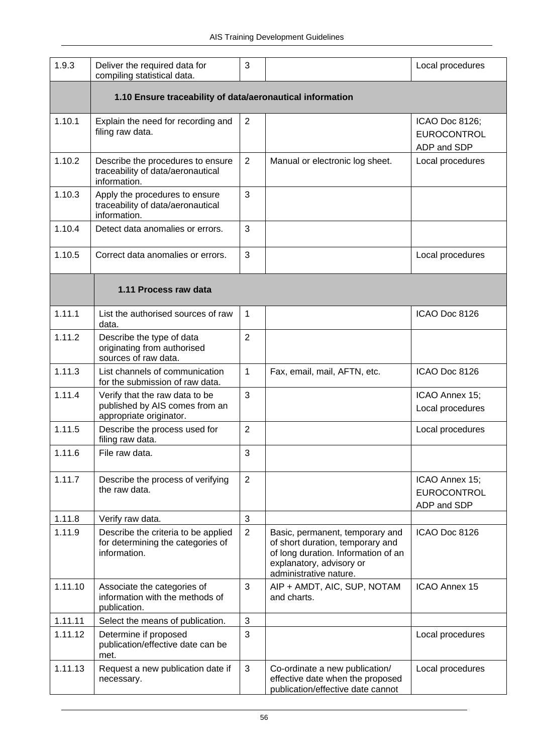| 1.9.3   | Deliver the required data for<br>compiling statistical data.                                | 3              |                                                                                                                                                                  | Local procedures                                    |
|---------|---------------------------------------------------------------------------------------------|----------------|------------------------------------------------------------------------------------------------------------------------------------------------------------------|-----------------------------------------------------|
|         | 1.10 Ensure traceability of data/aeronautical information                                   |                |                                                                                                                                                                  |                                                     |
| 1.10.1  | Explain the need for recording and<br>filing raw data.                                      | $\overline{2}$ |                                                                                                                                                                  | ICAO Doc 8126;<br><b>EUROCONTROL</b><br>ADP and SDP |
| 1.10.2  | Describe the procedures to ensure<br>traceability of data/aeronautical<br>information.      | $\overline{2}$ | Manual or electronic log sheet.                                                                                                                                  | Local procedures                                    |
| 1.10.3  | Apply the procedures to ensure<br>traceability of data/aeronautical<br>information.         | 3              |                                                                                                                                                                  |                                                     |
| 1.10.4  | Detect data anomalies or errors.                                                            | 3              |                                                                                                                                                                  |                                                     |
| 1.10.5  | Correct data anomalies or errors.                                                           | 3              |                                                                                                                                                                  | Local procedures                                    |
|         | 1.11 Process raw data                                                                       |                |                                                                                                                                                                  |                                                     |
| 1.11.1  | List the authorised sources of raw<br>data.                                                 | 1              |                                                                                                                                                                  | ICAO Doc 8126                                       |
| 1.11.2  | Describe the type of data<br>originating from authorised<br>sources of raw data.            | $\overline{2}$ |                                                                                                                                                                  |                                                     |
| 1.11.3  | List channels of communication<br>for the submission of raw data.                           | 1              | Fax, email, mail, AFTN, etc.                                                                                                                                     | ICAO Doc 8126                                       |
| 1.11.4  | Verify that the raw data to be<br>published by AIS comes from an<br>appropriate originator. | 3              |                                                                                                                                                                  | ICAO Annex 15;<br>Local procedures                  |
| 1.11.5  | Describe the process used for<br>filing raw data.                                           | $\overline{2}$ |                                                                                                                                                                  | Local procedures                                    |
| 1.11.6  | File raw data.                                                                              | 3              |                                                                                                                                                                  |                                                     |
| 1.11.7  | Describe the process of verifying<br>the raw data.                                          | $\overline{2}$ |                                                                                                                                                                  | ICAO Annex 15;<br><b>EUROCONTROL</b><br>ADP and SDP |
| 1.11.8  | Verify raw data.                                                                            | 3              |                                                                                                                                                                  |                                                     |
| 1.11.9  | Describe the criteria to be applied<br>for determining the categories of<br>information.    | $\overline{2}$ | Basic, permanent, temporary and<br>of short duration, temporary and<br>of long duration. Information of an<br>explanatory, advisory or<br>administrative nature. | ICAO Doc 8126                                       |
| 1.11.10 | Associate the categories of<br>information with the methods of<br>publication.              | 3              | AIP + AMDT, AIC, SUP, NOTAM<br>and charts.                                                                                                                       | <b>ICAO Annex 15</b>                                |
| 1.11.11 | Select the means of publication.                                                            | 3              |                                                                                                                                                                  |                                                     |
| 1.11.12 | Determine if proposed<br>publication/effective date can be<br>met.                          | 3              |                                                                                                                                                                  | Local procedures                                    |
| 1.11.13 | Request a new publication date if<br>necessary.                                             | 3              | Co-ordinate a new publication/<br>effective date when the proposed<br>publication/effective date cannot                                                          | Local procedures                                    |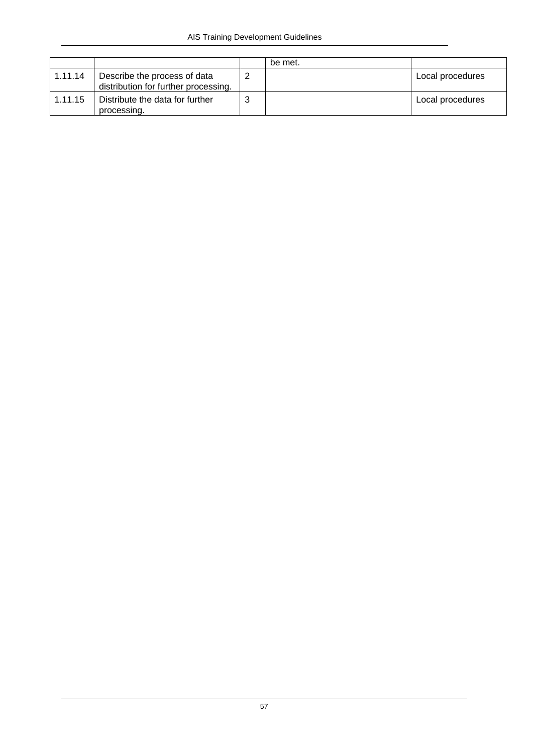|         |                                                                      | be met. |                  |
|---------|----------------------------------------------------------------------|---------|------------------|
| 1.11.14 | Describe the process of data<br>distribution for further processing. |         | Local procedures |
| 1.11.15 | Distribute the data for further<br>processing.                       |         | Local procedures |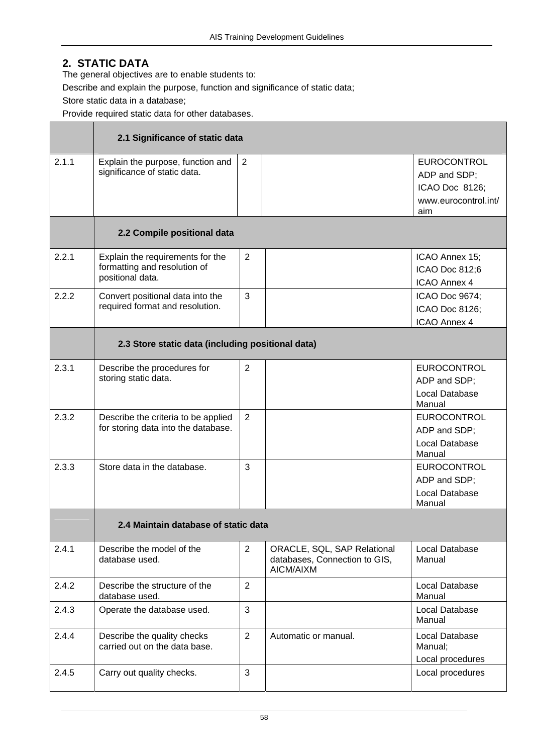# **2. STATIC DATA**

The general objectives are to enable students to:

Describe and explain the purpose, function and significance of static data;

Store static data in a database;

Provide required static data for other databases.

|       | 2.1 Significance of static data                                                      |                |                                                                           |                                                                                     |  |
|-------|--------------------------------------------------------------------------------------|----------------|---------------------------------------------------------------------------|-------------------------------------------------------------------------------------|--|
| 2.1.1 | Explain the purpose, function and<br>significance of static data.                    | $\overline{2}$ |                                                                           | <b>EUROCONTROL</b><br>ADP and SDP:<br>ICAO Doc 8126;<br>www.eurocontrol.int/<br>aim |  |
|       | 2.2 Compile positional data                                                          |                |                                                                           |                                                                                     |  |
| 2.2.1 | Explain the requirements for the<br>formatting and resolution of<br>positional data. | $\overline{2}$ |                                                                           | ICAO Annex 15;<br>ICAO Doc 812;6<br>ICAO Annex 4                                    |  |
| 2.2.2 | Convert positional data into the<br>required format and resolution.                  | 3              |                                                                           | ICAO Doc 9674;<br>ICAO Doc 8126;<br>ICAO Annex 4                                    |  |
|       | 2.3 Store static data (including positional data)                                    |                |                                                                           |                                                                                     |  |
| 2.3.1 | Describe the procedures for<br>storing static data.                                  | $\overline{2}$ |                                                                           | <b>EUROCONTROL</b><br>ADP and SDP;<br>Local Database<br>Manual                      |  |
| 2.3.2 | Describe the criteria to be applied<br>for storing data into the database.           | $\overline{2}$ |                                                                           | <b>EUROCONTROL</b><br>ADP and SDP;<br>Local Database<br>Manual                      |  |
| 2.3.3 | Store data in the database.                                                          | 3              |                                                                           | <b>EUROCONTROL</b><br>ADP and SDP;<br>Local Database<br>Manual                      |  |
|       | 2.4 Maintain database of static data                                                 |                |                                                                           |                                                                                     |  |
| 2.4.1 | Describe the model of the<br>database used.                                          | $\overline{2}$ | ORACLE, SQL, SAP Relational<br>databases, Connection to GIS,<br>AICM/AIXM | Local Database<br>Manual                                                            |  |
| 2.4.2 | Describe the structure of the<br>database used.                                      | $\overline{2}$ |                                                                           | Local Database<br>Manual                                                            |  |
| 2.4.3 | Operate the database used.                                                           | 3              |                                                                           | Local Database<br>Manual                                                            |  |
| 2.4.4 | Describe the quality checks<br>carried out on the data base.                         | $\overline{2}$ | Automatic or manual.                                                      | Local Database<br>Manual;<br>Local procedures                                       |  |
| 2.4.5 | Carry out quality checks.                                                            | 3              |                                                                           | Local procedures                                                                    |  |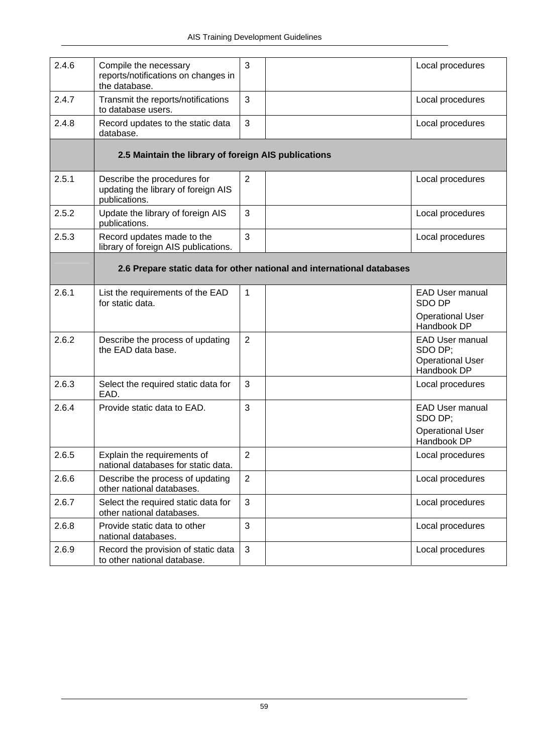| 2.4.6 | Compile the necessary<br>reports/notifications on changes in<br>the database.       | 3              |  | Local procedures                                                            |  |  |
|-------|-------------------------------------------------------------------------------------|----------------|--|-----------------------------------------------------------------------------|--|--|
| 2.4.7 | Transmit the reports/notifications<br>to database users.                            | 3              |  | Local procedures                                                            |  |  |
| 2.4.8 | Record updates to the static data<br>database.                                      | 3              |  | Local procedures                                                            |  |  |
|       | 2.5 Maintain the library of foreign AIS publications                                |                |  |                                                                             |  |  |
| 2.5.1 | Describe the procedures for<br>updating the library of foreign AIS<br>publications. | $\overline{2}$ |  | Local procedures                                                            |  |  |
| 2.5.2 | Update the library of foreign AIS<br>publications.                                  | 3              |  | Local procedures                                                            |  |  |
| 2.5.3 | Record updates made to the<br>library of foreign AIS publications.                  | 3              |  | Local procedures                                                            |  |  |
|       | 2.6 Prepare static data for other national and international databases              |                |  |                                                                             |  |  |
| 2.6.1 | List the requirements of the EAD<br>for static data.                                | 1              |  | <b>EAD User manual</b><br>SDO DP<br><b>Operational User</b>                 |  |  |
|       |                                                                                     |                |  | Handbook DP                                                                 |  |  |
| 2.6.2 | Describe the process of updating<br>the EAD data base.                              | $\overline{2}$ |  | <b>EAD User manual</b><br>SDO DP;<br><b>Operational User</b><br>Handbook DP |  |  |
| 2.6.3 | Select the required static data for<br>EAD.                                         | 3              |  | Local procedures                                                            |  |  |
| 2.6.4 | Provide static data to EAD.                                                         | 3              |  | <b>EAD User manual</b><br>SDO DP;                                           |  |  |
|       |                                                                                     |                |  | <b>Operational User</b><br>Handbook DP                                      |  |  |
| 2.6.5 | Explain the requirements of<br>national databases for static data.                  | $\overline{c}$ |  | Local procedures                                                            |  |  |
| 2.6.6 | Describe the process of updating<br>other national databases.                       | $\overline{2}$ |  | Local procedures                                                            |  |  |
| 2.6.7 | Select the required static data for<br>other national databases.                    | 3              |  | Local procedures                                                            |  |  |
| 2.6.8 | Provide static data to other<br>national databases.                                 | 3              |  | Local procedures                                                            |  |  |
| 2.6.9 | Record the provision of static data<br>to other national database.                  | 3              |  | Local procedures                                                            |  |  |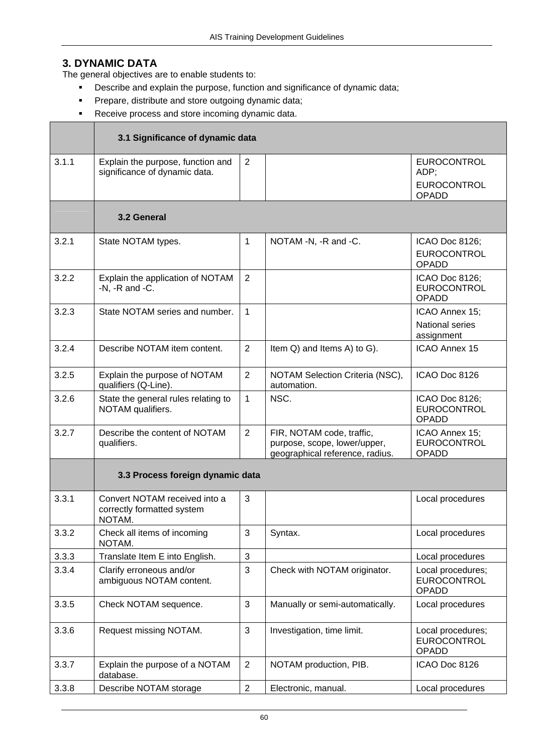### **3. DYNAMIC DATA**

- **•** Describe and explain the purpose, function and significance of dynamic data;
- **Prepare, distribute and store outgoing dynamic data;**
- Receive process and store incoming dynamic data.

|       | 3.1 Significance of dynamic data                                      |                           |                                                                                              |                                                         |
|-------|-----------------------------------------------------------------------|---------------------------|----------------------------------------------------------------------------------------------|---------------------------------------------------------|
| 3.1.1 | Explain the purpose, function and<br>significance of dynamic data.    | 2                         |                                                                                              | <b>EUROCONTROL</b><br>ADP:                              |
|       |                                                                       |                           |                                                                                              | <b>EUROCONTROL</b><br><b>OPADD</b>                      |
|       | 3.2 General                                                           |                           |                                                                                              |                                                         |
| 3.2.1 | State NOTAM types.                                                    | 1                         | NOTAM -N, -R and -C.                                                                         | ICAO Doc 8126;<br><b>EUROCONTROL</b><br><b>OPADD</b>    |
| 3.2.2 | Explain the application of NOTAM<br>$-N$ , $-R$ and $-C$ .            | 2                         |                                                                                              | ICAO Doc 8126;<br>EUROCONTROL<br><b>OPADD</b>           |
| 3.2.3 | State NOTAM series and number.                                        | 1                         |                                                                                              | ICAO Annex 15:                                          |
|       |                                                                       |                           |                                                                                              | National series<br>assignment                           |
| 3.2.4 | Describe NOTAM item content.                                          | $\overline{2}$            | Item Q) and Items A) to G).                                                                  | ICAO Annex 15                                           |
| 3.2.5 | Explain the purpose of NOTAM<br>qualifiers (Q-Line).                  | $\overline{2}$            | NOTAM Selection Criteria (NSC),<br>automation.                                               | ICAO Doc 8126                                           |
| 3.2.6 | State the general rules relating to<br>NOTAM qualifiers.              | 1                         | NSC.                                                                                         | ICAO Doc 8126;<br><b>EUROCONTROL</b><br><b>OPADD</b>    |
| 3.2.7 | Describe the content of NOTAM<br>qualifiers.                          | 2                         | FIR, NOTAM code, traffic,<br>purpose, scope, lower/upper,<br>geographical reference, radius. | ICAO Annex 15;<br>EUROCONTROL<br><b>OPADD</b>           |
|       | 3.3 Process foreign dynamic data                                      |                           |                                                                                              |                                                         |
| 3.3.1 | Convert NOTAM received into a<br>correctly formatted system<br>NOTAM. | 3                         |                                                                                              | Local procedures                                        |
| 3.3.2 | Check all items of incoming<br>NOTAM.                                 | 3                         | Syntax.                                                                                      | Local procedures                                        |
| 3.3.3 | Translate Item E into English.                                        | $\ensuremath{\mathsf{3}}$ |                                                                                              | Local procedures                                        |
| 3.3.4 | Clarify erroneous and/or<br>ambiguous NOTAM content.                  | 3                         | Check with NOTAM originator.                                                                 | Local procedures;<br><b>EUROCONTROL</b><br><b>OPADD</b> |
| 3.3.5 | Check NOTAM sequence.                                                 | $\mathfrak{S}$            | Manually or semi-automatically.                                                              | Local procedures                                        |
| 3.3.6 | Request missing NOTAM.                                                | 3                         | Investigation, time limit.                                                                   | Local procedures;<br>EUROCONTROL<br><b>OPADD</b>        |
| 3.3.7 | Explain the purpose of a NOTAM<br>database.                           | $\overline{2}$            | NOTAM production, PIB.                                                                       | ICAO Doc 8126                                           |
| 3.3.8 | Describe NOTAM storage                                                | $\overline{2}$            | Electronic, manual.                                                                          | Local procedures                                        |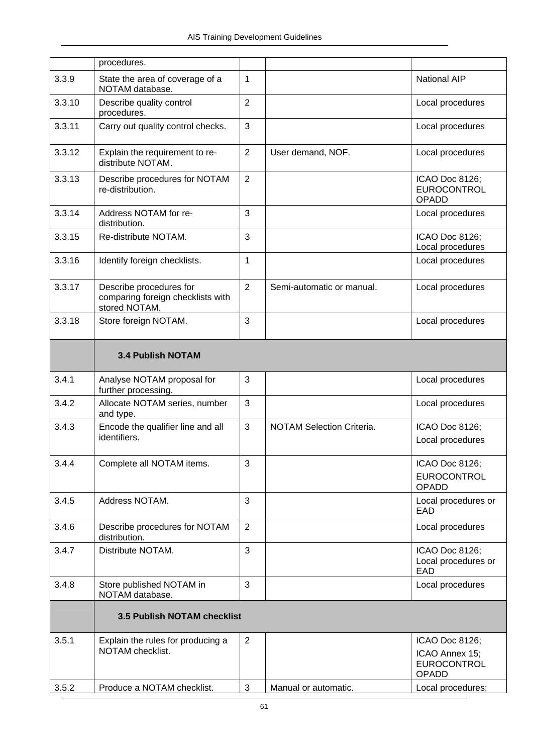|        | procedures.                                                                   |                |                                  |                                                      |
|--------|-------------------------------------------------------------------------------|----------------|----------------------------------|------------------------------------------------------|
| 3.3.9  | State the area of coverage of a<br>NOTAM database.                            | 1              |                                  | <b>National AIP</b>                                  |
| 3.3.10 | Describe quality control<br>procedures.                                       | $\overline{2}$ |                                  | Local procedures                                     |
| 3.3.11 | Carry out quality control checks.                                             | 3              |                                  | Local procedures                                     |
| 3.3.12 | Explain the requirement to re-<br>distribute NOTAM.                           | $\overline{2}$ | User demand, NOF.                | Local procedures                                     |
| 3.3.13 | Describe procedures for NOTAM<br>re-distribution.                             | $\overline{2}$ |                                  | ICAO Doc 8126;<br><b>EUROCONTROL</b><br><b>OPADD</b> |
| 3.3.14 | Address NOTAM for re-<br>distribution.                                        | 3              |                                  | Local procedures                                     |
| 3.3.15 | Re-distribute NOTAM.                                                          | 3              |                                  | ICAO Doc 8126;<br>Local procedures                   |
| 3.3.16 | Identify foreign checklists.                                                  | $\mathbf{1}$   |                                  | Local procedures                                     |
| 3.3.17 | Describe procedures for<br>comparing foreign checklists with<br>stored NOTAM. | $\overline{2}$ | Semi-automatic or manual.        | Local procedures                                     |
| 3.3.18 | Store foreign NOTAM.                                                          | 3              |                                  | Local procedures                                     |
|        | <b>3.4 Publish NOTAM</b>                                                      |                |                                  |                                                      |
| 3.4.1  | Analyse NOTAM proposal for<br>further processing.                             | 3              |                                  | Local procedures                                     |
| 3.4.2  | Allocate NOTAM series, number<br>and type.                                    | 3              |                                  | Local procedures                                     |
| 3.4.3  | Encode the qualifier line and all<br>identifiers.                             | 3              | <b>NOTAM Selection Criteria.</b> | ICAO Doc 8126;<br>Local procedures                   |
| 3.4.4  | Complete all NOTAM items.                                                     | 3              |                                  | ICAO Doc 8126;<br><b>EUROCONTROL</b><br><b>OPADD</b> |
| 3.4.5  | Address NOTAM.                                                                | 3              |                                  | Local procedures or<br>EAD                           |
| 3.4.6  | Describe procedures for NOTAM<br>distribution.                                | $\overline{2}$ |                                  | Local procedures                                     |
| 3.4.7  | Distribute NOTAM.                                                             | 3              |                                  | ICAO Doc 8126;<br>Local procedures or<br>EAD         |
| 3.4.8  | Store published NOTAM in<br>NOTAM database.                                   | 3              |                                  | Local procedures                                     |
|        | <b>3.5 Publish NOTAM checklist</b>                                            |                |                                  |                                                      |
| 3.5.1  | Explain the rules for producing a                                             | $\overline{2}$ |                                  | ICAO Doc 8126;                                       |
|        | NOTAM checklist.                                                              |                |                                  | ICAO Annex 15;<br><b>EUROCONTROL</b><br>OPADD        |
| 3.5.2  | Produce a NOTAM checklist.                                                    | 3              | Manual or automatic.             | Local procedures;                                    |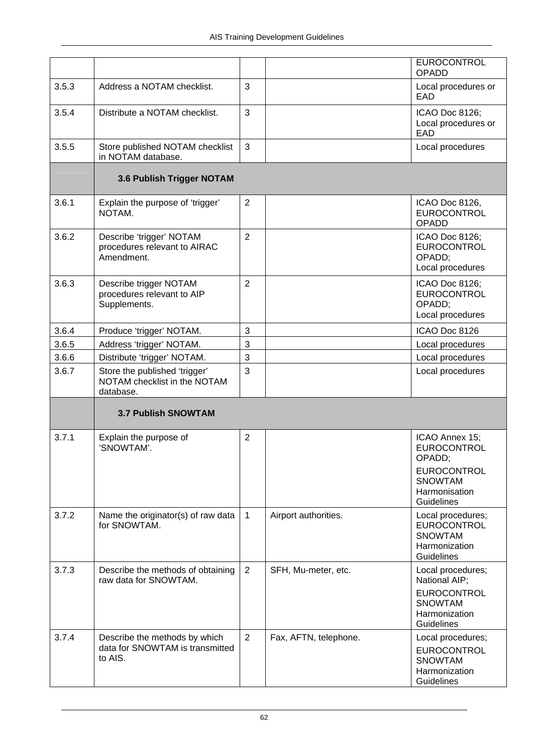|       |                                                                             |                |                       | EUROCONTROL<br><b>OPADD</b>                                                                                           |
|-------|-----------------------------------------------------------------------------|----------------|-----------------------|-----------------------------------------------------------------------------------------------------------------------|
| 3.5.3 | Address a NOTAM checklist.                                                  | 3              |                       | Local procedures or<br>EAD                                                                                            |
| 3.5.4 | Distribute a NOTAM checklist.                                               | 3              |                       | ICAO Doc 8126;<br>Local procedures or<br>EAD                                                                          |
| 3.5.5 | Store published NOTAM checklist<br>in NOTAM database.                       | 3              |                       | Local procedures                                                                                                      |
|       | 3.6 Publish Trigger NOTAM                                                   |                |                       |                                                                                                                       |
| 3.6.1 | Explain the purpose of 'trigger'<br>NOTAM.                                  | $\overline{2}$ |                       | ICAO Doc 8126,<br>EUROCONTROL<br><b>OPADD</b>                                                                         |
| 3.6.2 | Describe 'trigger' NOTAM<br>procedures relevant to AIRAC<br>Amendment.      | $\overline{2}$ |                       | ICAO Doc 8126;<br>EUROCONTROL<br>OPADD;<br>Local procedures                                                           |
| 3.6.3 | Describe trigger NOTAM<br>procedures relevant to AIP<br>Supplements.        | $\overline{2}$ |                       | ICAO Doc 8126;<br><b>EUROCONTROL</b><br>OPADD:<br>Local procedures                                                    |
| 3.6.4 | Produce 'trigger' NOTAM.                                                    | 3              |                       | ICAO Doc 8126                                                                                                         |
| 3.6.5 | Address 'trigger' NOTAM.                                                    | 3              |                       | Local procedures                                                                                                      |
| 3.6.6 | Distribute 'trigger' NOTAM.                                                 | 3              |                       | Local procedures                                                                                                      |
| 3.6.7 | Store the published 'trigger'<br>NOTAM checklist in the NOTAM<br>database.  | 3              |                       | Local procedures                                                                                                      |
|       | <b>3.7 Publish SNOWTAM</b>                                                  |                |                       |                                                                                                                       |
| 3.7.1 | Explain the purpose of<br>'SNOWTAM'.                                        | $\overline{2}$ |                       | ICAO Annex 15;<br><b>EUROCONTROL</b><br>OPADD;<br><b>EUROCONTROL</b><br><b>SNOWTAM</b><br>Harmonisation<br>Guidelines |
| 3.7.2 | Name the originator(s) of raw data<br>for SNOWTAM.                          | $\mathbf{1}$   | Airport authorities.  | Local procedures;<br><b>EUROCONTROL</b><br><b>SNOWTAM</b><br>Harmonization<br>Guidelines                              |
| 3.7.3 | Describe the methods of obtaining<br>raw data for SNOWTAM.                  | $\overline{2}$ | SFH, Mu-meter, etc.   | Local procedures;<br>National AIP;<br><b>EUROCONTROL</b><br><b>SNOWTAM</b><br>Harmonization<br>Guidelines             |
| 3.7.4 | Describe the methods by which<br>data for SNOWTAM is transmitted<br>to AIS. | $\overline{2}$ | Fax, AFTN, telephone. | Local procedures;<br><b>EUROCONTROL</b><br><b>SNOWTAM</b><br>Harmonization<br>Guidelines                              |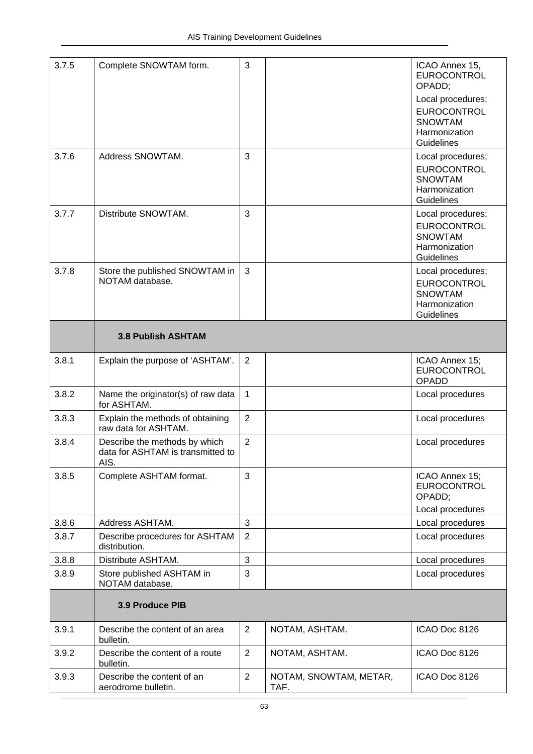| 3.7.5 | Complete SNOWTAM form.                                                     | 3              |                                | ICAO Annex 15,<br><b>EUROCONTROL</b><br>OPADD;<br>Local procedures;<br><b>EUROCONTROL</b><br><b>SNOWTAM</b><br>Harmonization<br>Guidelines |
|-------|----------------------------------------------------------------------------|----------------|--------------------------------|--------------------------------------------------------------------------------------------------------------------------------------------|
| 3.7.6 | Address SNOWTAM.                                                           | 3              |                                | Local procedures;                                                                                                                          |
|       |                                                                            |                |                                | <b>EUROCONTROL</b><br><b>SNOWTAM</b><br>Harmonization<br>Guidelines                                                                        |
| 3.7.7 | Distribute SNOWTAM.                                                        | 3              |                                | Local procedures;<br><b>EUROCONTROL</b><br><b>SNOWTAM</b><br>Harmonization<br>Guidelines                                                   |
| 3.7.8 | Store the published SNOWTAM in<br>NOTAM database.                          | 3              |                                | Local procedures;<br><b>EUROCONTROL</b><br><b>SNOWTAM</b><br>Harmonization<br>Guidelines                                                   |
|       | <b>3.8 Publish ASHTAM</b>                                                  |                |                                |                                                                                                                                            |
| 3.8.1 | Explain the purpose of 'ASHTAM'.                                           | 2              |                                | ICAO Annex 15;<br><b>EUROCONTROL</b><br><b>OPADD</b>                                                                                       |
| 3.8.2 | Name the originator(s) of raw data<br>for ASHTAM.                          | 1              |                                | Local procedures                                                                                                                           |
| 3.8.3 | Explain the methods of obtaining<br>raw data for ASHTAM.                   | $\overline{2}$ |                                | Local procedures                                                                                                                           |
| 3.8.4 | Describe the methods by which<br>data for ASHTAM is transmitted to<br>AIS. | $\overline{2}$ |                                | Local procedures                                                                                                                           |
| 3.8.5 | Complete ASHTAM format.                                                    | 3              |                                | ICAO Annex 15;<br><b>EUROCONTROL</b><br>OPADD;                                                                                             |
| 3.8.6 | Address ASHTAM.                                                            | 3              |                                | Local procedures<br>Local procedures                                                                                                       |
| 3.8.7 | Describe procedures for ASHTAM<br>distribution.                            | $\overline{2}$ |                                | Local procedures                                                                                                                           |
| 3.8.8 | Distribute ASHTAM.                                                         | 3              |                                | Local procedures                                                                                                                           |
| 3.8.9 | Store published ASHTAM in<br>NOTAM database.                               | 3              |                                | Local procedures                                                                                                                           |
|       | 3.9 Produce PIB                                                            |                |                                |                                                                                                                                            |
| 3.9.1 | Describe the content of an area<br>bulletin.                               | $\overline{2}$ | NOTAM, ASHTAM.                 | ICAO Doc 8126                                                                                                                              |
| 3.9.2 | Describe the content of a route<br>bulletin.                               | $\overline{2}$ | NOTAM, ASHTAM.                 | ICAO Doc 8126                                                                                                                              |
| 3.9.3 | Describe the content of an<br>aerodrome bulletin.                          | $\overline{2}$ | NOTAM, SNOWTAM, METAR,<br>TAF. | ICAO Doc 8126                                                                                                                              |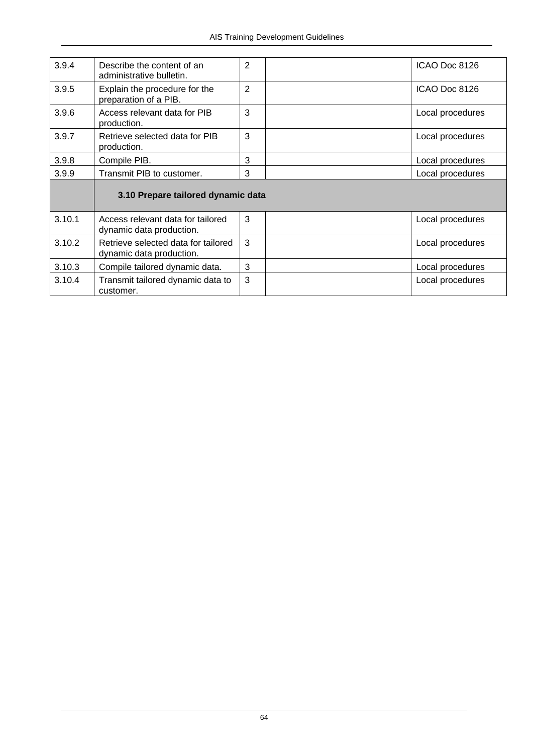| 3.9.4  | Describe the content of an<br>administrative bulletin.          | $\overline{2}$ |  | ICAO Doc 8126    |  |
|--------|-----------------------------------------------------------------|----------------|--|------------------|--|
| 3.9.5  | Explain the procedure for the<br>preparation of a PIB.          | 2              |  | ICAO Doc 8126    |  |
| 3.9.6  | Access relevant data for PIB<br>production.                     | 3              |  | Local procedures |  |
| 3.9.7  | Retrieve selected data for PIB<br>production.                   | 3              |  | Local procedures |  |
| 3.9.8  | Compile PIB.                                                    | 3              |  | Local procedures |  |
| 3.9.9  | Transmit PIB to customer.                                       | 3              |  | Local procedures |  |
|        | 3.10 Prepare tailored dynamic data                              |                |  |                  |  |
| 3.10.1 | Access relevant data for tailored<br>dynamic data production.   | 3              |  | Local procedures |  |
| 3.10.2 | Retrieve selected data for tailored<br>dynamic data production. | 3              |  | Local procedures |  |
| 3.10.3 | Compile tailored dynamic data.                                  | 3              |  | Local procedures |  |
| 3.10.4 | Transmit tailored dynamic data to<br>customer.                  | 3              |  | Local procedures |  |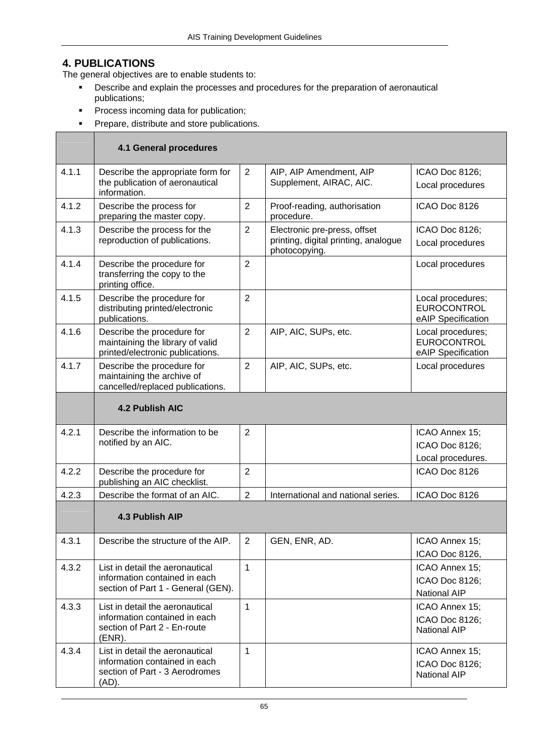# **4. PUBLICATIONS**

- **•** Describe and explain the processes and procedures for the preparation of aeronautical publications;
- **Process incoming data for publication;**
- **Prepare, distribute and store publications.**

|       | <b>4.1 General procedures</b>                                                                                 |                |                                                                                       |                                                               |
|-------|---------------------------------------------------------------------------------------------------------------|----------------|---------------------------------------------------------------------------------------|---------------------------------------------------------------|
| 4.1.1 | Describe the appropriate form for<br>the publication of aeronautical<br>information.                          | 2              | AIP, AIP Amendment, AIP<br>Supplement, AIRAC, AIC.                                    | ICAO Doc 8126;<br>Local procedures                            |
| 4.1.2 | Describe the process for<br>preparing the master copy.                                                        | $\overline{2}$ | Proof-reading, authorisation<br>procedure.                                            | ICAO Doc 8126                                                 |
| 4.1.3 | Describe the process for the<br>reproduction of publications.                                                 | $\overline{2}$ | Electronic pre-press, offset<br>printing, digital printing, analogue<br>photocopying. | ICAO Doc 8126;<br>Local procedures                            |
| 4.1.4 | Describe the procedure for<br>transferring the copy to the<br>printing office.                                | $\overline{2}$ |                                                                                       | Local procedures                                              |
| 4.1.5 | Describe the procedure for<br>distributing printed/electronic<br>publications.                                | $\overline{2}$ |                                                                                       | Local procedures;<br><b>EUROCONTROL</b><br>eAIP Specification |
| 4.1.6 | Describe the procedure for<br>maintaining the library of valid<br>printed/electronic publications.            | $\overline{2}$ | AIP, AIC, SUPs, etc.                                                                  | Local procedures;<br>EUROCONTROL<br>eAIP Specification        |
| 4.1.7 | Describe the procedure for<br>maintaining the archive of<br>cancelled/replaced publications.                  | $\overline{2}$ | AIP, AIC, SUPs, etc.                                                                  | Local procedures                                              |
|       | <b>4.2 Publish AIC</b>                                                                                        |                |                                                                                       |                                                               |
| 4.2.1 | Describe the information to be<br>notified by an AIC.                                                         | 2              |                                                                                       | ICAO Annex 15;<br>ICAO Doc 8126;<br>Local procedures.         |
| 4.2.2 | Describe the procedure for<br>publishing an AIC checklist.                                                    | $\overline{2}$ |                                                                                       | ICAO Doc 8126                                                 |
| 4.2.3 | Describe the format of an AIC.                                                                                | $\overline{2}$ | International and national series.                                                    | ICAO Doc 8126                                                 |
|       | <b>4.3 Publish AIP</b>                                                                                        |                |                                                                                       |                                                               |
| 4.3.1 | Describe the structure of the AIP.                                                                            | 2              | GEN, ENR, AD.                                                                         | ICAO Annex 15;<br>ICAO Doc 8126,                              |
| 4.3.2 | List in detail the aeronautical<br>information contained in each<br>section of Part 1 - General (GEN).        | $\mathbf{1}$   |                                                                                       | ICAO Annex 15;<br>ICAO Doc 8126;<br><b>National AIP</b>       |
| 4.3.3 | List in detail the aeronautical<br>information contained in each<br>section of Part 2 - En-route<br>$(ENR)$ . | $\mathbf{1}$   |                                                                                       | ICAO Annex 15;<br>ICAO Doc 8126:<br><b>National AIP</b>       |
| 4.3.4 | List in detail the aeronautical<br>information contained in each<br>section of Part - 3 Aerodromes<br>(AD).   | 1              |                                                                                       | ICAO Annex 15;<br>ICAO Doc 8126;<br><b>National AIP</b>       |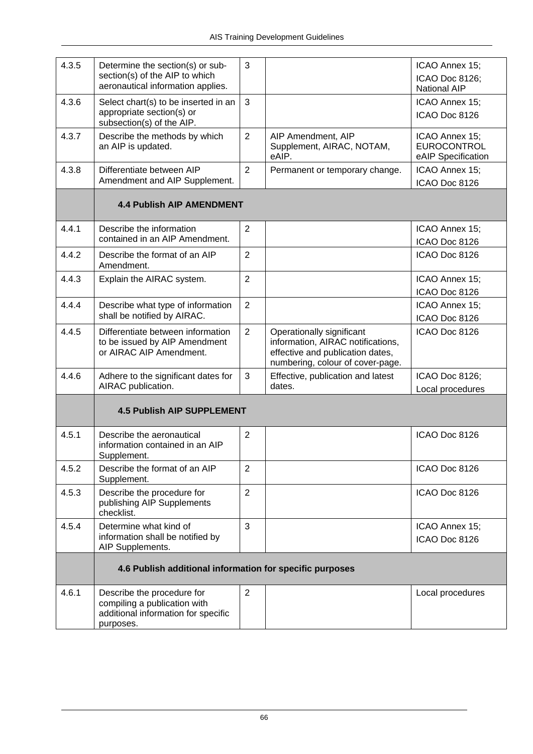| 4.3.5 | Determine the section(s) or sub-<br>section(s) of the AIP to which<br>aeronautical information applies.        | 3              |                                                                                                                                        | ICAO Annex 15;<br>ICAO Doc 8126;<br><b>National AIP</b>    |
|-------|----------------------------------------------------------------------------------------------------------------|----------------|----------------------------------------------------------------------------------------------------------------------------------------|------------------------------------------------------------|
| 4.3.6 | Select chart(s) to be inserted in an<br>appropriate section(s) or<br>subsection(s) of the AIP.                 | 3              |                                                                                                                                        | ICAO Annex 15;<br>ICAO Doc 8126                            |
| 4.3.7 | Describe the methods by which<br>an AIP is updated.                                                            | $\overline{2}$ | AIP Amendment, AIP<br>Supplement, AIRAC, NOTAM,<br>eAIP.                                                                               | ICAO Annex 15;<br><b>EUROCONTROL</b><br>eAIP Specification |
| 4.3.8 | Differentiate between AIP<br>Amendment and AIP Supplement.                                                     | 2              | Permanent or temporary change.                                                                                                         | ICAO Annex 15;<br>ICAO Doc 8126                            |
|       | <b>4.4 Publish AIP AMENDMENT</b>                                                                               |                |                                                                                                                                        |                                                            |
| 4.4.1 | Describe the information<br>contained in an AIP Amendment.                                                     | 2              |                                                                                                                                        | ICAO Annex 15;<br>ICAO Doc 8126                            |
| 4.4.2 | Describe the format of an AIP<br>Amendment.                                                                    | 2              |                                                                                                                                        | ICAO Doc 8126                                              |
| 4.4.3 | Explain the AIRAC system.                                                                                      | 2              |                                                                                                                                        | ICAO Annex 15;<br>ICAO Doc 8126                            |
| 4.4.4 | Describe what type of information<br>shall be notified by AIRAC.                                               | 2              |                                                                                                                                        | ICAO Annex 15;<br>ICAO Doc 8126                            |
| 4.4.5 | Differentiate between information<br>to be issued by AIP Amendment<br>or AIRAC AIP Amendment.                  | $\overline{2}$ | Operationally significant<br>information, AIRAC notifications,<br>effective and publication dates,<br>numbering, colour of cover-page. | ICAO Doc 8126                                              |
| 4.4.6 | Adhere to the significant dates for<br>AIRAC publication.                                                      | 3              | Effective, publication and latest<br>dates.                                                                                            | ICAO Doc 8126;<br>Local procedures                         |
|       | <b>4.5 Publish AIP SUPPLEMENT</b>                                                                              |                |                                                                                                                                        |                                                            |
| 4.5.1 | Describe the aeronautical<br>information contained in an AIP<br>Supplement.                                    | $\overline{2}$ |                                                                                                                                        | ICAO Doc 8126                                              |
| 4.5.2 | Describe the format of an AIP<br>Supplement.                                                                   | $\overline{2}$ |                                                                                                                                        | ICAO Doc 8126                                              |
| 4.5.3 | Describe the procedure for<br>publishing AIP Supplements<br>checklist.                                         | $\overline{2}$ |                                                                                                                                        | ICAO Doc 8126                                              |
| 4.5.4 | Determine what kind of<br>information shall be notified by<br>AIP Supplements.                                 | 3              |                                                                                                                                        | ICAO Annex 15;<br>ICAO Doc 8126                            |
|       | 4.6 Publish additional information for specific purposes                                                       |                |                                                                                                                                        |                                                            |
| 4.6.1 | Describe the procedure for<br>compiling a publication with<br>additional information for specific<br>purposes. | 2              |                                                                                                                                        | Local procedures                                           |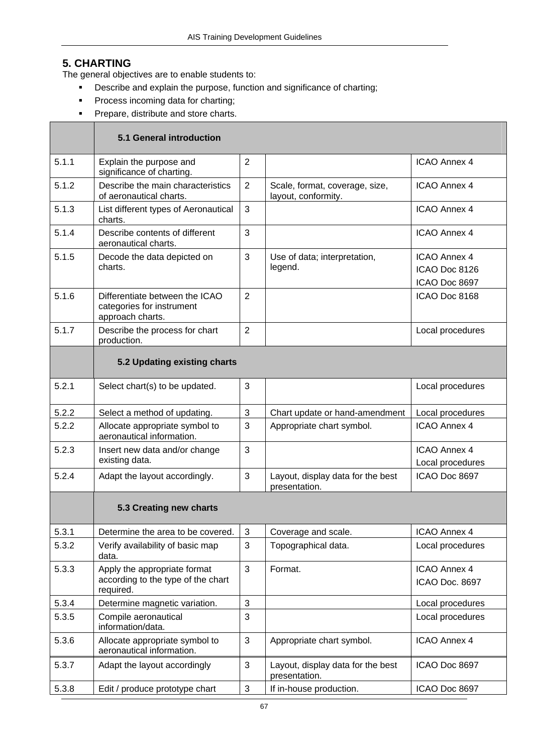# **5. CHARTING**

- **•** Describe and explain the purpose, function and significance of charting;
- **Process incoming data for charting;**
- **Prepare, distribute and store charts.**

|       | 5.1 General introduction                                                        |                |                                                       |                                                       |
|-------|---------------------------------------------------------------------------------|----------------|-------------------------------------------------------|-------------------------------------------------------|
| 5.1.1 | Explain the purpose and<br>significance of charting.                            | $\overline{2}$ |                                                       | <b>ICAO Annex 4</b>                                   |
| 5.1.2 | Describe the main characteristics<br>of aeronautical charts.                    | $\overline{2}$ | Scale, format, coverage, size,<br>layout, conformity. | <b>ICAO Annex 4</b>                                   |
| 5.1.3 | List different types of Aeronautical<br>charts.                                 | 3              |                                                       | <b>ICAO Annex 4</b>                                   |
| 5.1.4 | Describe contents of different<br>aeronautical charts.                          | 3              |                                                       | <b>ICAO Annex 4</b>                                   |
| 5.1.5 | Decode the data depicted on<br>charts.                                          | 3              | Use of data; interpretation,<br>legend.               | <b>ICAO Annex 4</b><br>ICAO Doc 8126<br>ICAO Doc 8697 |
| 5.1.6 | Differentiate between the ICAO<br>categories for instrument<br>approach charts. | $\overline{2}$ |                                                       | ICAO Doc 8168                                         |
| 5.1.7 | Describe the process for chart<br>production.                                   | $\overline{2}$ |                                                       | Local procedures                                      |
|       | 5.2 Updating existing charts                                                    |                |                                                       |                                                       |
| 5.2.1 | Select chart(s) to be updated.                                                  | 3              |                                                       | Local procedures                                      |
| 5.2.2 | Select a method of updating.                                                    | 3              | Chart update or hand-amendment                        | Local procedures                                      |
| 5.2.2 | Allocate appropriate symbol to<br>aeronautical information.                     | 3              | Appropriate chart symbol.                             | <b>ICAO Annex 4</b>                                   |
| 5.2.3 | Insert new data and/or change<br>existing data.                                 | 3              |                                                       | <b>ICAO Annex 4</b><br>Local procedures               |
| 5.2.4 | Adapt the layout accordingly.                                                   | 3              | Layout, display data for the best<br>presentation.    | ICAO Doc 8697                                         |
|       | 5.3 Creating new charts                                                         |                |                                                       |                                                       |
| 5.3.1 | Determine the area to be covered.                                               | 3              | Coverage and scale.                                   | ICAO Annex 4                                          |
| 5.3.2 | Verify availability of basic map<br>data.                                       | 3              | Topographical data.                                   | Local procedures                                      |
| 5.3.3 | Apply the appropriate format<br>according to the type of the chart<br>required. | 3              | Format.                                               | ICAO Annex 4<br>ICAO Doc. 8697                        |
| 5.3.4 | Determine magnetic variation.                                                   | 3              |                                                       | Local procedures                                      |
| 5.3.5 | Compile aeronautical<br>information/data.                                       | 3              |                                                       | Local procedures                                      |
| 5.3.6 | Allocate appropriate symbol to<br>aeronautical information.                     | 3              | Appropriate chart symbol.                             | <b>ICAO Annex 4</b>                                   |
| 5.3.7 | Adapt the layout accordingly                                                    | 3              | Layout, display data for the best<br>presentation.    | ICAO Doc 8697                                         |
| 5.3.8 | Edit / produce prototype chart                                                  | 3              | If in-house production.                               | ICAO Doc 8697                                         |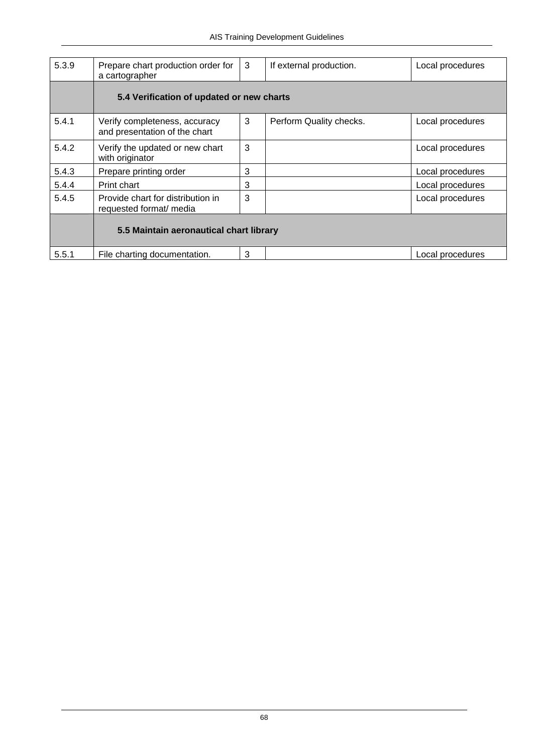| 5.3.9 | Prepare chart production order for<br>a cartographer           | 3 | If external production. | Local procedures |  |  |
|-------|----------------------------------------------------------------|---|-------------------------|------------------|--|--|
|       | 5.4 Verification of updated or new charts                      |   |                         |                  |  |  |
| 5.4.1 | Verify completeness, accuracy<br>and presentation of the chart | 3 | Perform Quality checks. | Local procedures |  |  |
| 5.4.2 | Verify the updated or new chart<br>with originator             | 3 |                         | Local procedures |  |  |
| 5.4.3 | Prepare printing order                                         | 3 |                         | Local procedures |  |  |
| 5.4.4 | Print chart                                                    | 3 |                         | Local procedures |  |  |
| 5.4.5 | Provide chart for distribution in<br>requested format/ media   | 3 |                         | Local procedures |  |  |
|       | 5.5 Maintain aeronautical chart library                        |   |                         |                  |  |  |
| 5.5.1 | File charting documentation.                                   | 3 |                         | Local procedures |  |  |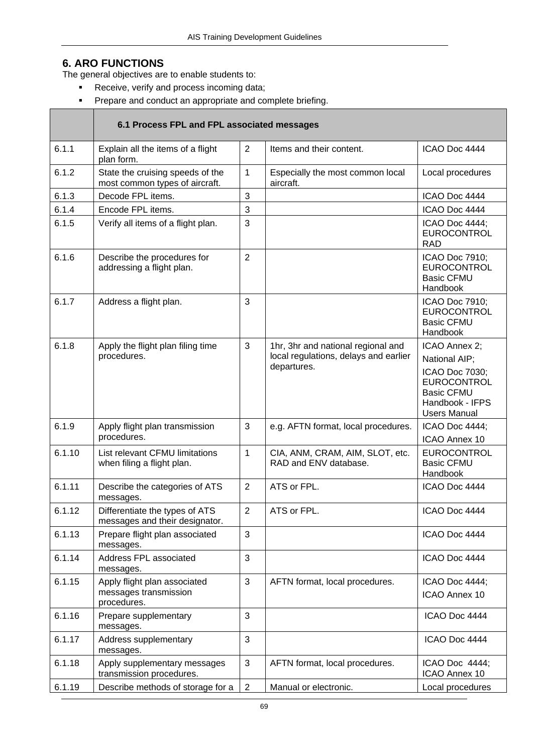### **6. ARO FUNCTIONS**

- **Receive, verify and process incoming data;**
- **Prepare and conduct an appropriate and complete briefing.**

|        | 6.1 Process FPL and FPL associated messages                          |                  |                                                                                            |                                                                                   |  |  |
|--------|----------------------------------------------------------------------|------------------|--------------------------------------------------------------------------------------------|-----------------------------------------------------------------------------------|--|--|
| 6.1.1  | Explain all the items of a flight<br>plan form.                      | $\overline{2}$   | Items and their content.                                                                   | ICAO Doc 4444                                                                     |  |  |
| 6.1.2  | State the cruising speeds of the<br>most common types of aircraft.   | 1                | Especially the most common local<br>aircraft.                                              | Local procedures                                                                  |  |  |
| 6.1.3  | Decode FPL items.                                                    | 3                |                                                                                            | ICAO Doc 4444                                                                     |  |  |
| 6.1.4  | Encode FPL items.                                                    | 3                |                                                                                            | ICAO Doc 4444                                                                     |  |  |
| 6.1.5  | Verify all items of a flight plan.                                   | 3                |                                                                                            | ICAO Doc 4444;<br><b>EUROCONTROL</b><br><b>RAD</b>                                |  |  |
| 6.1.6  | Describe the procedures for<br>addressing a flight plan.             | $\overline{2}$   |                                                                                            | ICAO Doc 7910;<br><b>EUROCONTROL</b><br><b>Basic CFMU</b><br>Handbook             |  |  |
| 6.1.7  | Address a flight plan.                                               | 3                |                                                                                            | ICAO Doc 7910:<br><b>EUROCONTROL</b><br><b>Basic CFMU</b><br>Handbook             |  |  |
| 6.1.8  | Apply the flight plan filing time<br>procedures.                     | 3                | 1hr, 3hr and national regional and<br>local regulations, delays and earlier<br>departures. | ICAO Annex 2;<br>National AIP;<br>ICAO Doc 7030;                                  |  |  |
|        |                                                                      |                  |                                                                                            | <b>EUROCONTROL</b><br><b>Basic CFMU</b><br>Handbook - IFPS<br><b>Users Manual</b> |  |  |
| 6.1.9  | Apply flight plan transmission<br>procedures.                        | 3                | e.g. AFTN format, local procedures.                                                        | ICAO Doc 4444;<br>ICAO Annex 10                                                   |  |  |
| 6.1.10 | List relevant CFMU limitations<br>when filing a flight plan.         | 1                | CIA, ANM, CRAM, AIM, SLOT, etc.<br>RAD and ENV database.                                   | <b>EUROCONTROL</b><br><b>Basic CFMU</b><br>Handbook                               |  |  |
| 6.1.11 | Describe the categories of ATS<br>messages.                          | $\overline{2}$   | ATS or FPL.                                                                                | ICAO Doc 4444                                                                     |  |  |
| 6.1.12 | Differentiate the types of ATS<br>messages and their designator.     | $\boldsymbol{2}$ | ATS or FPL.                                                                                | ICAO Doc 4444                                                                     |  |  |
| 6.1.13 | Prepare flight plan associated<br>messages.                          | 3                |                                                                                            | ICAO Doc 4444                                                                     |  |  |
| 6.1.14 | Address FPL associated<br>messages.                                  | 3                |                                                                                            | ICAO Doc 4444                                                                     |  |  |
| 6.1.15 | Apply flight plan associated<br>messages transmission<br>procedures. | 3                | AFTN format, local procedures.                                                             | ICAO Doc 4444;<br>ICAO Annex 10                                                   |  |  |
| 6.1.16 | Prepare supplementary<br>messages.                                   | 3                |                                                                                            | ICAO Doc 4444                                                                     |  |  |
| 6.1.17 | Address supplementary<br>messages.                                   | 3                |                                                                                            | ICAO Doc 4444                                                                     |  |  |
| 6.1.18 | Apply supplementary messages<br>transmission procedures.             | 3                | AFTN format, local procedures.                                                             | ICAO Doc 4444;<br>ICAO Annex 10                                                   |  |  |
| 6.1.19 | Describe methods of storage for a                                    | $\boldsymbol{2}$ | Manual or electronic.                                                                      | Local procedures                                                                  |  |  |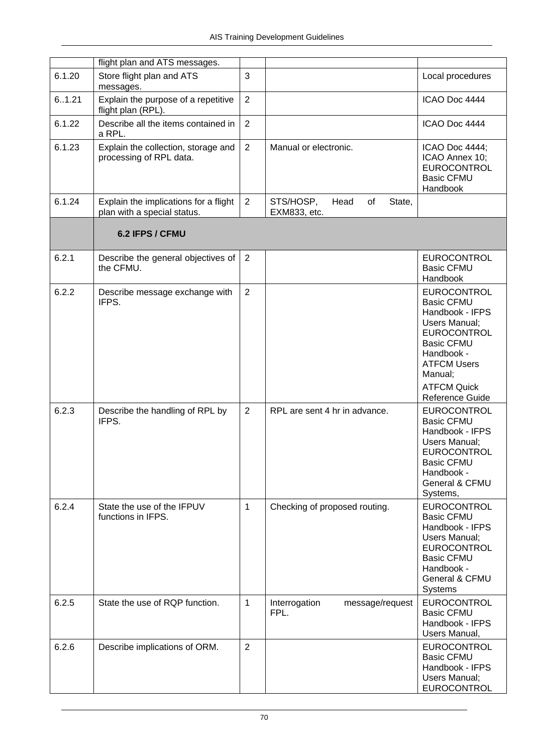|        | flight plan and ATS messages.                                        |                |                                                   |                                                                                                                                                                                                                       |
|--------|----------------------------------------------------------------------|----------------|---------------------------------------------------|-----------------------------------------------------------------------------------------------------------------------------------------------------------------------------------------------------------------------|
| 6.1.20 | Store flight plan and ATS<br>messages.                               | 3              |                                                   | Local procedures                                                                                                                                                                                                      |
| 6.1.21 | Explain the purpose of a repetitive<br>flight plan (RPL).            | $\overline{2}$ |                                                   | ICAO Doc 4444                                                                                                                                                                                                         |
| 6.1.22 | Describe all the items contained in<br>a RPL.                        | $\overline{2}$ |                                                   | ICAO Doc 4444                                                                                                                                                                                                         |
| 6.1.23 | Explain the collection, storage and<br>processing of RPL data.       | $\overline{2}$ | Manual or electronic.                             | ICAO Doc 4444;<br>ICAO Annex 10;<br><b>EUROCONTROL</b><br><b>Basic CFMU</b><br>Handbook                                                                                                                               |
| 6.1.24 | Explain the implications for a flight<br>plan with a special status. | 2              | Head<br>State,<br>STS/HOSP,<br>of<br>EXM833, etc. |                                                                                                                                                                                                                       |
|        | 6.2 IFPS / CFMU                                                      |                |                                                   |                                                                                                                                                                                                                       |
| 6.2.1  | Describe the general objectives of<br>the CFMU.                      | $\overline{2}$ |                                                   | <b>EUROCONTROL</b><br><b>Basic CFMU</b><br>Handbook                                                                                                                                                                   |
| 6.2.2  | Describe message exchange with<br>IFPS.                              | $\overline{2}$ |                                                   | <b>EUROCONTROL</b><br><b>Basic CFMU</b><br>Handbook - IFPS<br><b>Users Manual;</b><br><b>EUROCONTROL</b><br><b>Basic CFMU</b><br>Handbook -<br><b>ATFCM Users</b><br>Manual;<br><b>ATFCM Quick</b><br>Reference Guide |
| 6.2.3  | Describe the handling of RPL by<br>IFPS.                             | $\overline{2}$ | RPL are sent 4 hr in advance.                     | <b>EUROCONTROL</b><br><b>Basic CFMU</b><br>Handbook - IFPS<br>Users Manual;<br><b>EUROCONTROL</b><br><b>Basic CFMU</b><br>Handbook -<br>General & CFMU<br>Systems,                                                    |
| 6.2.4  | State the use of the IFPUV<br>functions in IFPS.                     | 1              | Checking of proposed routing.                     | <b>EUROCONTROL</b><br><b>Basic CFMU</b><br>Handbook - IFPS<br><b>Users Manual:</b><br><b>EUROCONTROL</b><br><b>Basic CFMU</b><br>Handbook -<br>General & CFMU<br>Systems                                              |
| 6.2.5  | State the use of RQP function.                                       | 1              | Interrogation<br>message/request<br>FPL.          | <b>EUROCONTROL</b><br><b>Basic CFMU</b><br>Handbook - IFPS<br>Users Manual,                                                                                                                                           |
| 6.2.6  | Describe implications of ORM.                                        | $\overline{2}$ |                                                   | <b>EUROCONTROL</b><br><b>Basic CFMU</b><br>Handbook - IFPS<br><b>Users Manual:</b><br><b>EUROCONTROL</b>                                                                                                              |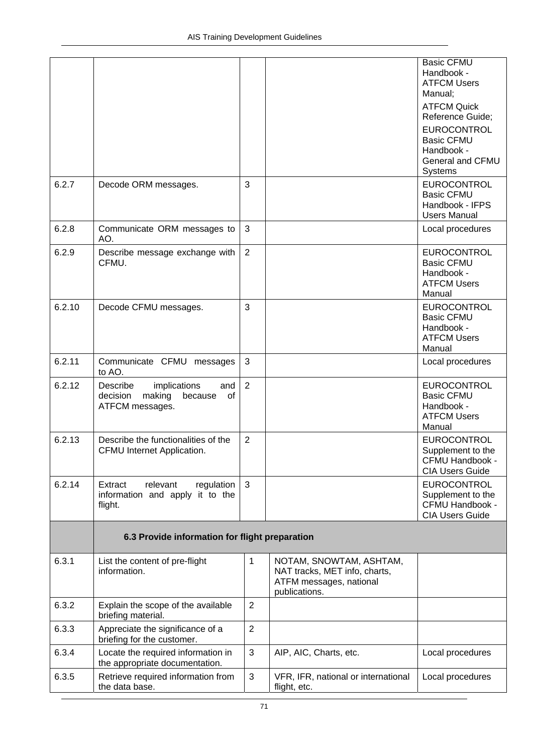|        |                                                                                           |                |                                                                                                      | <b>Basic CFMU</b><br>Handbook -<br><b>ATFCM Users</b><br>Manual;<br><b>ATFCM Quick</b><br>Reference Guide;<br><b>EUROCONTROL</b><br><b>Basic CFMU</b><br>Handbook -<br>General and CFMU<br><b>Systems</b> |
|--------|-------------------------------------------------------------------------------------------|----------------|------------------------------------------------------------------------------------------------------|-----------------------------------------------------------------------------------------------------------------------------------------------------------------------------------------------------------|
| 6.2.7  | Decode ORM messages.                                                                      | 3              |                                                                                                      | <b>EUROCONTROL</b><br><b>Basic CFMU</b><br>Handbook - IFPS<br><b>Users Manual</b>                                                                                                                         |
| 6.2.8  | Communicate ORM messages to<br>AO.                                                        | 3              |                                                                                                      | Local procedures                                                                                                                                                                                          |
| 6.2.9  | Describe message exchange with<br>CFMU.                                                   | $\overline{2}$ |                                                                                                      | <b>EUROCONTROL</b><br><b>Basic CFMU</b><br>Handbook -<br><b>ATFCM Users</b><br>Manual                                                                                                                     |
| 6.2.10 | Decode CFMU messages.                                                                     | 3              |                                                                                                      | <b>EUROCONTROL</b><br><b>Basic CFMU</b><br>Handbook -<br><b>ATFCM Users</b><br>Manual                                                                                                                     |
| 6.2.11 | Communicate CFMU messages<br>to AO.                                                       | $\mathbf{3}$   |                                                                                                      | Local procedures                                                                                                                                                                                          |
| 6.2.12 | implications<br>Describe<br>and<br>decision<br>making<br>because<br>of<br>ATFCM messages. | $\overline{2}$ |                                                                                                      | <b>EUROCONTROL</b><br><b>Basic CFMU</b><br>Handbook -<br><b>ATFCM Users</b><br>Manual                                                                                                                     |
| 6.2.13 | Describe the functionalities of the<br>CFMU Internet Application.                         | $\overline{2}$ |                                                                                                      | <b>EUROCONTROL</b><br>Supplement to the<br>CFMU Handbook -<br><b>CIA Users Guide</b>                                                                                                                      |
| 6.2.14 | relevant<br>Extract<br>regulation<br>information and apply it to the<br>flight.           | 3              |                                                                                                      | <b>EUROCONTROL</b><br>Supplement to the<br>CFMU Handbook -<br><b>CIA Users Guide</b>                                                                                                                      |
|        | 6.3 Provide information for flight preparation                                            |                |                                                                                                      |                                                                                                                                                                                                           |
| 6.3.1  | List the content of pre-flight<br>information.                                            | 1              | NOTAM, SNOWTAM, ASHTAM,<br>NAT tracks, MET info, charts,<br>ATFM messages, national<br>publications. |                                                                                                                                                                                                           |
| 6.3.2  | Explain the scope of the available<br>briefing material.                                  | $\overline{2}$ |                                                                                                      |                                                                                                                                                                                                           |
| 6.3.3  | Appreciate the significance of a<br>briefing for the customer.                            | $\overline{2}$ |                                                                                                      |                                                                                                                                                                                                           |
| 6.3.4  | Locate the required information in<br>the appropriate documentation.                      | 3              | AIP, AIC, Charts, etc.                                                                               | Local procedures                                                                                                                                                                                          |
| 6.3.5  | Retrieve required information from<br>the data base.                                      | $\mathbf{3}$   | VFR, IFR, national or international<br>flight, etc.                                                  | Local procedures                                                                                                                                                                                          |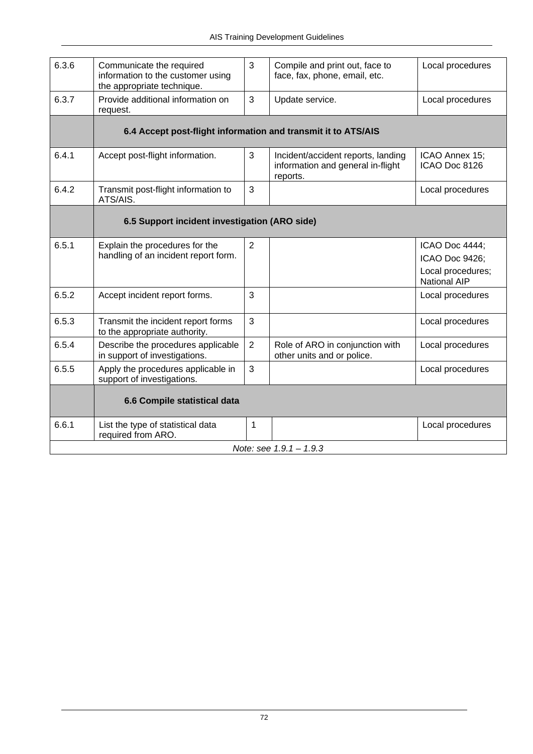| 6.3.6 | Communicate the required<br>information to the customer using<br>the appropriate technique. | 3              | Compile and print out, face to<br>face, fax, phone, email, etc.                     | Local procedures                                                             |
|-------|---------------------------------------------------------------------------------------------|----------------|-------------------------------------------------------------------------------------|------------------------------------------------------------------------------|
| 6.3.7 | Provide additional information on<br>request.                                               | 3              | Update service.                                                                     | Local procedures                                                             |
|       | 6.4 Accept post-flight information and transmit it to ATS/AIS                               |                |                                                                                     |                                                                              |
| 6.4.1 | Accept post-flight information.                                                             | 3              | Incident/accident reports, landing<br>information and general in-flight<br>reports. | ICAO Annex 15;<br>ICAO Doc 8126                                              |
| 6.4.2 | Transmit post-flight information to<br>ATS/AIS.                                             | 3              |                                                                                     | Local procedures                                                             |
|       | 6.5 Support incident investigation (ARO side)                                               |                |                                                                                     |                                                                              |
| 6.5.1 | Explain the procedures for the<br>handling of an incident report form.                      | $\overline{2}$ |                                                                                     | ICAO Doc 4444;<br>ICAO Doc 9426;<br>Local procedures;<br><b>National AIP</b> |
| 6.5.2 | Accept incident report forms.                                                               | 3              |                                                                                     | Local procedures                                                             |
| 6.5.3 | Transmit the incident report forms<br>to the appropriate authority.                         | 3              |                                                                                     | Local procedures                                                             |
| 6.5.4 | Describe the procedures applicable<br>in support of investigations.                         | $\overline{2}$ | Role of ARO in conjunction with<br>other units and or police.                       | Local procedures                                                             |
| 6.5.5 | Apply the procedures applicable in<br>support of investigations.                            | 3              |                                                                                     | Local procedures                                                             |
|       | 6.6 Compile statistical data                                                                |                |                                                                                     |                                                                              |
| 6.6.1 | List the type of statistical data<br>required from ARO.                                     | 1              |                                                                                     | Local procedures                                                             |
|       | Note: see $1.9.1 - 1.9.3$                                                                   |                |                                                                                     |                                                                              |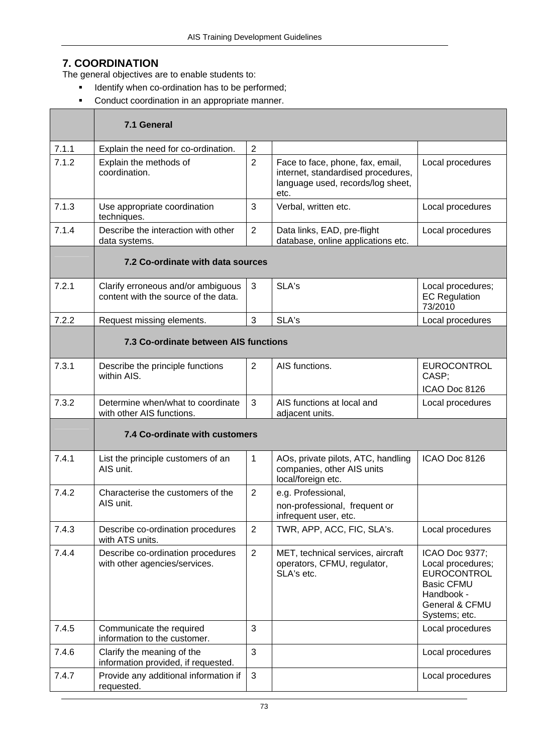## **7. COORDINATION**

The general objectives are to enable students to:

- **IDENTIFY WHEN CO-ordination has to be performed;**
- **•** Conduct coordination in an appropriate manner.

|       | 7.1 General                                                                |                |                                                                                                                     |                                                                                                                                 |
|-------|----------------------------------------------------------------------------|----------------|---------------------------------------------------------------------------------------------------------------------|---------------------------------------------------------------------------------------------------------------------------------|
| 7.1.1 | Explain the need for co-ordination.                                        | $\overline{2}$ |                                                                                                                     |                                                                                                                                 |
| 7.1.2 | Explain the methods of<br>coordination.                                    | $\overline{2}$ | Face to face, phone, fax, email,<br>internet, standardised procedures,<br>language used, records/log sheet,<br>etc. | Local procedures                                                                                                                |
| 7.1.3 | Use appropriate coordination<br>techniques.                                | 3              | Verbal, written etc.                                                                                                | Local procedures                                                                                                                |
| 7.1.4 | Describe the interaction with other<br>data systems.                       | $\overline{2}$ | Data links, EAD, pre-flight<br>database, online applications etc.                                                   | Local procedures                                                                                                                |
|       | 7.2 Co-ordinate with data sources                                          |                |                                                                                                                     |                                                                                                                                 |
| 7.2.1 | Clarify erroneous and/or ambiguous<br>content with the source of the data. | 3              | SLA's                                                                                                               | Local procedures;<br><b>EC Regulation</b><br>73/2010                                                                            |
| 7.2.2 | Request missing elements.                                                  | 3              | SLA's                                                                                                               | Local procedures                                                                                                                |
|       | 7.3 Co-ordinate between AIS functions                                      |                |                                                                                                                     |                                                                                                                                 |
| 7.3.1 | Describe the principle functions<br>within AIS.                            | $\overline{2}$ | AIS functions.                                                                                                      | <b>EUROCONTROL</b><br>CASP;                                                                                                     |
|       |                                                                            |                |                                                                                                                     | ICAO Doc 8126                                                                                                                   |
| 7.3.2 | Determine when/what to coordinate<br>with other AIS functions.             | 3              | AIS functions at local and<br>adjacent units.                                                                       | Local procedures                                                                                                                |
|       | 7.4 Co-ordinate with customers                                             |                |                                                                                                                     |                                                                                                                                 |
| 7.4.1 | List the principle customers of an<br>AIS unit.                            | 1              | AOs, private pilots, ATC, handling<br>companies, other AIS units<br>local/foreign etc.                              | ICAO Doc 8126                                                                                                                   |
| 7.4.2 | Characterise the customers of the                                          | $\overline{2}$ | e.g. Professional,                                                                                                  |                                                                                                                                 |
|       | AIS unit.                                                                  |                | non-professional, frequent or<br>infrequent user, etc.                                                              |                                                                                                                                 |
| 7.4.3 | Describe co-ordination procedures<br>with ATS units.                       | $\overline{2}$ | TWR, APP, ACC, FIC, SLA's.                                                                                          | Local procedures                                                                                                                |
| 7.4.4 | Describe co-ordination procedures<br>with other agencies/services.         | $\overline{2}$ | MET, technical services, aircraft<br>operators, CFMU, regulator,<br>SLA's etc.                                      | ICAO Doc 9377;<br>Local procedures;<br><b>EUROCONTROL</b><br><b>Basic CFMU</b><br>Handbook -<br>General & CFMU<br>Systems; etc. |
| 7.4.5 | Communicate the required<br>information to the customer.                   | 3              |                                                                                                                     | Local procedures                                                                                                                |
| 7.4.6 | Clarify the meaning of the<br>information provided, if requested.          | 3              |                                                                                                                     | Local procedures                                                                                                                |
| 7.4.7 | Provide any additional information if<br>requested.                        | 3              |                                                                                                                     | Local procedures                                                                                                                |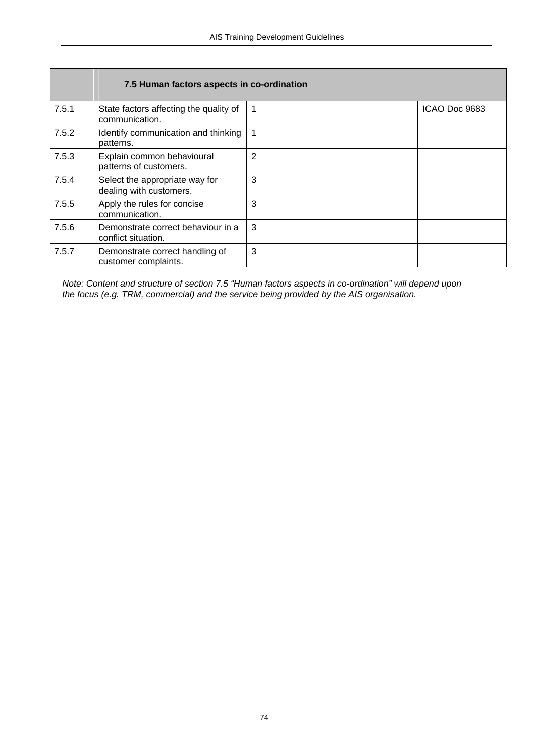|       | 7.5 Human factors aspects in co-ordination                |                |               |
|-------|-----------------------------------------------------------|----------------|---------------|
| 7.5.1 | State factors affecting the quality of<br>communication.  | 1              | ICAO Doc 9683 |
| 7.5.2 | Identify communication and thinking<br>patterns.          | 1              |               |
| 7.5.3 | Explain common behavioural<br>patterns of customers.      | $\overline{2}$ |               |
| 7.5.4 | Select the appropriate way for<br>dealing with customers. | 3              |               |
| 7.5.5 | Apply the rules for concise<br>communication.             | 3              |               |
| 7.5.6 | Demonstrate correct behaviour in a<br>conflict situation. | 3              |               |
| 7.5.7 | Demonstrate correct handling of<br>customer complaints.   | 3              |               |

*Note: Content and structure of section 7.5 "Human factors aspects in co-ordination" will depend upon the focus (e.g. TRM, commercial) and the service being provided by the AIS organisation.*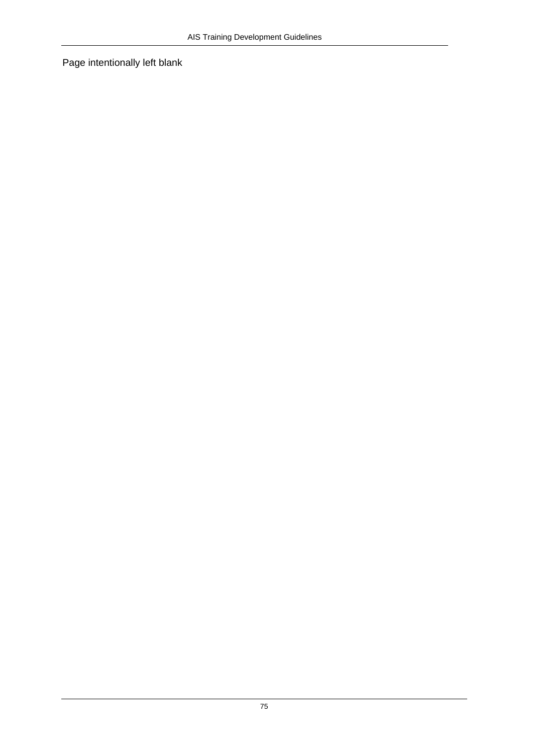Page intentionally left blank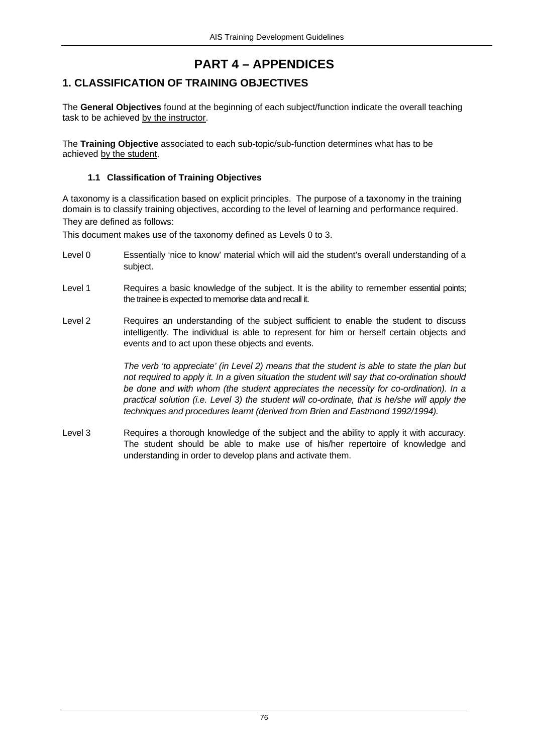# **PART 4 – APPENDICES**

## **1. CLASSIFICATION OF TRAINING OBJECTIVES**

The **General Objectives** found at the beginning of each subject/function indicate the overall teaching task to be achieved by the instructor.

The **Training Objective** associated to each sub-topic/sub-function determines what has to be achieved by the student.

#### **1.1 Classification of Training Objectives**

A taxonomy is a classification based on explicit principles. The purpose of a taxonomy in the training domain is to classify training objectives, according to the level of learning and performance required. They are defined as follows:

This document makes use of the taxonomy defined as Levels 0 to 3.

- Level 0 Essentially 'nice to know' material which will aid the student's overall understanding of a subject.
- Level 1 Requires a basic knowledge of the subject. It is the ability to remember essential points; the trainee is expected to memorise data and recall it.
- Level 2 Requires an understanding of the subject sufficient to enable the student to discuss intelligently. The individual is able to represent for him or herself certain objects and events and to act upon these objects and events.

*The verb 'to appreciate' (in Level 2) means that the student is able to state the plan but not required to apply it. In a given situation the student will say that co-ordination should be done and with whom (the student appreciates the necessity for co-ordination). In a practical solution (i.e. Level 3) the student will co-ordinate, that is he/she will apply the techniques and procedures learnt (derived from Brien and Eastmond 1992/1994).*

Level 3 Requires a thorough knowledge of the subject and the ability to apply it with accuracy. The student should be able to make use of his/her repertoire of knowledge and understanding in order to develop plans and activate them.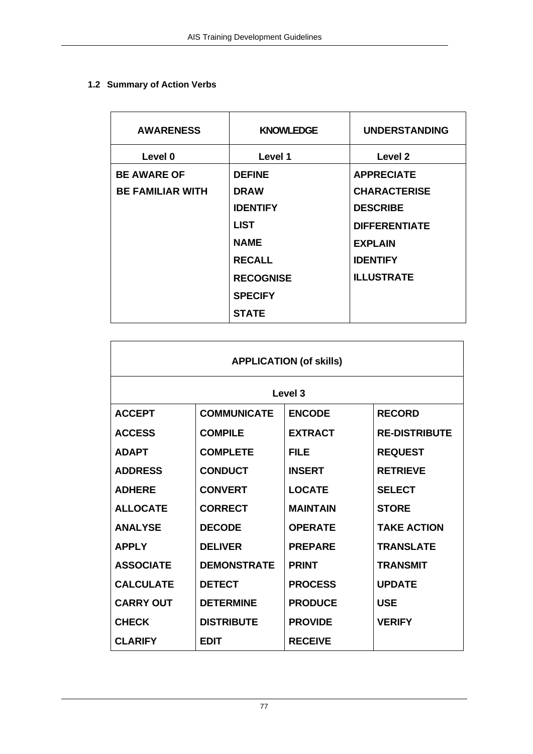### **1.2 Summary of Action Verbs**

| <b>AWARENESS</b>        | <b>KNOWLEDGE</b> | <b>UNDERSTANDING</b> |
|-------------------------|------------------|----------------------|
| Level 0                 | Level 1          | Level 2              |
| <b>BE AWARE OF</b>      | <b>DEFINE</b>    | <b>APPRECIATE</b>    |
| <b>BE FAMILIAR WITH</b> | <b>DRAW</b>      | <b>CHARACTERISE</b>  |
|                         | <b>IDENTIFY</b>  | <b>DESCRIBE</b>      |
|                         | <b>LIST</b>      | <b>DIFFERENTIATE</b> |
|                         | <b>NAME</b>      | <b>EXPLAIN</b>       |
|                         | <b>RECALL</b>    | <b>IDENTIFY</b>      |
|                         | <b>RECOGNISE</b> | <b>ILLUSTRATE</b>    |
|                         | <b>SPECIFY</b>   |                      |
|                         | <b>STATE</b>     |                      |

| <b>APPLICATION (of skills)</b> |                    |                 |                      |  |
|--------------------------------|--------------------|-----------------|----------------------|--|
|                                | Level 3            |                 |                      |  |
| <b>ACCEPT</b>                  | <b>COMMUNICATE</b> | <b>ENCODE</b>   | <b>RECORD</b>        |  |
| <b>ACCESS</b>                  | <b>COMPILE</b>     | <b>EXTRACT</b>  | <b>RE-DISTRIBUTE</b> |  |
| <b>ADAPT</b>                   | <b>COMPLETE</b>    | <b>FILE</b>     | <b>REQUEST</b>       |  |
| <b>ADDRESS</b>                 | <b>CONDUCT</b>     | <b>INSERT</b>   | <b>RETRIEVE</b>      |  |
| <b>ADHERE</b>                  | <b>CONVERT</b>     | <b>LOCATE</b>   | <b>SELECT</b>        |  |
| <b>ALLOCATE</b>                | <b>CORRECT</b>     | <b>MAINTAIN</b> | <b>STORE</b>         |  |
| <b>ANALYSE</b>                 | <b>DECODE</b>      | <b>OPERATE</b>  | <b>TAKE ACTION</b>   |  |
| <b>APPLY</b>                   | <b>DELIVER</b>     | <b>PREPARE</b>  | <b>TRANSLATE</b>     |  |
| <b>ASSOCIATE</b>               | <b>DEMONSTRATE</b> | <b>PRINT</b>    | <b>TRANSMIT</b>      |  |
| <b>CALCULATE</b>               | <b>DETECT</b>      | <b>PROCESS</b>  | <b>UPDATE</b>        |  |
| <b>CARRY OUT</b>               | <b>DETERMINE</b>   | <b>PRODUCE</b>  | <b>USE</b>           |  |
| <b>CHECK</b>                   | <b>DISTRIBUTE</b>  | <b>PROVIDE</b>  | <b>VERIFY</b>        |  |
| <b>CLARIFY</b>                 | <b>EDIT</b>        | <b>RECEIVE</b>  |                      |  |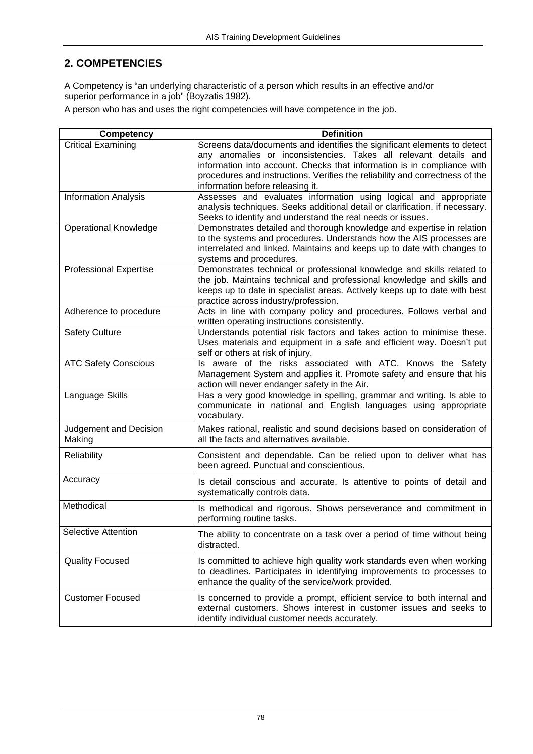## **2. COMPETENCIES**

A Competency is "an underlying characteristic of a person which results in an effective and/or superior performance in a job" (Boyzatis 1982).

A person who has and uses the right competencies will have competence in the job.

| <b>Competency</b>             | <b>Definition</b>                                                                                                   |
|-------------------------------|---------------------------------------------------------------------------------------------------------------------|
| <b>Critical Examining</b>     | Screens data/documents and identifies the significant elements to detect                                            |
|                               | any anomalies or inconsistencies. Takes all relevant details and                                                    |
|                               | information into account. Checks that information is in compliance with                                             |
|                               | procedures and instructions. Verifies the reliability and correctness of the                                        |
|                               | information before releasing it.                                                                                    |
| <b>Information Analysis</b>   | Assesses and evaluates information using logical and appropriate                                                    |
|                               | analysis techniques. Seeks additional detail or clarification, if necessary.                                        |
|                               | Seeks to identify and understand the real needs or issues.                                                          |
| <b>Operational Knowledge</b>  | Demonstrates detailed and thorough knowledge and expertise in relation                                              |
|                               | to the systems and procedures. Understands how the AIS processes are                                                |
|                               | interrelated and linked. Maintains and keeps up to date with changes to                                             |
|                               | systems and procedures.                                                                                             |
| <b>Professional Expertise</b> | Demonstrates technical or professional knowledge and skills related to                                              |
|                               | the job. Maintains technical and professional knowledge and skills and                                              |
|                               | keeps up to date in specialist areas. Actively keeps up to date with best                                           |
|                               | practice across industry/profession.                                                                                |
| Adherence to procedure        | Acts in line with company policy and procedures. Follows verbal and<br>written operating instructions consistently. |
| <b>Safety Culture</b>         | Understands potential risk factors and takes action to minimise these.                                              |
|                               | Uses materials and equipment in a safe and efficient way. Doesn't put                                               |
|                               | self or others at risk of injury.                                                                                   |
| <b>ATC Safety Conscious</b>   | Is aware of the risks associated with ATC. Knows the Safety                                                         |
|                               | Management System and applies it. Promote safety and ensure that his                                                |
|                               | action will never endanger safety in the Air.                                                                       |
| Language Skills               | Has a very good knowledge in spelling, grammar and writing. Is able to                                              |
|                               | communicate in national and English languages using appropriate                                                     |
|                               | vocabulary.                                                                                                         |
| Judgement and Decision        | Makes rational, realistic and sound decisions based on consideration of                                             |
| Making                        | all the facts and alternatives available.                                                                           |
|                               |                                                                                                                     |
| Reliability                   | Consistent and dependable. Can be relied upon to deliver what has                                                   |
|                               | been agreed. Punctual and conscientious.                                                                            |
| Accuracy                      | Is detail conscious and accurate. Is attentive to points of detail and                                              |
|                               | systematically controls data.                                                                                       |
| Methodical                    |                                                                                                                     |
|                               | Is methodical and rigorous. Shows perseverance and commitment in                                                    |
|                               | performing routine tasks.                                                                                           |
| <b>Selective Attention</b>    | The ability to concentrate on a task over a period of time without being                                            |
|                               | distracted.                                                                                                         |
|                               |                                                                                                                     |
| <b>Quality Focused</b>        | Is committed to achieve high quality work standards even when working                                               |
|                               | to deadlines. Participates in identifying improvements to processes to                                              |
|                               | enhance the quality of the service/work provided.                                                                   |
| <b>Customer Focused</b>       | Is concerned to provide a prompt, efficient service to both internal and                                            |
|                               | external customers. Shows interest in customer issues and seeks to                                                  |
|                               | identify individual customer needs accurately.                                                                      |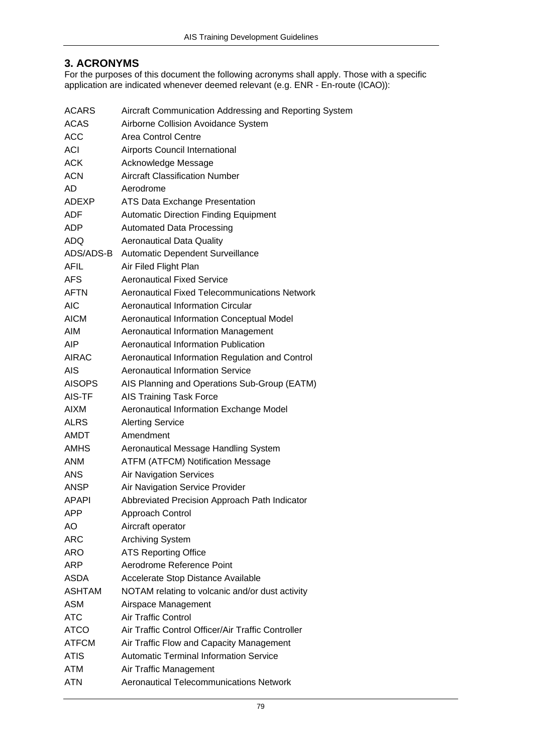### **3. ACRONYMS**

For the purposes of this document the following acronyms shall apply. Those with a specific application are indicated whenever deemed relevant (e.g. ENR - En-route (ICAO)):

| <b>ACARS</b>  | Aircraft Communication Addressing and Reporting System |
|---------------|--------------------------------------------------------|
| <b>ACAS</b>   | Airborne Collision Avoidance System                    |
| <b>ACC</b>    | <b>Area Control Centre</b>                             |
| ACI           | Airports Council International                         |
| <b>ACK</b>    | Acknowledge Message                                    |
| <b>ACN</b>    | <b>Aircraft Classification Number</b>                  |
| AD            | Aerodrome                                              |
| ADEXP         | <b>ATS Data Exchange Presentation</b>                  |
| <b>ADF</b>    | <b>Automatic Direction Finding Equipment</b>           |
| <b>ADP</b>    | <b>Automated Data Processing</b>                       |
| ADQ           | <b>Aeronautical Data Quality</b>                       |
| ADS/ADS-B     | Automatic Dependent Surveillance                       |
| <b>AFIL</b>   | Air Filed Flight Plan                                  |
| <b>AFS</b>    | <b>Aeronautical Fixed Service</b>                      |
| <b>AFTN</b>   | <b>Aeronautical Fixed Telecommunications Network</b>   |
| <b>AIC</b>    | Aeronautical Information Circular                      |
| AICM          | Aeronautical Information Conceptual Model              |
| AIM           | Aeronautical Information Management                    |
| AIP.          | Aeronautical Information Publication                   |
| <b>AIRAC</b>  | Aeronautical Information Regulation and Control        |
| AIS           | <b>Aeronautical Information Service</b>                |
| <b>AISOPS</b> | AIS Planning and Operations Sub-Group (EATM)           |
| AIS-TF        | <b>AIS Training Task Force</b>                         |
| <b>AIXM</b>   | Aeronautical Information Exchange Model                |
| <b>ALRS</b>   | <b>Alerting Service</b>                                |
| AMDT          | Amendment                                              |
| <b>AMHS</b>   | Aeronautical Message Handling System                   |
| ANM           | <b>ATFM (ATFCM) Notification Message</b>               |
| <b>ANS</b>    | <b>Air Navigation Services</b>                         |
| ANSP          | Air Navigation Service Provider                        |
| <b>APAPI</b>  | Abbreviated Precision Approach Path Indicator          |
| APP           | Approach Control                                       |
| ΑO            | Aircraft operator                                      |
| <b>ARC</b>    | <b>Archiving System</b>                                |
| <b>ARO</b>    | <b>ATS Reporting Office</b>                            |
| ARP           | Aerodrome Reference Point                              |
| ASDA          | Accelerate Stop Distance Available                     |
| <b>ASHTAM</b> | NOTAM relating to volcanic and/or dust activity        |
| ASM           | Airspace Management                                    |
| <b>ATC</b>    | <b>Air Traffic Control</b>                             |
| <b>ATCO</b>   | Air Traffic Control Officer/Air Traffic Controller     |
| <b>ATFCM</b>  | Air Traffic Flow and Capacity Management               |
| <b>ATIS</b>   | <b>Automatic Terminal Information Service</b>          |
| <b>ATM</b>    | Air Traffic Management                                 |
| <b>ATN</b>    | <b>Aeronautical Telecommunications Network</b>         |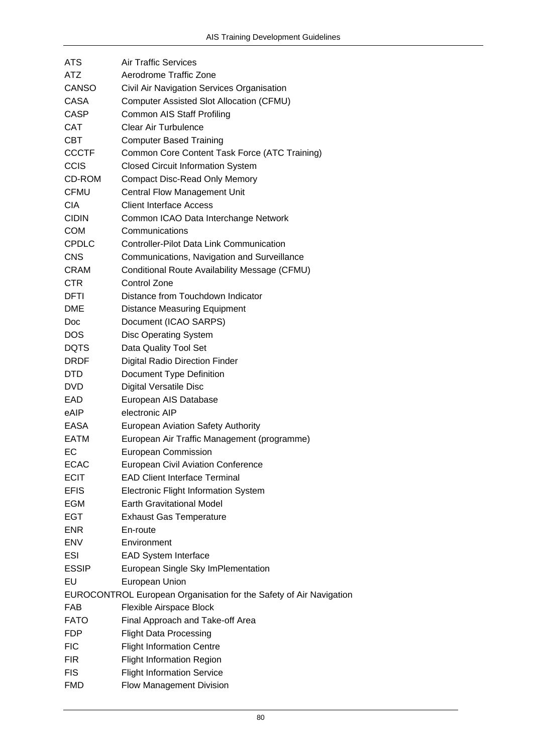| <b>ATS</b>   | <b>Air Traffic Services</b>                                                     |
|--------------|---------------------------------------------------------------------------------|
| ATZ          | Aerodrome Traffic Zone                                                          |
| CANSO        | Civil Air Navigation Services Organisation                                      |
| <b>CASA</b>  | <b>Computer Assisted Slot Allocation (CFMU)</b>                                 |
| <b>CASP</b>  | Common AIS Staff Profiling                                                      |
| <b>CAT</b>   | <b>Clear Air Turbulence</b>                                                     |
| CBT          | <b>Computer Based Training</b>                                                  |
| <b>CCCTF</b> | Common Core Content Task Force (ATC Training)                                   |
| <b>CCIS</b>  | <b>Closed Circuit Information System</b>                                        |
| CD-ROM       | <b>Compact Disc-Read Only Memory</b>                                            |
| <b>CFMU</b>  | <b>Central Flow Management Unit</b>                                             |
| <b>CIA</b>   | <b>Client Interface Access</b>                                                  |
| <b>CIDIN</b> | Common ICAO Data Interchange Network                                            |
| <b>COM</b>   | Communications                                                                  |
| <b>CPDLC</b> | <b>Controller-Pilot Data Link Communication</b>                                 |
| <b>CNS</b>   | Communications, Navigation and Surveillance                                     |
| <b>CRAM</b>  | Conditional Route Availability Message (CFMU)                                   |
| CTR          | <b>Control Zone</b>                                                             |
| DFTI         | Distance from Touchdown Indicator                                               |
| <b>DME</b>   | <b>Distance Measuring Equipment</b>                                             |
| Doc          | Document (ICAO SARPS)                                                           |
| <b>DOS</b>   | <b>Disc Operating System</b>                                                    |
| <b>DQTS</b>  | Data Quality Tool Set                                                           |
| DRDF         | <b>Digital Radio Direction Finder</b>                                           |
| DTD          | Document Type Definition                                                        |
| <b>DVD</b>   | <b>Digital Versatile Disc</b>                                                   |
| EAD          | European AIS Database                                                           |
| eAIP         | electronic AIP                                                                  |
| EASA         | <b>European Aviation Safety Authority</b>                                       |
| <b>EATM</b>  | European Air Traffic Management (programme)                                     |
| EC           | <b>European Commission</b>                                                      |
| <b>ECAC</b>  | <b>European Civil Aviation Conference</b>                                       |
| <b>ECIT</b>  | <b>EAD Client Interface Terminal</b>                                            |
| <b>EFIS</b>  |                                                                                 |
| EGM          | <b>Electronic Flight Information System</b><br><b>Earth Gravitational Model</b> |
| <b>EGT</b>   |                                                                                 |
| <b>ENR</b>   | <b>Exhaust Gas Temperature</b>                                                  |
|              | En-route                                                                        |
| <b>ENV</b>   | Environment                                                                     |
| <b>ESI</b>   | <b>EAD System Interface</b>                                                     |
| <b>ESSIP</b> | European Single Sky ImPlementation                                              |
| EU           | European Union                                                                  |
|              | EUROCONTROL European Organisation for the Safety of Air Navigation              |
| FAB          | Flexible Airspace Block                                                         |
| <b>FATO</b>  | Final Approach and Take-off Area                                                |
| FDP          | <b>Flight Data Processing</b>                                                   |
| FIC          | <b>Flight Information Centre</b>                                                |
| <b>FIR</b>   | <b>Flight Information Region</b>                                                |
| <b>FIS</b>   | <b>Flight Information Service</b>                                               |
| <b>FMD</b>   | Flow Management Division                                                        |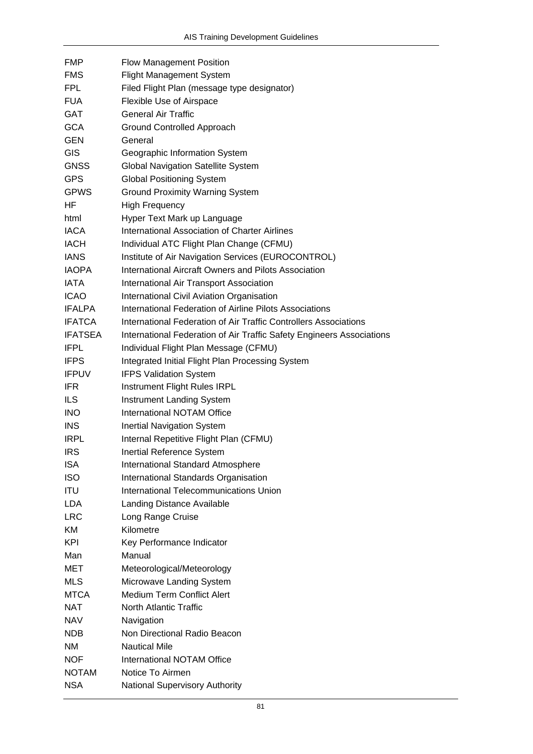| <b>FMP</b>     | <b>Flow Management Position</b>                                       |
|----------------|-----------------------------------------------------------------------|
| <b>FMS</b>     | <b>Flight Management System</b>                                       |
| <b>FPL</b>     | Filed Flight Plan (message type designator)                           |
| <b>FUA</b>     | Flexible Use of Airspace                                              |
| <b>GAT</b>     | <b>General Air Traffic</b>                                            |
| <b>GCA</b>     | Ground Controlled Approach                                            |
| <b>GEN</b>     | General                                                               |
| GIS            | Geographic Information System                                         |
| <b>GNSS</b>    | Global Navigation Satellite System                                    |
| <b>GPS</b>     | <b>Global Positioning System</b>                                      |
| <b>GPWS</b>    | <b>Ground Proximity Warning System</b>                                |
| HF             | <b>High Frequency</b>                                                 |
| html           | Hyper Text Mark up Language                                           |
| <b>IACA</b>    | <b>International Association of Charter Airlines</b>                  |
| <b>IACH</b>    | Individual ATC Flight Plan Change (CFMU)                              |
| <b>IANS</b>    | Institute of Air Navigation Services (EUROCONTROL)                    |
| <b>IAOPA</b>   | International Aircraft Owners and Pilots Association                  |
| <b>IATA</b>    | International Air Transport Association                               |
| <b>ICAO</b>    | International Civil Aviation Organisation                             |
| <b>IFALPA</b>  | International Federation of Airline Pilots Associations               |
| <b>IFATCA</b>  | International Federation of Air Traffic Controllers Associations      |
| <b>IFATSEA</b> | International Federation of Air Traffic Safety Engineers Associations |
| <b>IFPL</b>    | Individual Flight Plan Message (CFMU)                                 |
| <b>IFPS</b>    | Integrated Initial Flight Plan Processing System                      |
| <b>IFPUV</b>   | <b>IFPS Validation System</b>                                         |
| <b>IFR</b>     | Instrument Flight Rules IRPL                                          |
| ILS            | <b>Instrument Landing System</b>                                      |
| <b>INO</b>     | <b>International NOTAM Office</b>                                     |
| <b>INS</b>     | <b>Inertial Navigation System</b>                                     |
| <b>IRPL</b>    | Internal Repetitive Flight Plan (CFMU)                                |
| <b>IRS</b>     | <b>Inertial Reference System</b>                                      |
| <b>ISA</b>     | <b>International Standard Atmosphere</b>                              |
| <b>ISO</b>     | International Standards Organisation                                  |
| <b>ITU</b>     | International Telecommunications Union                                |
| <b>LDA</b>     | Landing Distance Available                                            |
| <b>LRC</b>     | Long Range Cruise                                                     |
| ΚM             | Kilometre                                                             |
| <b>KPI</b>     | Key Performance Indicator                                             |
| Man            | Manual                                                                |
| MET            | Meteorological/Meteorology                                            |
| <b>MLS</b>     | Microwave Landing System                                              |
| <b>MTCA</b>    | <b>Medium Term Conflict Alert</b>                                     |
| <b>NAT</b>     | <b>North Atlantic Traffic</b>                                         |
| <b>NAV</b>     | Navigation                                                            |
| <b>NDB</b>     | Non Directional Radio Beacon                                          |
| <b>NM</b>      | <b>Nautical Mile</b>                                                  |
| <b>NOF</b>     | <b>International NOTAM Office</b>                                     |
| <b>NOTAM</b>   | Notice To Airmen                                                      |
| <b>NSA</b>     | National Supervisory Authority                                        |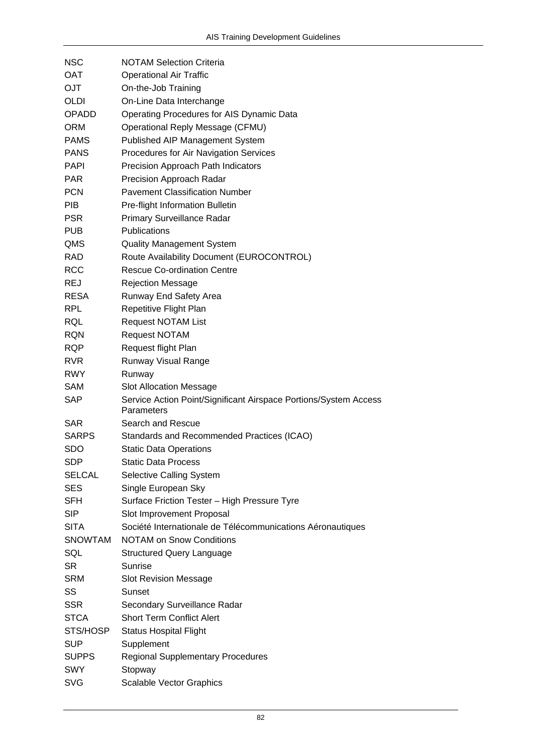| <b>NSC</b>     | <b>NOTAM Selection Criteria</b>                                                |
|----------------|--------------------------------------------------------------------------------|
| OAT            | <b>Operational Air Traffic</b>                                                 |
| OJT            | On-the-Job Training                                                            |
| <b>OLDI</b>    | On-Line Data Interchange                                                       |
| <b>OPADD</b>   | Operating Procedures for AIS Dynamic Data                                      |
| ORM            | Operational Reply Message (CFMU)                                               |
| <b>PAMS</b>    | Published AIP Management System                                                |
| <b>PANS</b>    | Procedures for Air Navigation Services                                         |
| PAPI           | Precision Approach Path Indicators                                             |
| <b>PAR</b>     | <b>Precision Approach Radar</b>                                                |
| <b>PCN</b>     | <b>Pavement Classification Number</b>                                          |
| PIB            | Pre-flight Information Bulletin                                                |
| <b>PSR</b>     | Primary Surveillance Radar                                                     |
| <b>PUB</b>     | Publications                                                                   |
| QMS            | <b>Quality Management System</b>                                               |
| RAD            | Route Availability Document (EUROCONTROL)                                      |
| <b>RCC</b>     | <b>Rescue Co-ordination Centre</b>                                             |
| REJ            | <b>Rejection Message</b>                                                       |
| <b>RESA</b>    | Runway End Safety Area                                                         |
| <b>RPL</b>     | Repetitive Flight Plan                                                         |
| RQL            | <b>Request NOTAM List</b>                                                      |
| <b>RQN</b>     | <b>Request NOTAM</b>                                                           |
| <b>RQP</b>     | Request flight Plan                                                            |
| <b>RVR</b>     | <b>Runway Visual Range</b>                                                     |
| <b>RWY</b>     | Runway                                                                         |
| SAM            | <b>Slot Allocation Message</b>                                                 |
| SAP            | Service Action Point/Significant Airspace Portions/System Access<br>Parameters |
| SAR            | Search and Rescue                                                              |
| <b>SARPS</b>   | Standards and Recommended Practices (ICAO)                                     |
| <b>SDO</b>     | <b>Static Data Operations</b>                                                  |
| SDP            | <b>Static Data Process</b>                                                     |
| <b>SELCAL</b>  | Selective Calling System                                                       |
| <b>SES</b>     | Single European Sky                                                            |
| SFH            | Surface Friction Tester - High Pressure Tyre                                   |
| <b>SIP</b>     | Slot Improvement Proposal                                                      |
| <b>SITA</b>    | Société Internationale de Télécommunications Aéronautiques                     |
| <b>SNOWTAM</b> | <b>NOTAM on Snow Conditions</b>                                                |
| SQL            | <b>Structured Query Language</b>                                               |
| <b>SR</b>      | Sunrise                                                                        |
| <b>SRM</b>     | <b>Slot Revision Message</b>                                                   |
| SS             | Sunset                                                                         |
| <b>SSR</b>     | Secondary Surveillance Radar                                                   |
| <b>STCA</b>    | <b>Short Term Conflict Alert</b>                                               |
| STS/HOSP       | <b>Status Hospital Flight</b>                                                  |
| <b>SUP</b>     | Supplement                                                                     |
| <b>SUPPS</b>   | <b>Regional Supplementary Procedures</b>                                       |
| <b>SWY</b>     | Stopway                                                                        |
| <b>SVG</b>     | <b>Scalable Vector Graphics</b>                                                |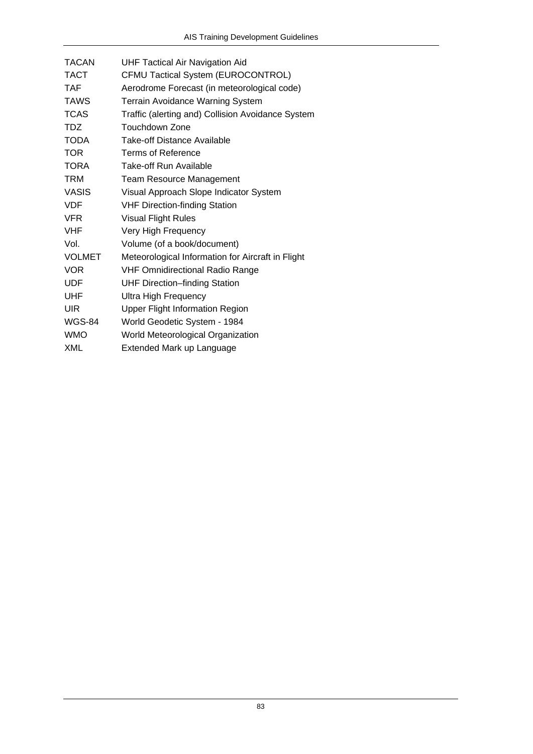| <b>UHF Tactical Air Navigation Aid</b>            |
|---------------------------------------------------|
| CFMU Tactical System (EUROCONTROL)                |
| Aerodrome Forecast (in meteorological code)       |
| Terrain Avoidance Warning System                  |
| Traffic (alerting and) Collision Avoidance System |
| Touchdown Zone                                    |
| <b>Take-off Distance Available</b>                |
| Terms of Reference                                |
| Take-off Run Available                            |
| <b>Team Resource Management</b>                   |
| Visual Approach Slope Indicator System            |
| <b>VHF Direction-finding Station</b>              |
| <b>Visual Flight Rules</b>                        |
| Very High Frequency                               |
| Volume (of a book/document)                       |
| Meteorological Information for Aircraft in Flight |
| <b>VHF Omnidirectional Radio Range</b>            |
| <b>UHF Direction-finding Station</b>              |
| <b>Ultra High Frequency</b>                       |
| <b>Upper Flight Information Region</b>            |
| World Geodetic System - 1984                      |
| World Meteorological Organization                 |
| Extended Mark up Language                         |
|                                                   |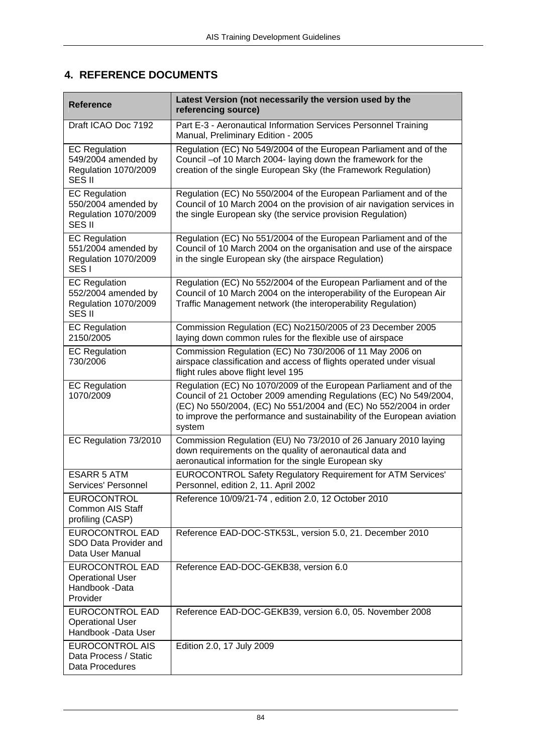## **4. REFERENCE DOCUMENTS**

| <b>Reference</b>                                                                            | Latest Version (not necessarily the version used by the<br>referencing source)                                                                                                                                                                                                                  |
|---------------------------------------------------------------------------------------------|-------------------------------------------------------------------------------------------------------------------------------------------------------------------------------------------------------------------------------------------------------------------------------------------------|
| Draft ICAO Doc 7192                                                                         | Part E-3 - Aeronautical Information Services Personnel Training<br>Manual, Preliminary Edition - 2005                                                                                                                                                                                           |
| <b>EC Regulation</b><br>549/2004 amended by<br><b>Regulation 1070/2009</b><br><b>SES II</b> | Regulation (EC) No 549/2004 of the European Parliament and of the<br>Council -of 10 March 2004- laying down the framework for the<br>creation of the single European Sky (the Framework Regulation)                                                                                             |
| <b>EC Regulation</b><br>550/2004 amended by<br>Regulation 1070/2009<br><b>SES II</b>        | Regulation (EC) No 550/2004 of the European Parliament and of the<br>Council of 10 March 2004 on the provision of air navigation services in<br>the single European sky (the service provision Regulation)                                                                                      |
| <b>EC Regulation</b><br>551/2004 amended by<br>Regulation 1070/2009<br>SES <sub>I</sub>     | Regulation (EC) No 551/2004 of the European Parliament and of the<br>Council of 10 March 2004 on the organisation and use of the airspace<br>in the single European sky (the airspace Regulation)                                                                                               |
| <b>EC Regulation</b><br>552/2004 amended by<br>Regulation 1070/2009<br><b>SES II</b>        | Regulation (EC) No 552/2004 of the European Parliament and of the<br>Council of 10 March 2004 on the interoperability of the European Air<br>Traffic Management network (the interoperability Regulation)                                                                                       |
| <b>EC Regulation</b><br>2150/2005                                                           | Commission Regulation (EC) No2150/2005 of 23 December 2005<br>laying down common rules for the flexible use of airspace                                                                                                                                                                         |
| <b>EC Regulation</b><br>730/2006                                                            | Commission Regulation (EC) No 730/2006 of 11 May 2006 on<br>airspace classification and access of flights operated under visual<br>flight rules above flight level 195                                                                                                                          |
| <b>EC Regulation</b><br>1070/2009                                                           | Regulation (EC) No 1070/2009 of the European Parliament and of the<br>Council of 21 October 2009 amending Regulations (EC) No 549/2004,<br>(EC) No 550/2004, (EC) No 551/2004 and (EC) No 552/2004 in order<br>to improve the performance and sustainability of the European aviation<br>system |
| EC Regulation 73/2010                                                                       | Commission Regulation (EU) No 73/2010 of 26 January 2010 laying<br>down requirements on the quality of aeronautical data and<br>aeronautical information for the single European sky                                                                                                            |
| <b>ESARR 5 ATM</b><br>Services' Personnel                                                   | <b>EUROCONTROL Safety Regulatory Requirement for ATM Services'</b><br>Personnel, edition 2, 11. April 2002                                                                                                                                                                                      |
| EUROCONTROL<br><b>Common AIS Staff</b><br>profiling (CASP)                                  | Reference 10/09/21-74, edition 2.0, 12 October 2010                                                                                                                                                                                                                                             |
| <b>EUROCONTROL EAD</b><br>SDO Data Provider and<br>Data User Manual                         | Reference EAD-DOC-STK53L, version 5.0, 21. December 2010                                                                                                                                                                                                                                        |
| <b>EUROCONTROL EAD</b><br><b>Operational User</b><br>Handbook -Data<br>Provider             | Reference EAD-DOC-GEKB38, version 6.0                                                                                                                                                                                                                                                           |
| <b>EUROCONTROL EAD</b><br><b>Operational User</b><br>Handbook -Data User                    | Reference EAD-DOC-GEKB39, version 6.0, 05. November 2008                                                                                                                                                                                                                                        |
| <b>EUROCONTROL AIS</b><br>Data Process / Static<br>Data Procedures                          | Edition 2.0, 17 July 2009                                                                                                                                                                                                                                                                       |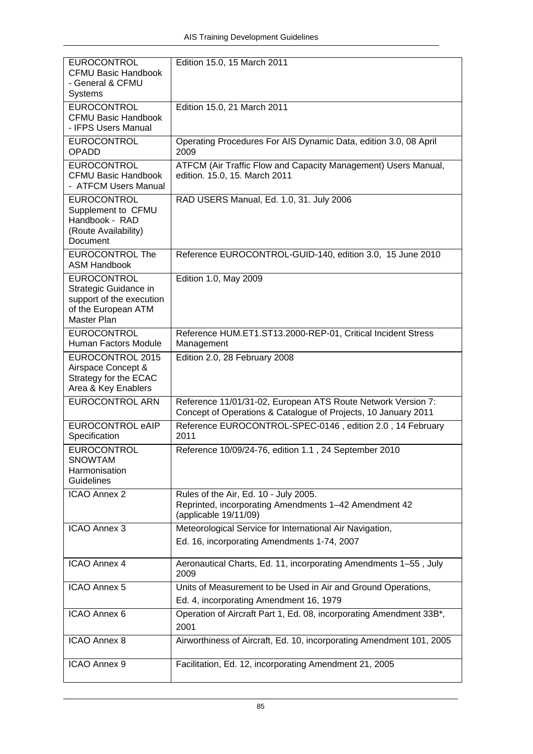| EUROCONTROL<br><b>CFMU Basic Handbook</b><br>- General & CFMU<br><b>Systems</b>                                      | Edition 15.0, 15 March 2011                                                                                                    |
|----------------------------------------------------------------------------------------------------------------------|--------------------------------------------------------------------------------------------------------------------------------|
| <b>EUROCONTROL</b><br><b>CFMU Basic Handbook</b><br>- IFPS Users Manual                                              | Edition 15.0, 21 March 2011                                                                                                    |
| <b>EUROCONTROL</b><br><b>OPADD</b>                                                                                   | Operating Procedures For AIS Dynamic Data, edition 3.0, 08 April<br>2009                                                       |
| <b>EUROCONTROL</b><br><b>CFMU Basic Handbook</b><br>- ATFCM Users Manual                                             | ATFCM (Air Traffic Flow and Capacity Management) Users Manual,<br>edition. 15.0, 15. March 2011                                |
| <b>EUROCONTROL</b><br>Supplement to CFMU<br>Handbook - RAD<br>(Route Availability)<br>Document                       | RAD USERS Manual, Ed. 1.0, 31. July 2006                                                                                       |
| <b>EUROCONTROL The</b><br><b>ASM Handbook</b>                                                                        | Reference EUROCONTROL-GUID-140, edition 3.0, 15 June 2010                                                                      |
| <b>EUROCONTROL</b><br>Strategic Guidance in<br>support of the execution<br>of the European ATM<br><b>Master Plan</b> | Edition 1.0, May 2009                                                                                                          |
| <b>EUROCONTROL</b><br><b>Human Factors Module</b>                                                                    | Reference HUM.ET1.ST13.2000-REP-01, Critical Incident Stress<br>Management                                                     |
| EUROCONTROL 2015<br>Airspace Concept &<br>Strategy for the ECAC<br>Area & Key Enablers                               | Edition 2.0, 28 February 2008                                                                                                  |
| <b>EUROCONTROL ARN</b>                                                                                               | Reference 11/01/31-02, European ATS Route Network Version 7:<br>Concept of Operations & Catalogue of Projects, 10 January 2011 |
| <b>EUROCONTROL eAIP</b><br>Specification                                                                             | Reference EUROCONTROL-SPEC-0146, edition 2.0, 14 February<br>2011                                                              |
| <b>EUROCONTROL</b><br><b>SNOWTAM</b><br>Harmonisation<br><b>Guidelines</b>                                           | Reference 10/09/24-76, edition 1.1, 24 September 2010                                                                          |
| ICAO Annex 2                                                                                                         | Rules of the Air, Ed. 10 - July 2005.<br>Reprinted, incorporating Amendments 1-42 Amendment 42<br>(applicable 19/11/09)        |
| ICAO Annex 3                                                                                                         | Meteorological Service for International Air Navigation,<br>Ed. 16, incorporating Amendments 1-74, 2007                        |
| <b>ICAO Annex 4</b>                                                                                                  | Aeronautical Charts, Ed. 11, incorporating Amendments 1-55, July<br>2009                                                       |
| <b>ICAO Annex 5</b>                                                                                                  | Units of Measurement to be Used in Air and Ground Operations,<br>Ed. 4, incorporating Amendment 16, 1979                       |
| ICAO Annex 6                                                                                                         | Operation of Aircraft Part 1, Ed. 08, incorporating Amendment 33B*,<br>2001                                                    |
| <b>ICAO Annex 8</b>                                                                                                  | Airworthiness of Aircraft, Ed. 10, incorporating Amendment 101, 2005                                                           |
| ICAO Annex 9                                                                                                         | Facilitation, Ed. 12, incorporating Amendment 21, 2005                                                                         |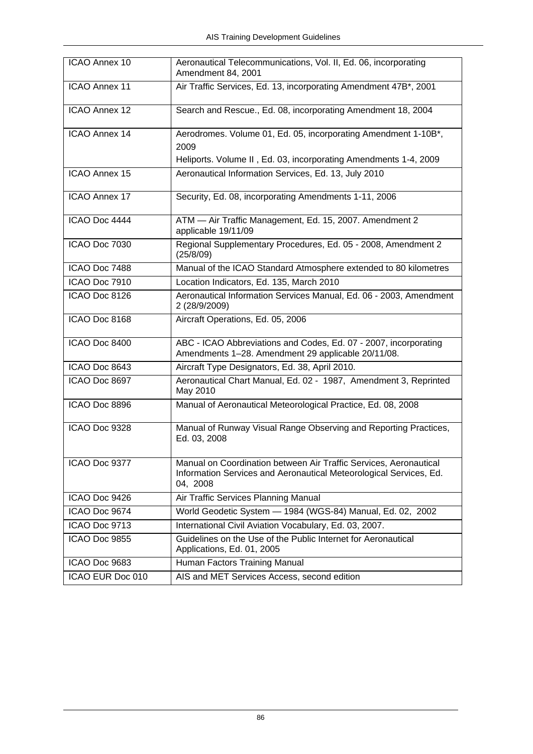| <b>ICAO Annex 10</b> | Aeronautical Telecommunications, Vol. II, Ed. 06, incorporating<br>Amendment 84, 2001                                                               |  |
|----------------------|-----------------------------------------------------------------------------------------------------------------------------------------------------|--|
| <b>ICAO Annex 11</b> | Air Traffic Services, Ed. 13, incorporating Amendment 47B*, 2001                                                                                    |  |
| ICAO Annex 12        | Search and Rescue., Ed. 08, incorporating Amendment 18, 2004                                                                                        |  |
| <b>ICAO Annex 14</b> | Aerodromes. Volume 01, Ed. 05, incorporating Amendment 1-10B*,<br>2009<br>Heliports. Volume II, Ed. 03, incorporating Amendments 1-4, 2009          |  |
|                      |                                                                                                                                                     |  |
| <b>ICAO Annex 15</b> | Aeronautical Information Services, Ed. 13, July 2010                                                                                                |  |
| <b>ICAO Annex 17</b> | Security, Ed. 08, incorporating Amendments 1-11, 2006                                                                                               |  |
| ICAO Doc 4444        | ATM - Air Traffic Management, Ed. 15, 2007. Amendment 2<br>applicable 19/11/09                                                                      |  |
| ICAO Doc 7030        | Regional Supplementary Procedures, Ed. 05 - 2008, Amendment 2<br>(25/8/09)                                                                          |  |
| ICAO Doc 7488        | Manual of the ICAO Standard Atmosphere extended to 80 kilometres                                                                                    |  |
| ICAO Doc 7910        | Location Indicators, Ed. 135, March 2010                                                                                                            |  |
| ICAO Doc 8126        | Aeronautical Information Services Manual, Ed. 06 - 2003, Amendment<br>2 (28/9/2009)                                                                 |  |
| ICAO Doc 8168        | Aircraft Operations, Ed. 05, 2006                                                                                                                   |  |
| ICAO Doc 8400        | ABC - ICAO Abbreviations and Codes, Ed. 07 - 2007, incorporating<br>Amendments 1-28. Amendment 29 applicable 20/11/08.                              |  |
| ICAO Doc 8643        | Aircraft Type Designators, Ed. 38, April 2010.                                                                                                      |  |
| ICAO Doc 8697        | Aeronautical Chart Manual, Ed. 02 - 1987, Amendment 3, Reprinted<br>May 2010                                                                        |  |
| ICAO Doc 8896        | Manual of Aeronautical Meteorological Practice, Ed. 08, 2008                                                                                        |  |
| ICAO Doc 9328        | Manual of Runway Visual Range Observing and Reporting Practices,<br>Ed. 03, 2008                                                                    |  |
| ICAO Doc 9377        | Manual on Coordination between Air Traffic Services, Aeronautical<br>Information Services and Aeronautical Meteorological Services, Ed.<br>04, 2008 |  |
| ICAO Doc 9426        | Air Traffic Services Planning Manual                                                                                                                |  |
| ICAO Doc 9674        | World Geodetic System - 1984 (WGS-84) Manual, Ed. 02, 2002                                                                                          |  |
| ICAO Doc 9713        | International Civil Aviation Vocabulary, Ed. 03, 2007.                                                                                              |  |
| ICAO Doc 9855        | Guidelines on the Use of the Public Internet for Aeronautical<br>Applications, Ed. 01, 2005                                                         |  |
| ICAO Doc 9683        | Human Factors Training Manual                                                                                                                       |  |
| ICAO EUR Doc 010     | AIS and MET Services Access, second edition                                                                                                         |  |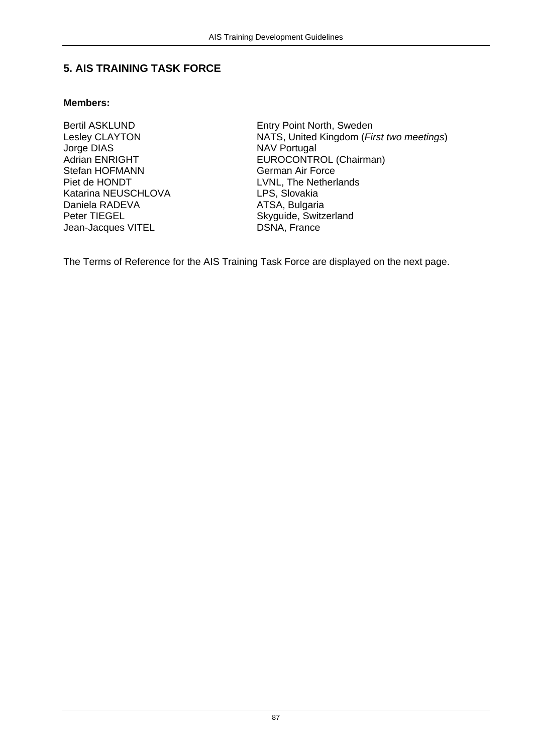## **5. AIS TRAINING TASK FORCE**

### **Members:**

Jorge DIAS NAV Portugal Stefan HOFMANN German Air Force<br>
Piet de HONDT LVNL, The Nether Katarina NEUSCHLOVA<br>
Daniela RADEVA<br>
ATSA, Bulgaria Daniela RADEVA Peter TIEGEL Skyguide, Switzerland Jean-Jacques VITEL DSNA, France

Bertil ASKLUND **Entry Point North, Sweden** Lesley CLAYTON NATS, United Kingdom (*First two meetings*) Adrian ENRIGHT EUROCONTROL (Chairman) LVNL, The Netherlands

The Terms of Reference for the AIS Training Task Force are displayed on the next page.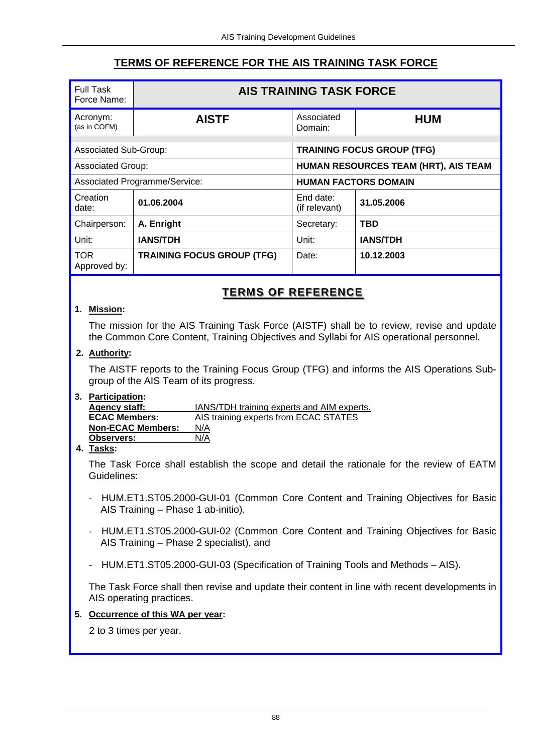## **TERMS OF REFERENCE FOR THE AIS TRAINING TASK FORCE**

| <b>Full Task</b><br>Force Name: | <b>AIS TRAINING TASK FORCE</b>    |                                      |                 |  |  |
|---------------------------------|-----------------------------------|--------------------------------------|-----------------|--|--|
| Acronym:<br>(as in COFM)        | <b>AISTF</b>                      | Associated<br>Domain:                | <b>HUM</b>      |  |  |
|                                 |                                   |                                      |                 |  |  |
| <b>Associated Sub-Group:</b>    |                                   | <b>TRAINING FOCUS GROUP (TFG)</b>    |                 |  |  |
| <b>Associated Group:</b>        |                                   | HUMAN RESOURCES TEAM (HRT), AIS TEAM |                 |  |  |
| Associated Programme/Service:   |                                   | <b>HUMAN FACTORS DOMAIN</b>          |                 |  |  |
| Creation<br>date:               | 01.06.2004                        | End date:<br>(if relevant)           | 31.05.2006      |  |  |
| Chairperson:                    | A. Enright                        | Secretary:                           | <b>TBD</b>      |  |  |
| Unit:                           | <b>IANS/TDH</b>                   | Unit:                                | <b>IANS/TDH</b> |  |  |
| <b>TOR</b><br>Approved by:      | <b>TRAINING FOCUS GROUP (TFG)</b> | Date:                                | 10.12.2003      |  |  |

## **TERMS OF REFERENCE**

### **1. Mission:**

The mission for the AIS Training Task Force (AISTF) shall be to review, revise and update the Common Core Content, Training Objectives and Syllabi for AIS operational personnel.

### **2. Authority:**

The AISTF reports to the Training Focus Group (TFG) and informs the AIS Operations Subgroup of the AIS Team of its progress.

### **3. Participation:**

| <b>Agency staff:</b>     | IANS/TDH training experts and AIM experts. |
|--------------------------|--------------------------------------------|
| <b>ECAC Members:</b>     | AIS training experts from ECAC STATES      |
| <b>Non-ECAC Members:</b> | N/A                                        |
| <b>Observers:</b>        | N/A                                        |

### **4. Tasks:**

The Task Force shall establish the scope and detail the rationale for the review of EATM Guidelines:

- HUM.ET1.ST05.2000-GUI-01 (Common Core Content and Training Objectives for Basic AIS Training – Phase 1 ab-initio),
- HUM.ET1.ST05.2000-GUI-02 (Common Core Content and Training Objectives for Basic AIS Training – Phase 2 specialist), and
- HUM.ET1.ST05.2000-GUI-03 (Specification of Training Tools and Methods AIS).

The Task Force shall then revise and update their content in line with recent developments in AIS operating practices.

### **5. Occurrence of this WA per year:**

2 to 3 times per year.